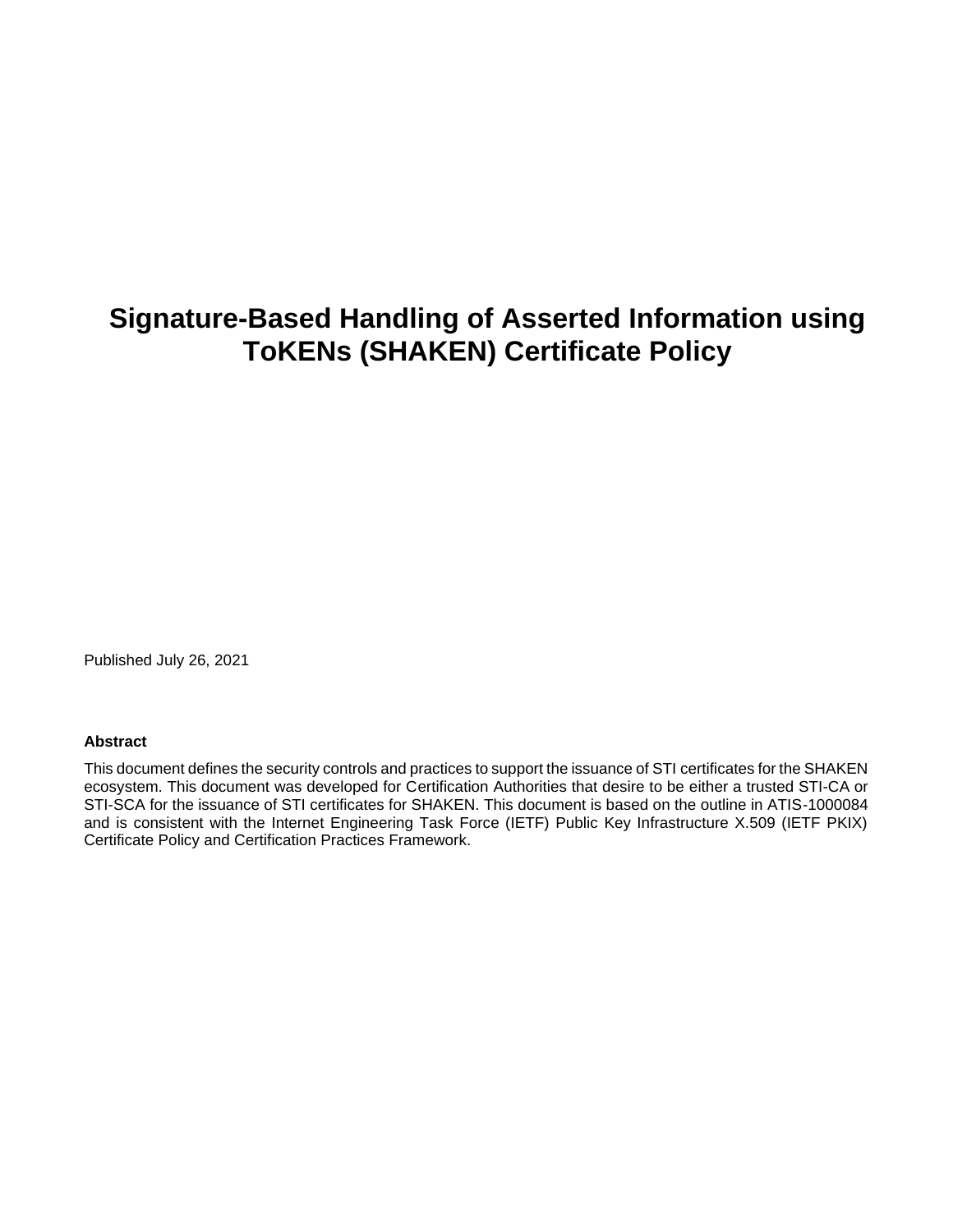# **Signature-Based Handling of Asserted Information using ToKENs (SHAKEN) Certificate Policy**

Published July 26, 2021

#### **Abstract**

This document defines the security controls and practices to support the issuance of STI certificates for the SHAKEN ecosystem. This document was developed for Certification Authorities that desire to be either a trusted STI-CA or STI-SCA for the issuance of STI certificates for SHAKEN. This document is based on the outline in ATIS-1000084 and is consistent with the Internet Engineering Task Force (IETF) Public Key Infrastructure X.509 (IETF PKIX) Certificate Policy and Certification Practices Framework.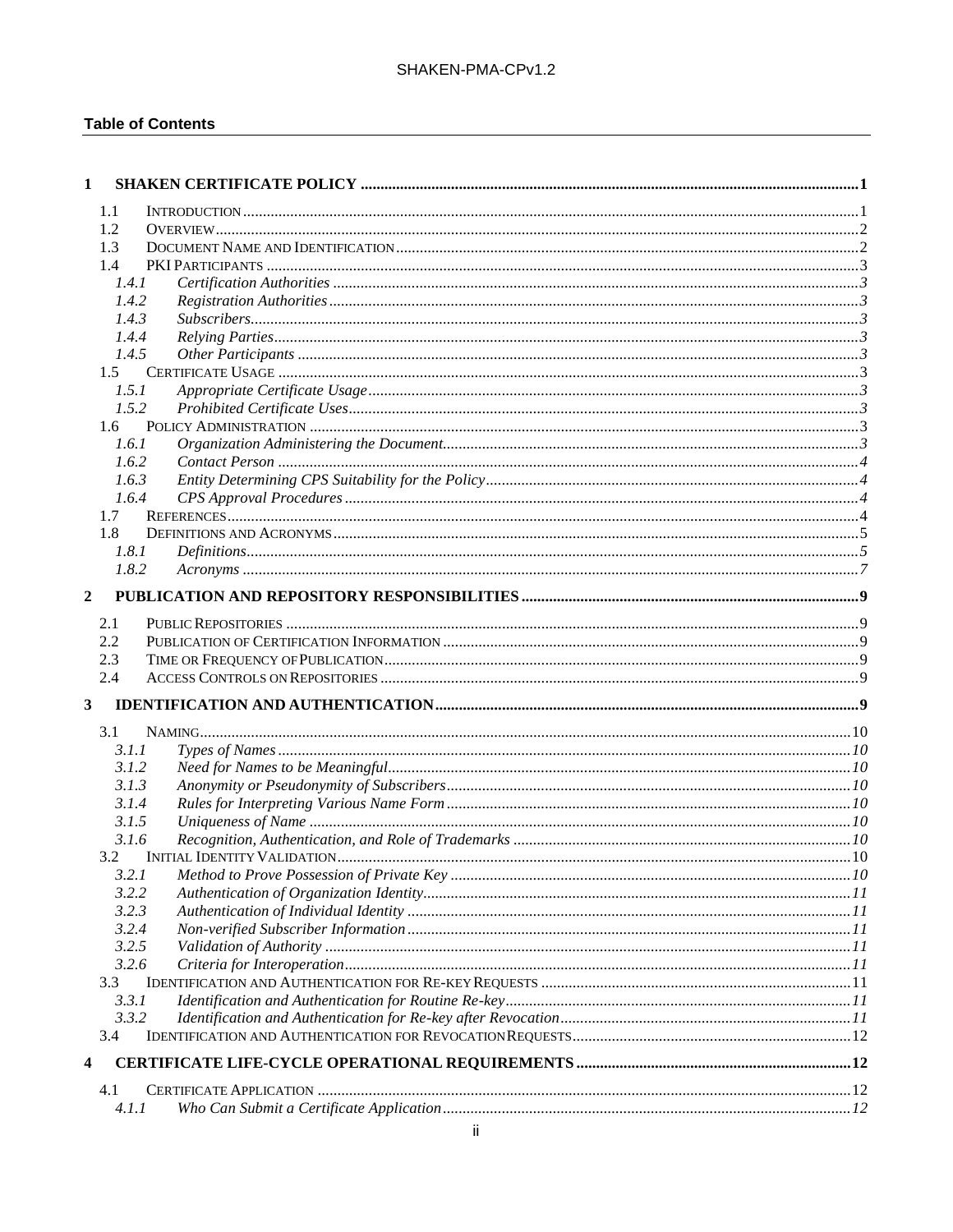#### **Table of Contents**

| 1            |       |  |
|--------------|-------|--|
| 1.1          |       |  |
| 1.2          |       |  |
| 1.3          |       |  |
| 1.4          |       |  |
|              | 1.4.1 |  |
|              | 1.4.2 |  |
|              | 1.4.3 |  |
|              | 1.4.4 |  |
|              | 1.4.5 |  |
|              | 1.5   |  |
|              | 1.5.1 |  |
|              | 1.5.2 |  |
|              | 1.6   |  |
|              | 1.6.1 |  |
|              | 1.6.2 |  |
|              | 1.6.3 |  |
|              | 1.6.4 |  |
| 1.7          |       |  |
| 1.8          |       |  |
|              | 1.8.1 |  |
|              | 1.8.2 |  |
| $\mathbf{2}$ |       |  |
|              |       |  |
| 2.1          |       |  |
| 2.2          |       |  |
| 2.3          |       |  |
| 2.4          |       |  |
| 3            |       |  |
| 3.1          |       |  |
|              | 3.1.1 |  |
|              | 3.1.2 |  |
|              | 3.1.3 |  |
|              | 3.1.4 |  |
|              | 3.1.5 |  |
|              | 3.1.6 |  |
|              | 3.2   |  |
|              | 3.2.1 |  |
|              | 3.2.2 |  |
|              | 3.2.3 |  |
|              | 3.2.4 |  |
|              | 3.2.5 |  |
|              | 3.2.6 |  |
|              |       |  |
| 3.3          |       |  |
|              | 3.3.1 |  |
|              | 3.3.2 |  |
| 3.4          |       |  |
| 4            |       |  |
| 4.1          |       |  |
|              | 4.1.1 |  |
|              |       |  |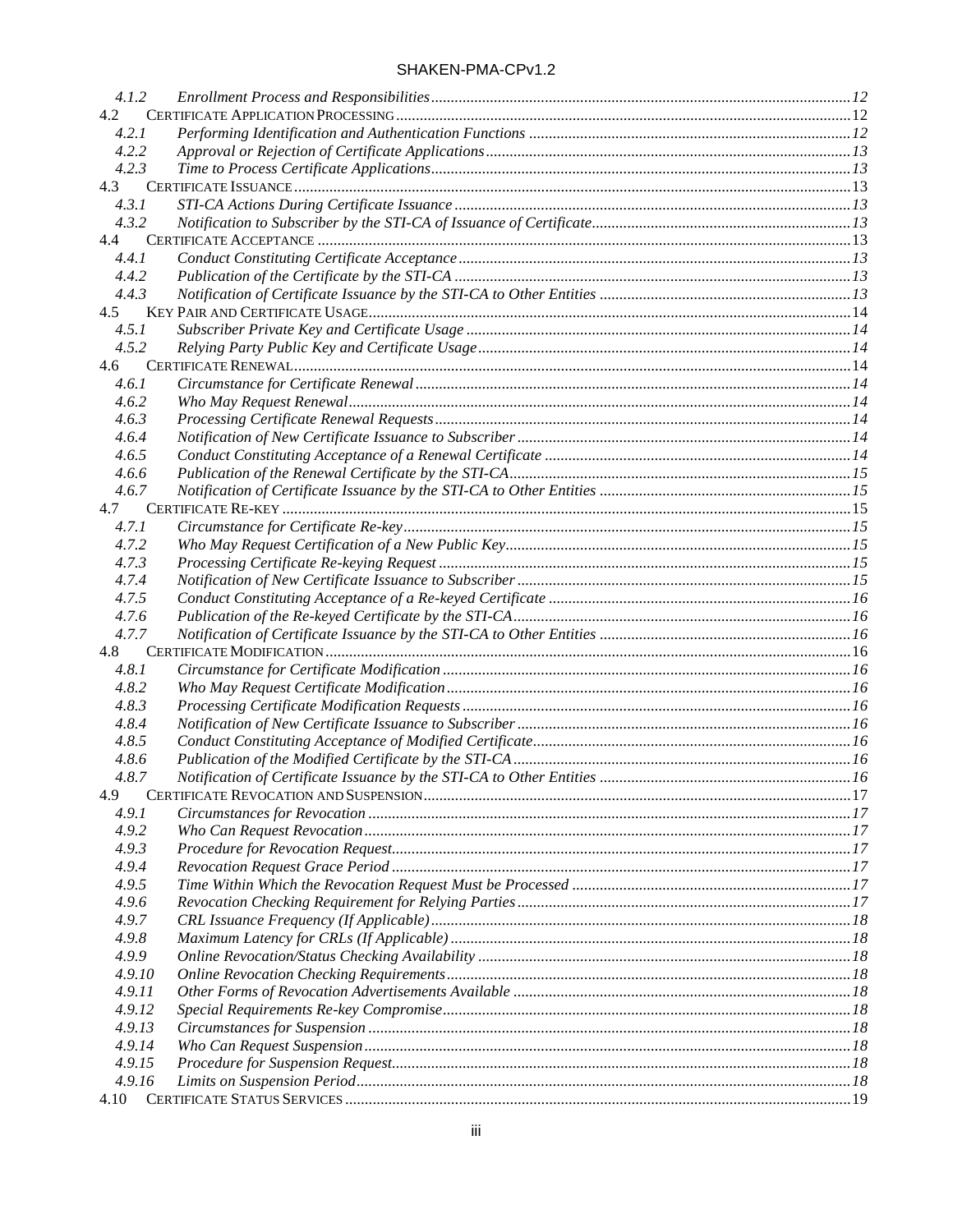| 4.1.2  |  |
|--------|--|
| 4.2    |  |
| 4.2.1  |  |
| 4.2.2  |  |
| 4.2.3  |  |
| 4.3    |  |
| 4.3.1  |  |
| 4.3.2  |  |
| 4.4    |  |
| 4.4.1  |  |
| 4.4.2  |  |
| 4.4.3  |  |
| 4.5    |  |
| 4.5.1  |  |
| 4.5.2  |  |
| 4.6    |  |
| 4.6.1  |  |
| 4.6.2  |  |
| 4.6.3  |  |
| 4.6.4  |  |
| 4.6.5  |  |
| 4.6.6  |  |
| 4.6.7  |  |
| 4.7    |  |
| 4.7.1  |  |
| 4.7.2  |  |
| 4.7.3  |  |
| 4.7.4  |  |
| 4.7.5  |  |
| 4.7.6  |  |
| 4.7.7  |  |
| 4.8    |  |
| 4.8.1  |  |
| 4.8.2  |  |
| 4.8.3  |  |
| 4.8.4  |  |
| 4.8.5  |  |
| 4.8.6  |  |
| 4.8.7  |  |
| 4.9    |  |
| 4.9.1  |  |
| 4.9.2  |  |
| 4.9.3  |  |
| 4.9.4  |  |
| 4.9.5  |  |
| 4.9.6  |  |
| 4.9.7  |  |
| 4.9.8  |  |
| 4.9.9  |  |
| 4.9.10 |  |
| 4.9.11 |  |
| 4.9.12 |  |
| 4.9.13 |  |
| 4.9.14 |  |
| 4.9.15 |  |
| 4.9.16 |  |
|        |  |
|        |  |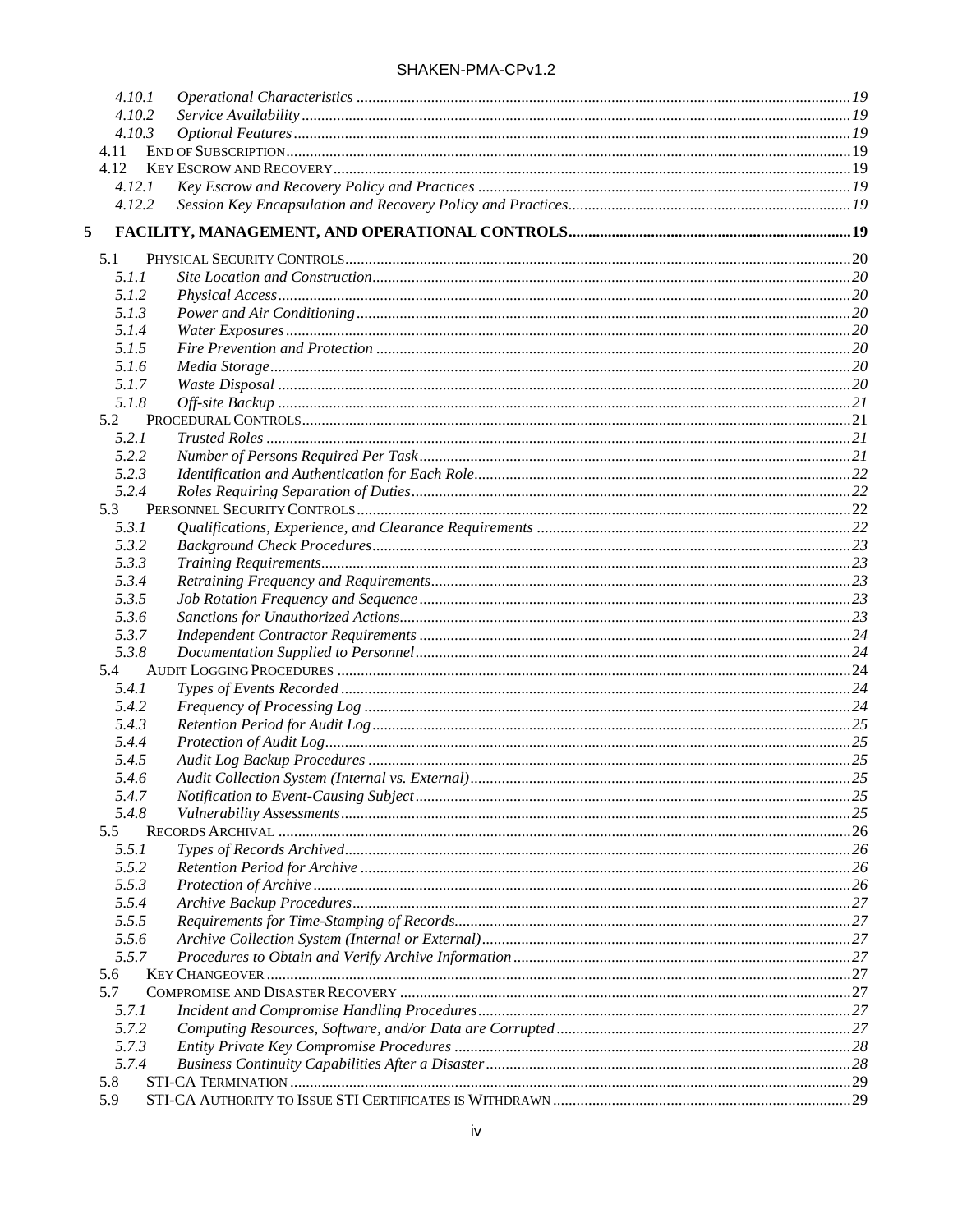| SHAKEN-PMA-CPv1.2 |  |  |
|-------------------|--|--|
|-------------------|--|--|

|      | 4.10.1         |  |
|------|----------------|--|
|      | 4.10.2         |  |
|      | 4.10.3         |  |
| 4.11 |                |  |
| 4.12 |                |  |
|      | 4.12.1         |  |
|      | 4.12.2         |  |
| 5    |                |  |
| 5.1  |                |  |
|      | 5.1.1          |  |
|      | 5.1.2          |  |
|      | 5.1.3          |  |
|      | 5.1.4          |  |
|      | 5.1.5          |  |
|      | 5.1.6          |  |
|      | 5.1.7          |  |
|      | 5.1.8          |  |
| 5.2  |                |  |
|      | 5.2.1          |  |
|      | 5.2.2          |  |
|      | 5.2.3          |  |
|      | 5.2.4          |  |
| 5.3  |                |  |
|      | 5.3.1          |  |
|      | 5.3.2          |  |
|      | 5.3.3          |  |
|      | 5.3.4          |  |
|      | 5.3.5          |  |
|      | 5.3.6          |  |
|      | 5.3.7          |  |
| 5.4  | 5.3.8          |  |
|      | 5.4.1          |  |
|      | 5.4.2          |  |
|      | 5.4.3          |  |
|      | 5.4.4          |  |
|      | 5.4.5          |  |
|      | 5.4.6          |  |
|      | 5.4.7          |  |
|      | 5.4.8          |  |
| 5.5  |                |  |
|      | 5.5.1          |  |
|      | 5.5.2          |  |
|      | 5.5.3          |  |
|      | 5.5.4          |  |
|      | 5.5.5          |  |
|      | 5.5.6          |  |
|      | 5.5.7          |  |
| 5.6  |                |  |
| 5.7  |                |  |
|      | 5.7.1          |  |
|      | 5.7.2          |  |
|      | 5.7.3<br>5.7.4 |  |
| 5.8  |                |  |
| 5.9  |                |  |
|      |                |  |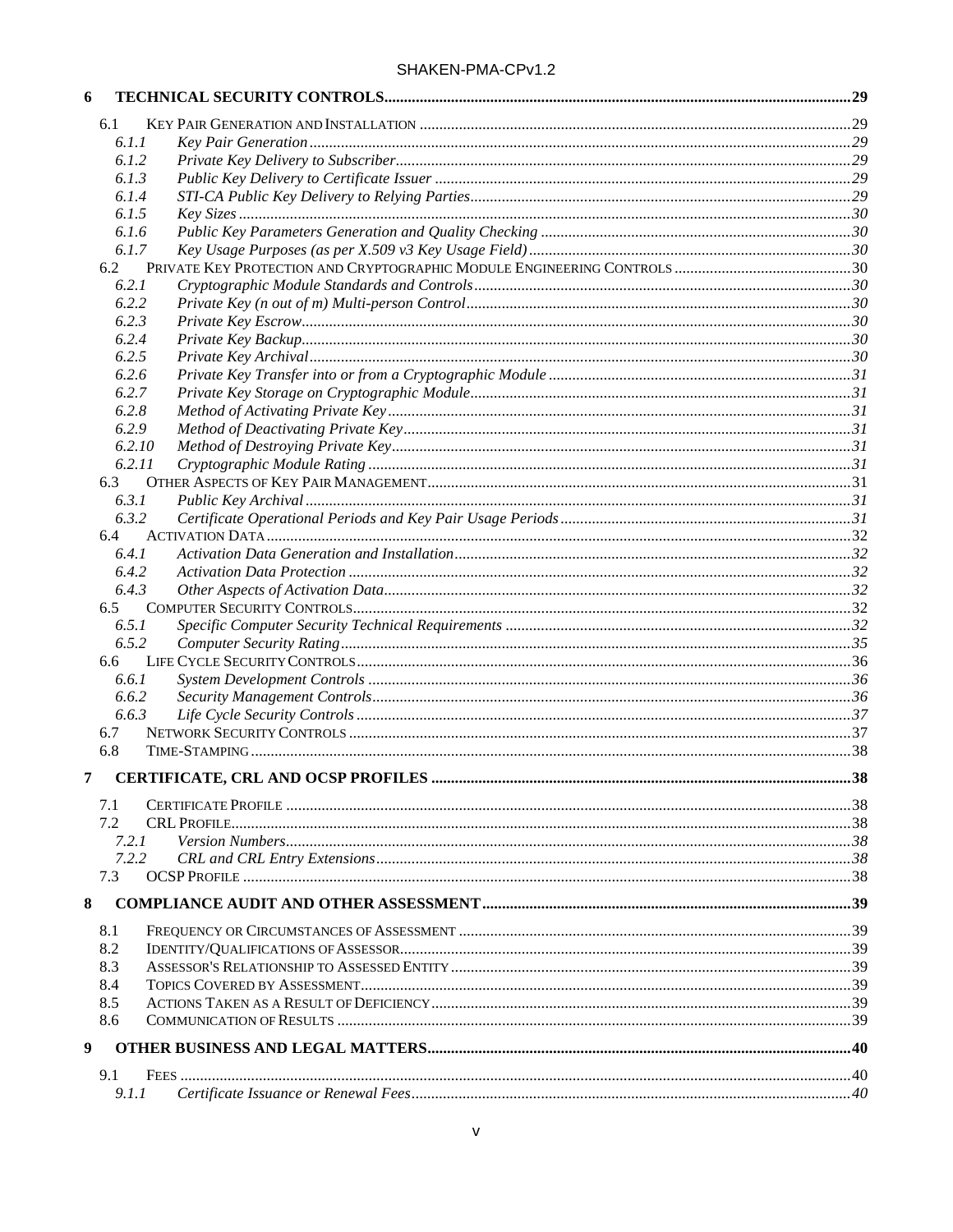| 6 |        |  |
|---|--------|--|
|   | 6.1    |  |
|   | 6.1.1  |  |
|   | 6.1.2  |  |
|   | 6.1.3  |  |
|   | 6.1.4  |  |
|   | 6.1.5  |  |
|   | 6.1.6  |  |
|   | 6.1.7  |  |
|   | 6.2    |  |
|   | 6.2.1  |  |
|   | 6.2.2  |  |
|   | 6.2.3  |  |
|   | 6.2.4  |  |
|   | 6.2.5  |  |
|   | 6.2.6  |  |
|   | 6.2.7  |  |
|   | 6.2.8  |  |
|   | 6.2.9  |  |
|   | 6.2.10 |  |
|   | 6.2.11 |  |
|   | 6.3    |  |
|   | 6.3.1  |  |
|   | 6.3.2  |  |
|   | 6.4    |  |
|   | 6.4.1  |  |
|   | 6.4.2  |  |
|   | 6.4.3  |  |
|   | 6.5    |  |
|   | 6.5.1  |  |
|   | 6.5.2  |  |
|   | 6.6    |  |
|   | 6.6.1  |  |
|   | 6.6.2  |  |
|   | 6.6.3  |  |
|   | 6.7    |  |
|   | 6.8    |  |
|   |        |  |
| 7 |        |  |
|   | 7.1    |  |
|   | 7.2    |  |
|   | 7.2.1  |  |
|   | 7.2.2  |  |
|   | 7.3    |  |
|   |        |  |
| 8 |        |  |
|   | 8.1    |  |
|   | 8.2    |  |
|   | 8.3    |  |
|   | 8.4    |  |
|   | 8.5    |  |
|   | 8.6    |  |
|   |        |  |
| 9 |        |  |
|   | 9.1    |  |
|   | 9.1.1  |  |
|   |        |  |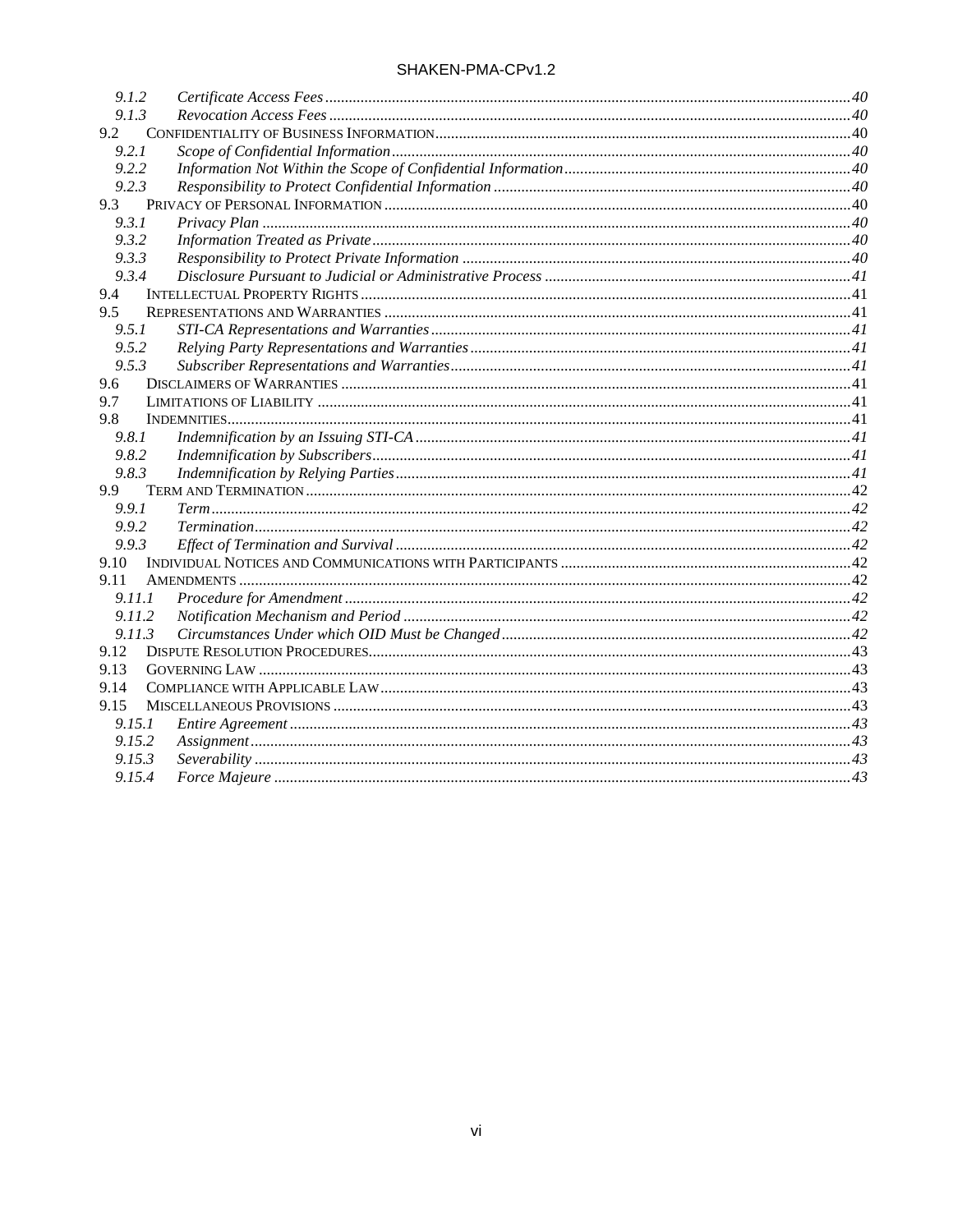| 9.1.2  |  |
|--------|--|
| 9.1.3  |  |
| 9.2    |  |
| 9.2.1  |  |
| 9.2.2  |  |
| 9.2.3  |  |
| 9.3    |  |
| 9.3.1  |  |
| 9.3.2  |  |
| 9.3.3  |  |
| 9.3.4  |  |
| 9.4    |  |
| 9.5    |  |
| 9.5.1  |  |
| 9.5.2  |  |
| 9.5.3  |  |
| 9.6    |  |
| 9.7    |  |
| 9.8    |  |
| 9.8.1  |  |
| 9.8.2  |  |
| 9.8.3  |  |
| 9.9    |  |
| 9.9.1  |  |
| 9.9.2  |  |
| 9.9.3  |  |
| 9.10   |  |
| 9.11   |  |
| 9.11.1 |  |
| 9.11.2 |  |
| 9.11.3 |  |
| 9.12   |  |
| 9.13   |  |
| 9.14   |  |
| 9.15   |  |
| 9.15.1 |  |
| 9.15.2 |  |
| 9.15.3 |  |
| 9.15.4 |  |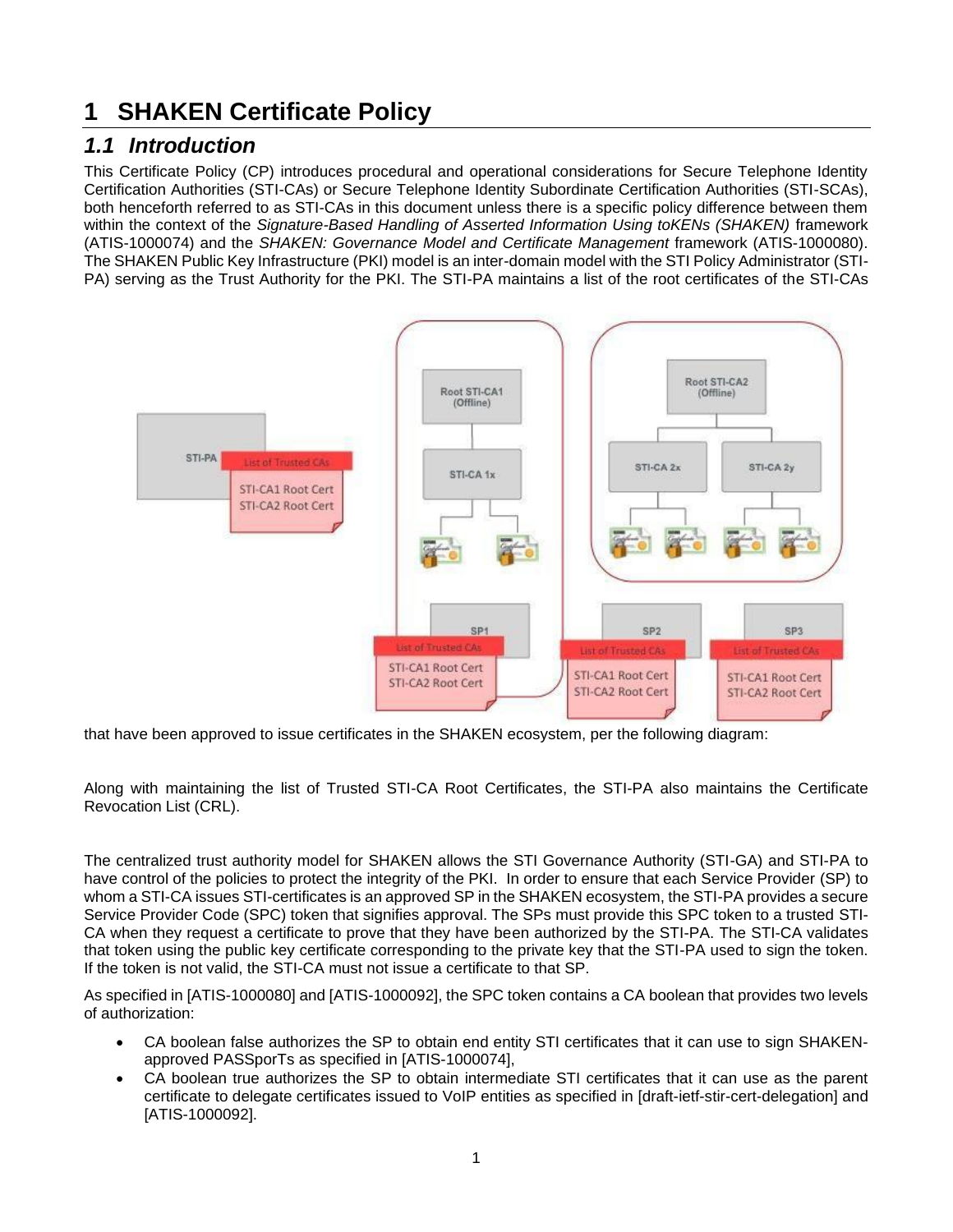# <span id="page-6-0"></span>**1 SHAKEN Certificate Policy**

## <span id="page-6-1"></span>*1.1 Introduction*

This Certificate Policy (CP) introduces procedural and operational considerations for Secure Telephone Identity Certification Authorities (STI-CAs) or Secure Telephone Identity Subordinate Certification Authorities (STI-SCAs), both henceforth referred to as STI-CAs in this document unless there is a specific policy difference between them within the context of the *Signature-Based Handling of Asserted Information Using toKENs (SHAKEN)* framework (ATIS-1000074) and the *SHAKEN: Governance Model and Certificate Management* framework (ATIS-1000080). The SHAKEN Public Key Infrastructure (PKI) model is an inter-domain model with the STI Policy Administrator (STI-PA) serving as the Trust Authority for the PKI. The STI-PA maintains a list of the root certificates of the STI-CAs



that have been approved to issue certificates in the SHAKEN ecosystem, per the following diagram:

Along with maintaining the list of Trusted STI-CA Root Certificates, the STI-PA also maintains the Certificate Revocation List (CRL).

The centralized trust authority model for SHAKEN allows the STI Governance Authority (STI-GA) and STI-PA to have control of the policies to protect the integrity of the PKI. In order to ensure that each Service Provider (SP) to whom a STI-CA issues STI-certificates is an approved SP in the SHAKEN ecosystem, the STI-PA provides a secure Service Provider Code (SPC) token that signifies approval. The SPs must provide this SPC token to a trusted STI-CA when they request a certificate to prove that they have been authorized by the STI-PA. The STI-CA validates that token using the public key certificate corresponding to the private key that the STI-PA used to sign the token. If the token is not valid, the STI-CA must not issue a certificate to that SP.

As specified in [ATIS-1000080] and [ATIS-1000092], the SPC token contains a CA boolean that provides two levels of authorization:

- CA boolean false authorizes the SP to obtain end entity STI certificates that it can use to sign SHAKENapproved PASSporTs as specified in [ATIS-1000074],
- CA boolean true authorizes the SP to obtain intermediate STI certificates that it can use as the parent certificate to delegate certificates issued to VoIP entities as specified in [draft-ietf-stir-cert-delegation] and [ATIS-1000092].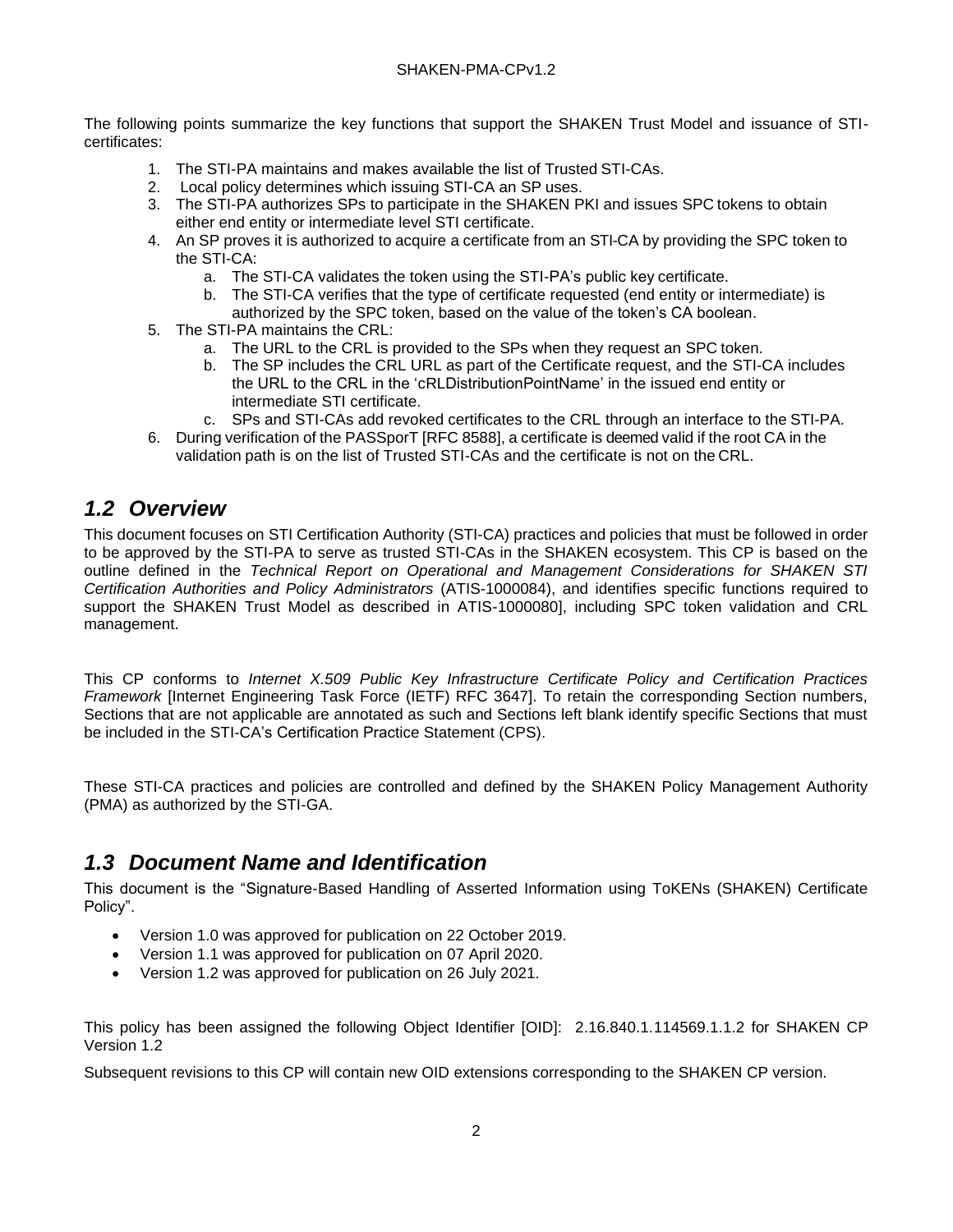The following points summarize the key functions that support the SHAKEN Trust Model and issuance of STIcertificates:

- 1. The STI-PA maintains and makes available the list of Trusted STI-CAs.
- 2. Local policy determines which issuing STI-CA an SP uses.
- 3. The STI-PA authorizes SPs to participate in the SHAKEN PKI and issues SPC tokens to obtain either end entity or intermediate level STI certificate.
- 4. An SP proves it is authorized to acquire a certificate from an STI-CA by providing the SPC token to the STI-CA:
	- a. The STI-CA validates the token using the STI-PA's public key certificate.
	- b. The STI-CA verifies that the type of certificate requested (end entity or intermediate) is
	- authorized by the SPC token, based on the value of the token's CA boolean.
- 5. The STI-PA maintains the CRL:
	- a. The URL to the CRL is provided to the SPs when they request an SPC token.
	- b. The SP includes the CRL URL as part of the Certificate request, and the STI-CA includes the URL to the CRL in the 'cRLDistributionPointName' in the issued end entity or intermediate STI certificate.
	- c. SPs and STI-CAs add revoked certificates to the CRL through an interface to the STI-PA.
- 6. During verification of the PASSporT [RFC 8588], a certificate is deemed valid if the root CA in the validation path is on the list of Trusted STI-CAs and the certificate is not on the CRL.

## <span id="page-7-0"></span>*1.2 Overview*

This document focuses on STI Certification Authority (STI-CA) practices and policies that must be followed in order to be approved by the STI-PA to serve as trusted STI-CAs in the SHAKEN ecosystem. This CP is based on the outline defined in the *Technical Report on Operational and Management Considerations for SHAKEN STI Certification Authorities and Policy Administrators* (ATIS-1000084), and identifies specific functions required to support the SHAKEN Trust Model as described in ATIS-1000080], including SPC token validation and CRL management.

This CP conforms to *Internet X.509 Public Key Infrastructure Certificate Policy and Certification Practices Framework* [Internet Engineering Task Force (IETF) RFC 3647]. To retain the corresponding Section numbers, Sections that are not applicable are annotated as such and Sections left blank identify specific Sections that must be included in the STI-CA's Certification Practice Statement (CPS).

These STI-CA practices and policies are controlled and defined by the SHAKEN Policy Management Authority (PMA) as authorized by the STI-GA.

## <span id="page-7-1"></span>*1.3 Document Name and Identification*

This document is the "Signature-Based Handling of Asserted Information using ToKENs (SHAKEN) Certificate Policy".

- Version 1.0 was approved for publication on 22 October 2019.
- Version 1.1 was approved for publication on 07 April 2020.
- Version 1.2 was approved for publication on 26 July 2021.

This policy has been assigned the following Object Identifier [OID]: 2.16.840.1.114569.1.1.2 for SHAKEN CP Version 1.2

Subsequent revisions to this CP will contain new OID extensions corresponding to the SHAKEN CP version.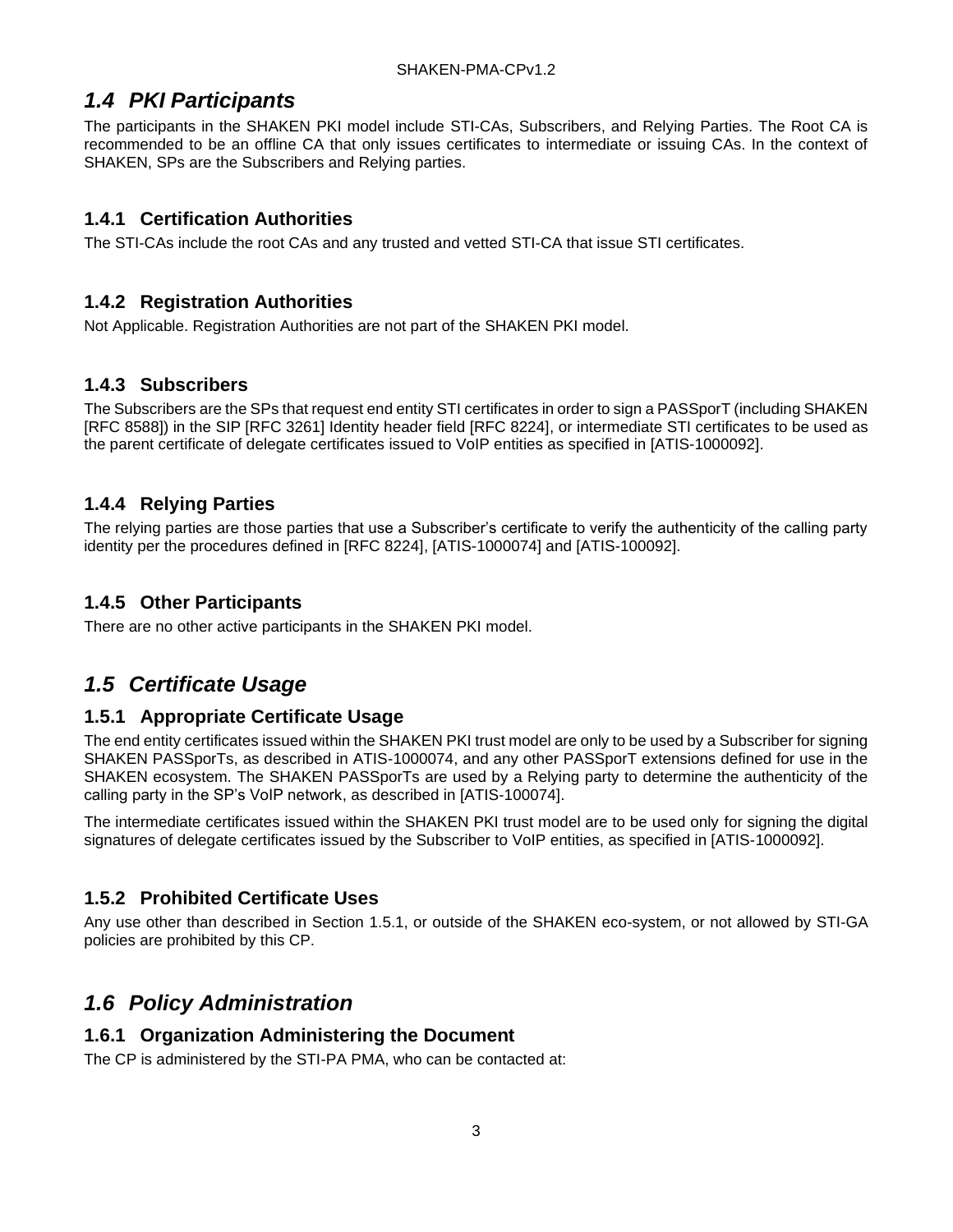## <span id="page-8-0"></span>*1.4 PKI Participants*

The participants in the SHAKEN PKI model include STI-CAs, Subscribers, and Relying Parties. The Root CA is recommended to be an offline CA that only issues certificates to intermediate or issuing CAs. In the context of SHAKEN, SPs are the Subscribers and Relying parties.

#### <span id="page-8-1"></span>**1.4.1 Certification Authorities**

The STI-CAs include the root CAs and any trusted and vetted STI-CA that issue STI certificates.

#### <span id="page-8-2"></span>**1.4.2 Registration Authorities**

Not Applicable. Registration Authorities are not part of the SHAKEN PKI model.

#### <span id="page-8-3"></span>**1.4.3 Subscribers**

The Subscribers are the SPs that request end entity STI certificates in order to sign a PASSporT (including SHAKEN [RFC 8588]) in the SIP [RFC 3261] Identity header field [RFC 8224], or intermediate STI certificates to be used as the parent certificate of delegate certificates issued to VoIP entities as specified in [ATIS-1000092].

### <span id="page-8-4"></span>**1.4.4 Relying Parties**

The relying parties are those parties that use a Subscriber's certificate to verify the authenticity of the calling party identity per the procedures defined in [RFC 8224], [ATIS-1000074] and [ATIS-100092].

#### <span id="page-8-5"></span>**1.4.5 Other Participants**

There are no other active participants in the SHAKEN PKI model.

## <span id="page-8-6"></span>*1.5 Certificate Usage*

#### <span id="page-8-7"></span>**1.5.1 Appropriate Certificate Usage**

The end entity certificates issued within the SHAKEN PKI trust model are only to be used by a Subscriber for signing SHAKEN PASSporTs, as described in ATIS-1000074, and any other PASSporT extensions defined for use in the SHAKEN ecosystem. The SHAKEN PASSporTs are used by a Relying party to determine the authenticity of the calling party in the SP's VoIP network, as described in [ATIS-100074].

The intermediate certificates issued within the SHAKEN PKI trust model are to be used only for signing the digital signatures of delegate certificates issued by the Subscriber to VoIP entities, as specified in [ATIS-1000092].

### <span id="page-8-8"></span>**1.5.2 Prohibited Certificate Uses**

Any use other than described in Section 1.5.1, or outside of the SHAKEN eco-system, or not allowed by STI-GA policies are prohibited by this CP.

## <span id="page-8-9"></span>*1.6 Policy Administration*

#### <span id="page-8-10"></span>**1.6.1 Organization Administering the Document**

The CP is administered by the STI-PA PMA, who can be contacted at: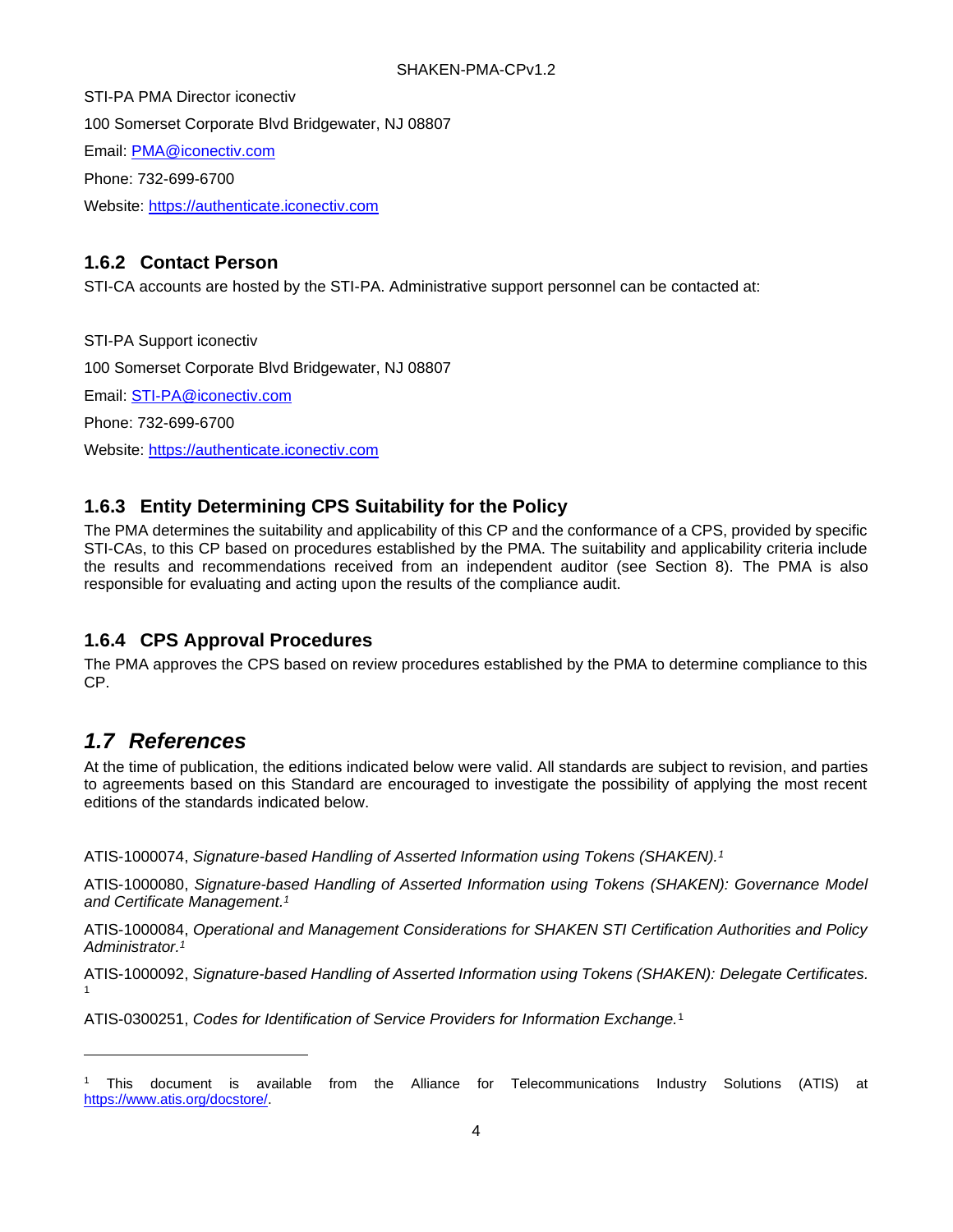STI-PA PMA Director iconectiv 100 Somerset Corporate Blvd Bridgewater, NJ 08807 Email: [PMA@iconectiv.com](mailto:PMA@iconectiv.com) Phone: 732-699-6700 Website: [https://authenticate.iconectiv.com](https://authenticate.iconectiv.com/)

### <span id="page-9-0"></span>**1.6.2 Contact Person**

STI-CA accounts are hosted by the STI-PA. Administrative support personnel can be contacted at:

STI-PA Support iconectiv 100 Somerset Corporate Blvd Bridgewater, NJ 08807 Email: [STI-PA@iconectiv.com](mailto:STI-PA@iconectiv.com) Phone: 732-699-6700 Website: [https://authenticate.iconectiv.com](https://authenticate.iconectiv.com/)

## <span id="page-9-1"></span>**1.6.3 Entity Determining CPS Suitability for the Policy**

The PMA determines the suitability and applicability of this CP and the conformance of a CPS, provided by specific STI-CAs, to this CP based on procedures established by the PMA. The suitability and applicability criteria include the results and recommendations received from an independent auditor (see Section 8). The PMA is also responsible for evaluating and acting upon the results of the compliance audit.

### <span id="page-9-2"></span>**1.6.4 CPS Approval Procedures**

The PMA approves the CPS based on review procedures established by the PMA to determine compliance to this CP.

## <span id="page-9-3"></span>*1.7 References*

At the time of publication, the editions indicated below were valid. All standards are subject to revision, and parties to agreements based on this Standard are encouraged to investigate the possibility of applying the most recent editions of the standards indicated below.

<span id="page-9-4"></span>ATIS-1000074, *Signature-based Handling of Asserted Information using Tokens (SHAKEN).<sup>1</sup>*

ATIS-1000080, *Signature-based Handling of Asserted Information using Tokens (SHAKEN): Governance Model and Certificate Management. [1](#page-9-4)*

ATIS-1000084, *Operational and Management Considerations for SHAKEN STI Certification Authorities and Policy Administrator[.](#page-9-4)<sup>1</sup>*

ATIS-1000092, *Signature-based Handling of Asserted Information using Tokens (SHAKEN): Delegate Certificates.* 1

ATIS-0300251, *Codes for Identification of Service Providers for Information Exchange.*<sup>1</sup>

<sup>1</sup> This document is available from the Alliance for Telecommunications Industry Solutions (ATIS) at [https://www.atis.org/docstore/.](https://www.atis.org/docstore/)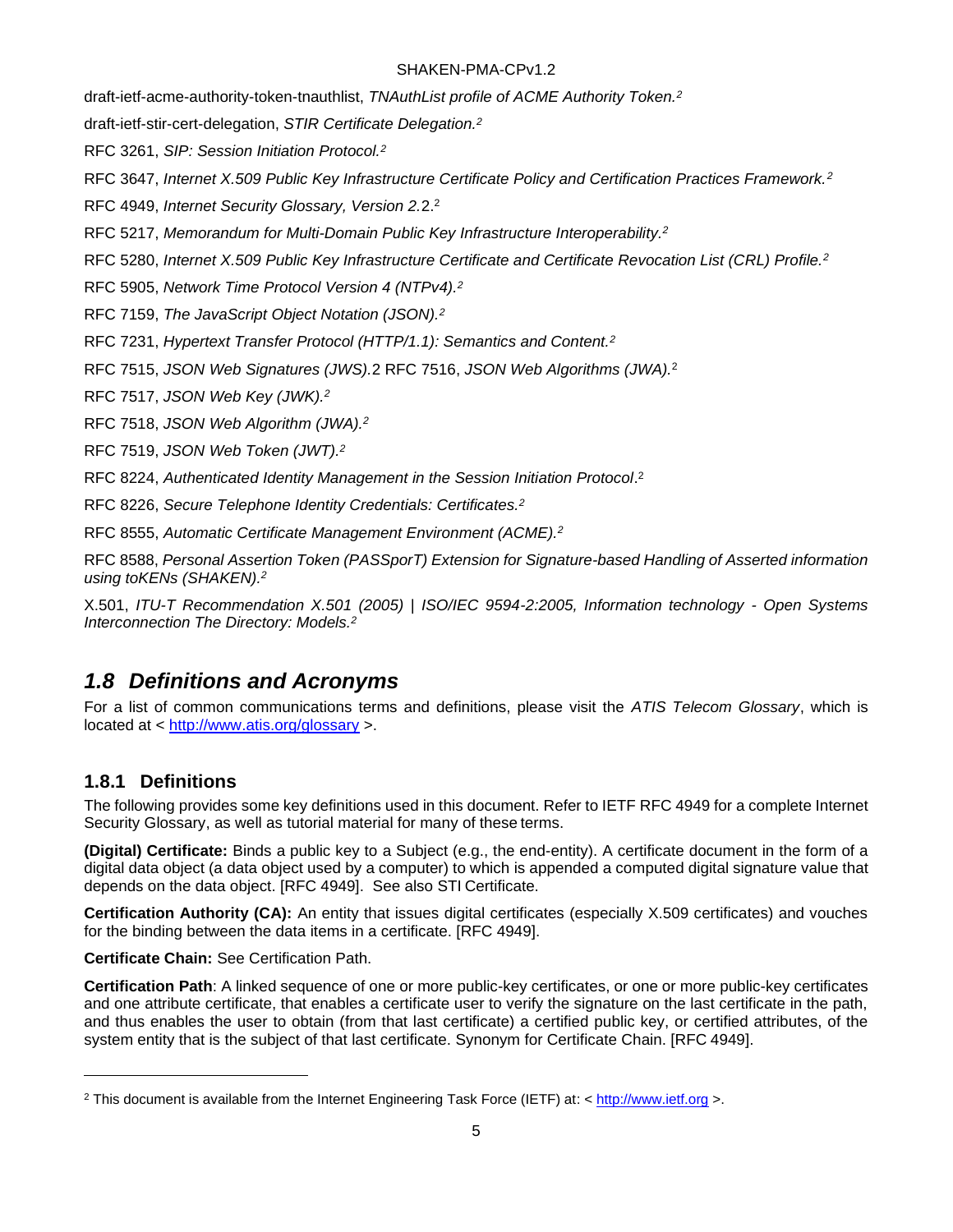<span id="page-10-2"></span>draft-ietf-acme-authority-token-tnauthlist, *TNAuthList profile of ACME Authority Token.<sup>2</sup>*

draft-ietf-stir-cert-delegation, *STIR Certificate Delegation.<sup>2</sup>*

RFC 3261, *SIP: Session Initiation Protocol.[2](#page-10-2)*

RFC 3647, *Internet X.509 Public Key Infrastructure Certificate Policy and Certification Practices Framework.[2](#page-10-2)*

RFC 4949, *Internet Security Glossary, Version 2.*2. [2](#page-10-2)

RFC 5217, *Memorandum for Multi-Domain Public Key Infrastructure Interoperability.[2](#page-10-2)*

RFC 5280, *Internet X.509 Public Key Infrastructure Certificate and Certificate Revocation List (CRL) Profile.[2](#page-10-2)*

RFC 5905, *Network Time Protocol Version 4 (NTPv4).[2](#page-10-2)*

RFC 7159, *The JavaScript Object Notation (JSON).[2](#page-10-2)*

RFC 7231, *Hypertext Transfer Protocol (HTTP/1.1): Semantics and Content.[2](#page-10-2)*

RFC 7515, *JSON Web Signatures (JWS).*2 RFC 7516, *JSON Web Algorithms (JWA).*<sup>2</sup>

RFC 7517, *JSON Web Key (JWK)[.](#page-10-2)<sup>2</sup>*

RFC 7518, *JSON Web Algorithm (JWA).[2](#page-10-2)*

RFC 7519, *JSON Web Token (JWT).[2](#page-10-2)*

RFC 8224, *Authenticated Identity Management in the Session Initiation Protocol*. [2](#page-10-2)

RFC 8226, *Secure Telephone Identity Credentials: Certificates[.](#page-10-2)<sup>2</sup>*

RFC 8555, *Automatic Certificate Management Environment (ACME).[2](#page-10-2)*

RFC 8588, *Personal Assertion Token (PASSporT) Extension for Signature-based Handling of Asserted information using toKENs (SHAKEN).[2](#page-10-2)*

X.501, *ITU-T Recommendation X.501 (2005) | ISO/IEC 9594-2:2005, Information technology - Open Systems Interconnection The Directory: Models[.](#page-10-2)<sup>2</sup>*

## <span id="page-10-0"></span>*1.8 Definitions and Acronyms*

For a list of common communications terms and definitions, please visit the *ATIS Telecom Glossary*, which is located at <<http://www.atis.org/glossary> >.

### <span id="page-10-1"></span>**1.8.1 Definitions**

The following provides some key definitions used in this document. Refer to IETF RFC 4949 for a complete Internet Security Glossary, as well as tutorial material for many of these terms.

**(Digital) Certificate:** Binds a public key to a Subject (e.g., the end-entity). A certificate document in the form of a digital data object (a data object used by a computer) to which is appended a computed digital signature value that depends on the data object. [RFC 4949]. See also STI Certificate.

**Certification Authority (CA):** An entity that issues digital certificates (especially X.509 certificates) and vouches for the binding between the data items in a certificate. [RFC 4949].

**Certificate Chain:** See Certification Path.

**Certification Path**: A linked sequence of one or more public-key certificates, or one or more public-key certificates and one attribute certificate, that enables a certificate user to verify the signature on the last certificate in the path, and thus enables the user to obtain (from that last certificate) a certified public key, or certified attributes, of the system entity that is the subject of that last certificate. Synonym for Certificate Chain. [RFC 4949].

<sup>2</sup> This document is available from the Internet Engineering Task Force (IETF) at: < [http://www.ietf.org](http://www.ietf.org/) >.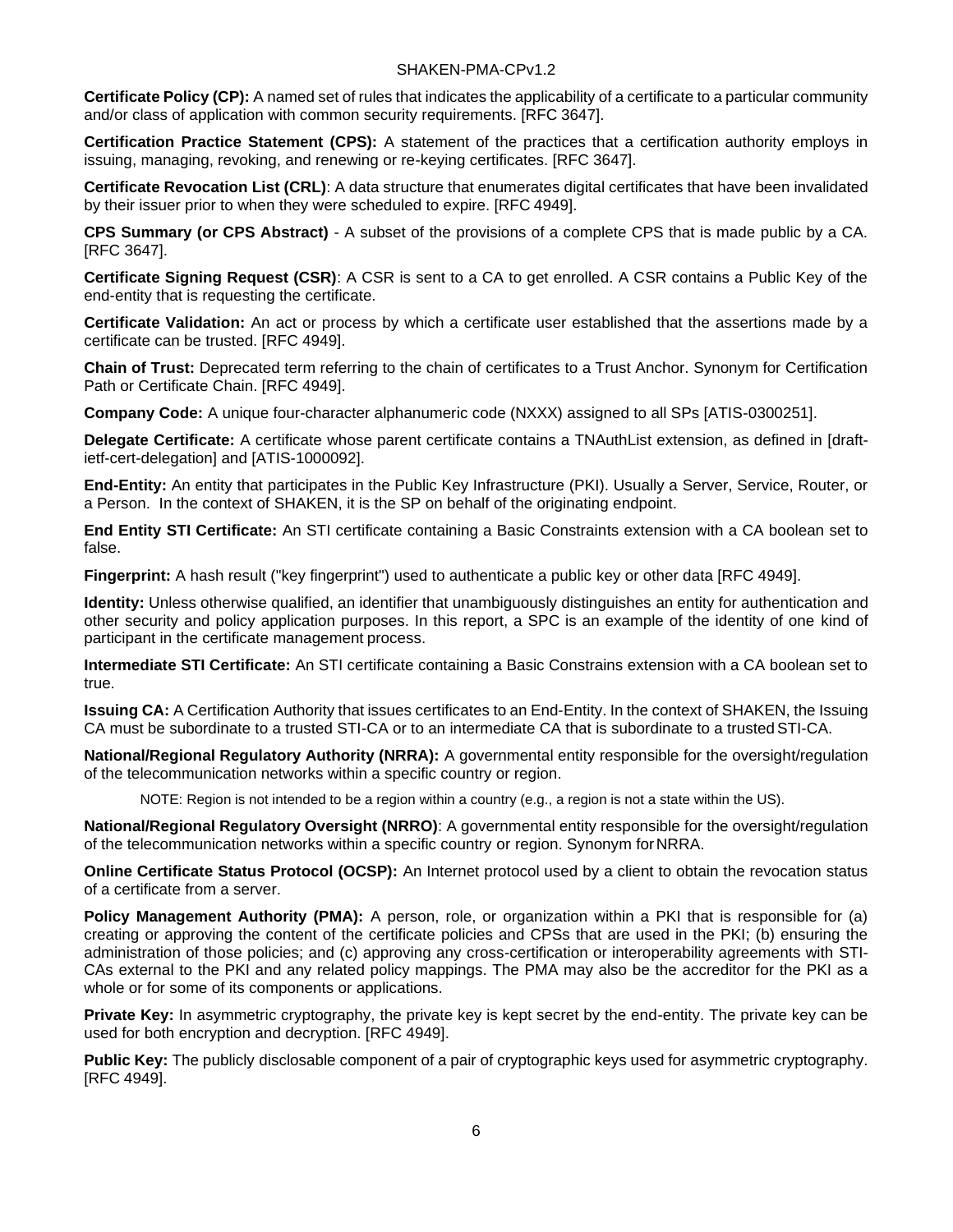**Certificate Policy (CP):** A named set of rules that indicates the applicability of a certificate to a particular community and/or class of application with common security requirements. [RFC 3647].

**Certification Practice Statement (CPS):** A statement of the practices that a certification authority employs in issuing, managing, revoking, and renewing or re-keying certificates. [RFC 3647].

**Certificate Revocation List (CRL)**: A data structure that enumerates digital certificates that have been invalidated by their issuer prior to when they were scheduled to expire. [RFC 4949].

**CPS Summary (or CPS Abstract)** - A subset of the provisions of a complete CPS that is made public by a CA. [RFC 3647].

**Certificate Signing Request (CSR)**: A CSR is sent to a CA to get enrolled. A CSR contains a Public Key of the end-entity that is requesting the certificate.

**Certificate Validation:** An act or process by which a certificate user established that the assertions made by a certificate can be trusted. [RFC 4949].

**Chain of Trust:** Deprecated term referring to the chain of certificates to a Trust Anchor. Synonym for Certification Path or Certificate Chain. [RFC 4949].

**Company Code:** A unique four-character alphanumeric code (NXXX) assigned to all SPs [ATIS-0300251].

**Delegate Certificate:** A certificate whose parent certificate contains a TNAuthList extension, as defined in [draftietf-cert-delegation] and [ATIS-1000092].

**End-Entity:** An entity that participates in the Public Key Infrastructure (PKI). Usually a Server, Service, Router, or a Person. In the context of SHAKEN, it is the SP on behalf of the originating endpoint.

**End Entity STI Certificate:** An STI certificate containing a Basic Constraints extension with a CA boolean set to false.

**Fingerprint:** A hash result ("key fingerprint") used to authenticate a public key or other data [RFC 4949].

**Identity:** Unless otherwise qualified, an identifier that unambiguously distinguishes an entity for authentication and other security and policy application purposes. In this report, a SPC is an example of the identity of one kind of participant in the certificate management process.

**Intermediate STI Certificate:** An STI certificate containing a Basic Constrains extension with a CA boolean set to true.

**Issuing CA:** A Certification Authority that issues certificates to an End-Entity. In the context of SHAKEN, the Issuing CA must be subordinate to a trusted STI-CA or to an intermediate CA that is subordinate to a trustedSTI-CA.

**National/Regional Regulatory Authority (NRRA):** A governmental entity responsible for the oversight/regulation of the telecommunication networks within a specific country or region.

NOTE: Region is not intended to be a region within a country (e.g., a region is not a state within the US).

**National/Regional Regulatory Oversight (NRRO)**: A governmental entity responsible for the oversight/regulation of the telecommunication networks within a specific country or region. Synonym forNRRA.

**Online Certificate Status Protocol (OCSP):** An Internet protocol used by a client to obtain the revocation status of a certificate from a server.

Policy Management Authority (PMA): A person, role, or organization within a PKI that is responsible for (a) creating or approving the content of the certificate policies and CPSs that are used in the PKI; (b) ensuring the administration of those policies; and (c) approving any cross-certification or interoperability agreements with STI-CAs external to the PKI and any related policy mappings. The PMA may also be the accreditor for the PKI as a whole or for some of its components or applications.

**Private Key:** In asymmetric cryptography, the private key is kept secret by the end-entity. The private key can be used for both encryption and decryption. [RFC 4949].

**Public Key:** The publicly disclosable component of a pair of cryptographic keys used for asymmetric cryptography. [RFC 4949].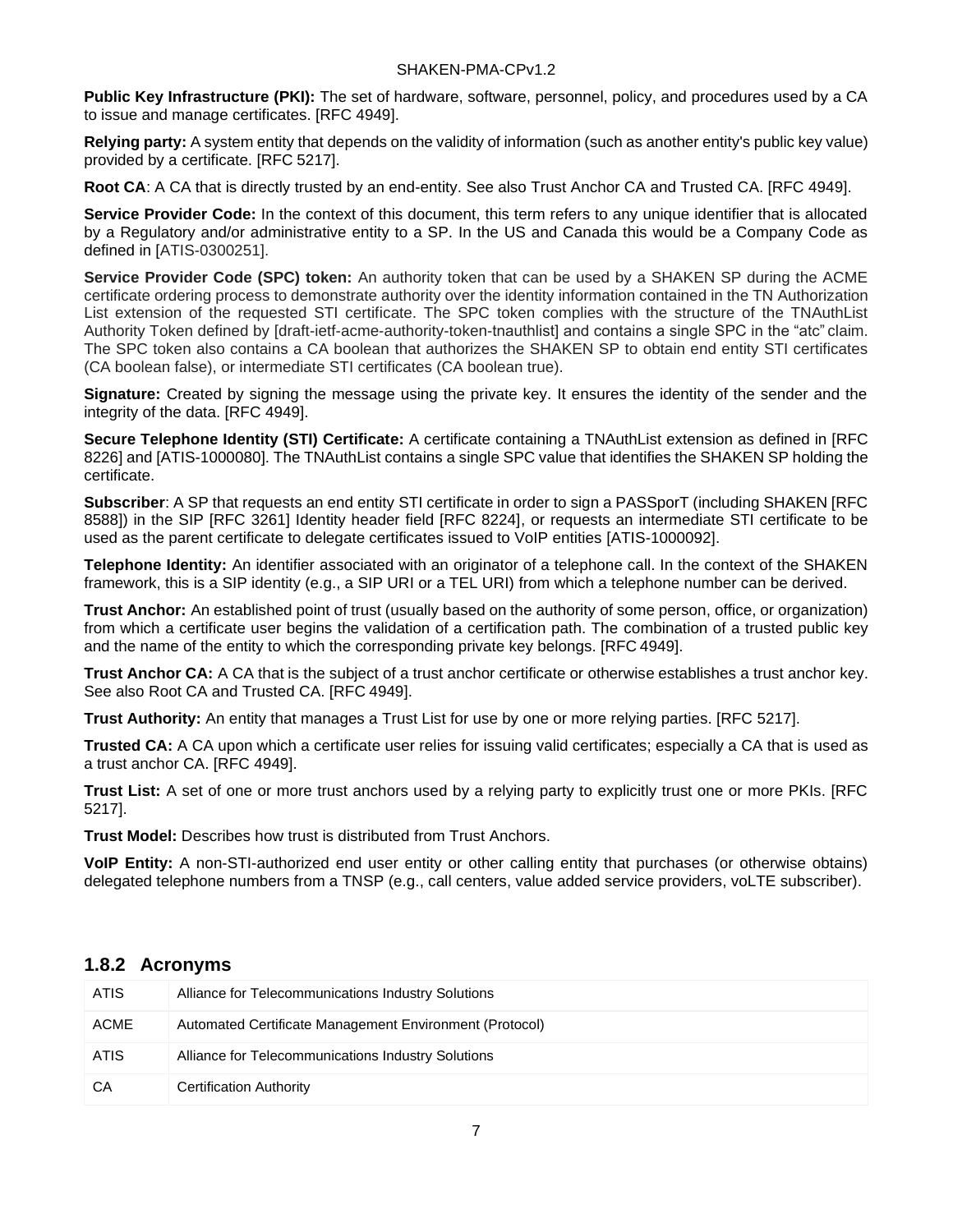**Public Key Infrastructure (PKI):** The set of hardware, software, personnel, policy, and procedures used by a CA to issue and manage certificates. [RFC 4949].

**Relying party:** A system entity that depends on the validity of information (such as another entity's public key value) provided by a certificate. [RFC 5217].

**Root CA**: A CA that is directly trusted by an end-entity. See also Trust Anchor CA and Trusted CA. [RFC 4949].

**Service Provider Code:** In the context of this document, this term refers to any unique identifier that is allocated by a Regulatory and/or administrative entity to a SP. In the US and Canada this would be a Company Code as defined in [ATIS-0300251].

**Service Provider Code (SPC) token:** An authority token that can be used by a SHAKEN SP during the ACME certificate ordering process to demonstrate authority over the identity information contained in the TN Authorization List extension of the requested STI certificate. The SPC token complies with the structure of the TNAuthList Authority Token defined by [draft-ietf-acme-authority-token-tnauthlist] and contains a single SPC in the "atc" claim. The SPC token also contains a CA boolean that authorizes the SHAKEN SP to obtain end entity STI certificates (CA boolean false), or intermediate STI certificates (CA boolean true).

**Signature:** Created by signing the message using the private key. It ensures the identity of the sender and the integrity of the data. [RFC 4949].

**Secure Telephone Identity (STI) Certificate:** A certificate containing a TNAuthList extension as defined in [RFC 8226] and [ATIS-1000080]. The TNAuthList contains a single SPC value that identifies the SHAKEN SP holding the certificate.

**Subscriber**: A SP that requests an end entity STI certificate in order to sign a PASSporT (including SHAKEN [RFC 8588]) in the SIP [RFC 3261] Identity header field [RFC 8224], or requests an intermediate STI certificate to be used as the parent certificate to delegate certificates issued to VoIP entities [ATIS-1000092].

**Telephone Identity:** An identifier associated with an originator of a telephone call. In the context of the SHAKEN framework, this is a SIP identity (e.g., a SIP URI or a TEL URI) from which a telephone number can be derived.

**Trust Anchor:** An established point of trust (usually based on the authority of some person, office, or organization) from which a certificate user begins the validation of a certification path. The combination of a trusted public key and the name of the entity to which the corresponding private key belongs. [RFC 4949].

**Trust Anchor CA:** A CA that is the subject of a trust anchor certificate or otherwise establishes a trust anchor key. See also Root CA and Trusted CA. [RFC 4949].

**Trust Authority:** An entity that manages a Trust List for use by one or more relying parties. [RFC 5217].

**Trusted CA:** A CA upon which a certificate user relies for issuing valid certificates; especially a CA that is used as a trust anchor CA. [RFC 4949].

**Trust List:** A set of one or more trust anchors used by a relying party to explicitly trust one or more PKIs. [RFC 5217].

**Trust Model:** Describes how trust is distributed from Trust Anchors.

**VoIP Entity:** A non-STI-authorized end user entity or other calling entity that purchases (or otherwise obtains) delegated telephone numbers from a TNSP (e.g., call centers, value added service providers, voLTE subscriber).

#### <span id="page-12-0"></span>**1.8.2 Acronyms**

| <b>ATIS</b> | Alliance for Telecommunications Industry Solutions      |
|-------------|---------------------------------------------------------|
| <b>ACME</b> | Automated Certificate Management Environment (Protocol) |
| <b>ATIS</b> | Alliance for Telecommunications Industry Solutions      |
| СA          | <b>Certification Authority</b>                          |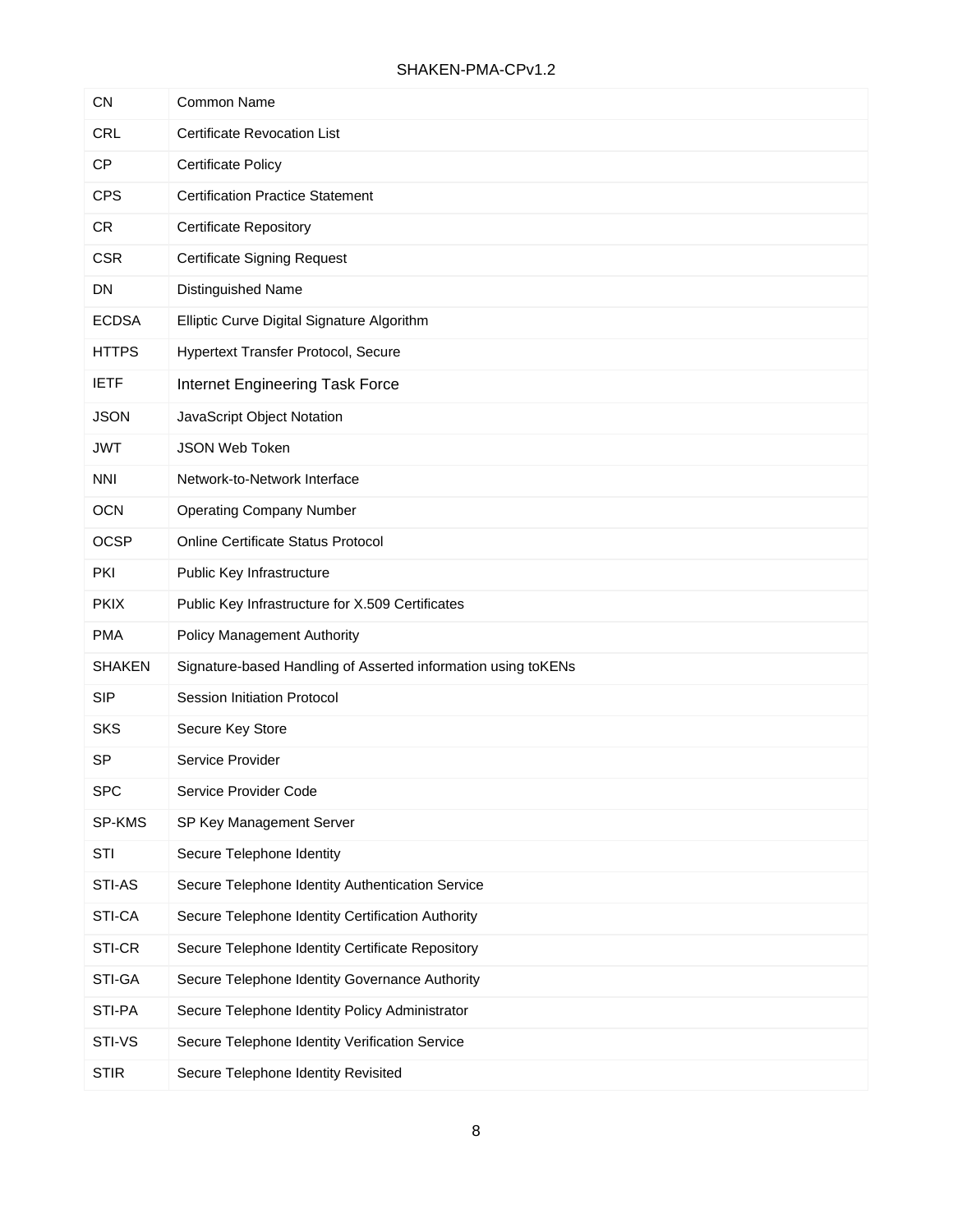| <b>CN</b>     | <b>Common Name</b>                                            |
|---------------|---------------------------------------------------------------|
| <b>CRL</b>    | <b>Certificate Revocation List</b>                            |
| <b>CP</b>     | <b>Certificate Policy</b>                                     |
| <b>CPS</b>    | <b>Certification Practice Statement</b>                       |
| <b>CR</b>     | <b>Certificate Repository</b>                                 |
| <b>CSR</b>    | <b>Certificate Signing Request</b>                            |
| <b>DN</b>     | Distinguished Name                                            |
| <b>ECDSA</b>  | Elliptic Curve Digital Signature Algorithm                    |
| <b>HTTPS</b>  | Hypertext Transfer Protocol, Secure                           |
| <b>IETF</b>   | Internet Engineering Task Force                               |
| <b>JSON</b>   | JavaScript Object Notation                                    |
| <b>JWT</b>    | JSON Web Token                                                |
| <b>NNI</b>    | Network-to-Network Interface                                  |
| <b>OCN</b>    | <b>Operating Company Number</b>                               |
| <b>OCSP</b>   | Online Certificate Status Protocol                            |
| PKI           | Public Key Infrastructure                                     |
| <b>PKIX</b>   | Public Key Infrastructure for X.509 Certificates              |
| <b>PMA</b>    | <b>Policy Management Authority</b>                            |
| <b>SHAKEN</b> | Signature-based Handling of Asserted information using toKENs |
| <b>SIP</b>    | <b>Session Initiation Protocol</b>                            |
| <b>SKS</b>    | Secure Key Store                                              |
| <b>SP</b>     | Service Provider                                              |
| SPC           | Service Provider Code                                         |
| SP-KMS        | SP Key Management Server                                      |
| STI           | Secure Telephone Identity                                     |
| STI-AS        | Secure Telephone Identity Authentication Service              |
| STI-CA        | Secure Telephone Identity Certification Authority             |
| STI-CR        | Secure Telephone Identity Certificate Repository              |
| STI-GA        | Secure Telephone Identity Governance Authority                |
| STI-PA        | Secure Telephone Identity Policy Administrator                |
| STI-VS        | Secure Telephone Identity Verification Service                |
| <b>STIR</b>   | Secure Telephone Identity Revisited                           |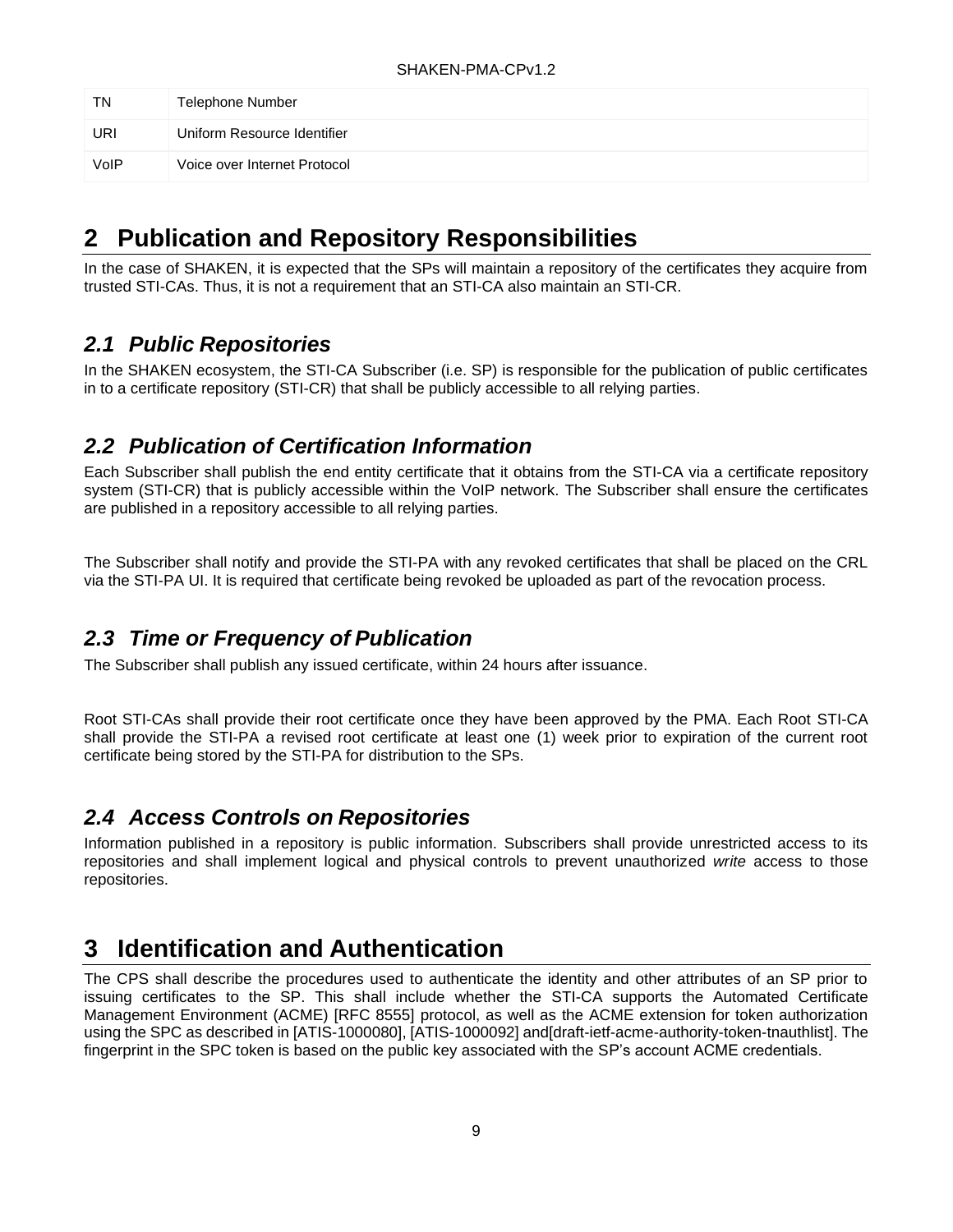| <b>TN</b> | <b>Telephone Number</b>      |
|-----------|------------------------------|
| URI       | Uniform Resource Identifier  |
| VoIP      | Voice over Internet Protocol |

# <span id="page-14-0"></span>**2 Publication and Repository Responsibilities**

In the case of SHAKEN, it is expected that the SPs will maintain a repository of the certificates they acquire from trusted STI-CAs. Thus, it is not a requirement that an STI-CA also maintain an STI-CR.

## <span id="page-14-1"></span>*2.1 Public Repositories*

In the SHAKEN ecosystem, the STI-CA Subscriber (i.e. SP) is responsible for the publication of public certificates in to a certificate repository (STI-CR) that shall be publicly accessible to all relying parties.

## <span id="page-14-2"></span>*2.2 Publication of Certification Information*

Each Subscriber shall publish the end entity certificate that it obtains from the STI-CA via a certificate repository system (STI-CR) that is publicly accessible within the VoIP network. The Subscriber shall ensure the certificates are published in a repository accessible to all relying parties.

The Subscriber shall notify and provide the STI-PA with any revoked certificates that shall be placed on the CRL via the STI-PA UI. It is required that certificate being revoked be uploaded as part of the revocation process.

## <span id="page-14-3"></span>*2.3 Time or Frequency of Publication*

The Subscriber shall publish any issued certificate, within 24 hours after issuance.

Root STI-CAs shall provide their root certificate once they have been approved by the PMA. Each Root STI-CA shall provide the STI-PA a revised root certificate at least one (1) week prior to expiration of the current root certificate being stored by the STI-PA for distribution to the SPs.

## <span id="page-14-4"></span>*2.4 Access Controls on Repositories*

Information published in a repository is public information. Subscribers shall provide unrestricted access to its repositories and shall implement logical and physical controls to prevent unauthorized *write* access to those repositories.

# <span id="page-14-5"></span>**3 Identification and Authentication**

The CPS shall describe the procedures used to authenticate the identity and other attributes of an SP prior to issuing certificates to the SP. This shall include whether the STI-CA supports the Automated Certificate Management Environment (ACME) [RFC 8555] protocol, as well as the ACME extension for token authorization using the SPC as described in [ATIS-1000080], [ATIS-1000092] and[draft-ietf-acme-authority-token-tnauthlist]. The fingerprint in the SPC token is based on the public key associated with the SP's account ACME credentials.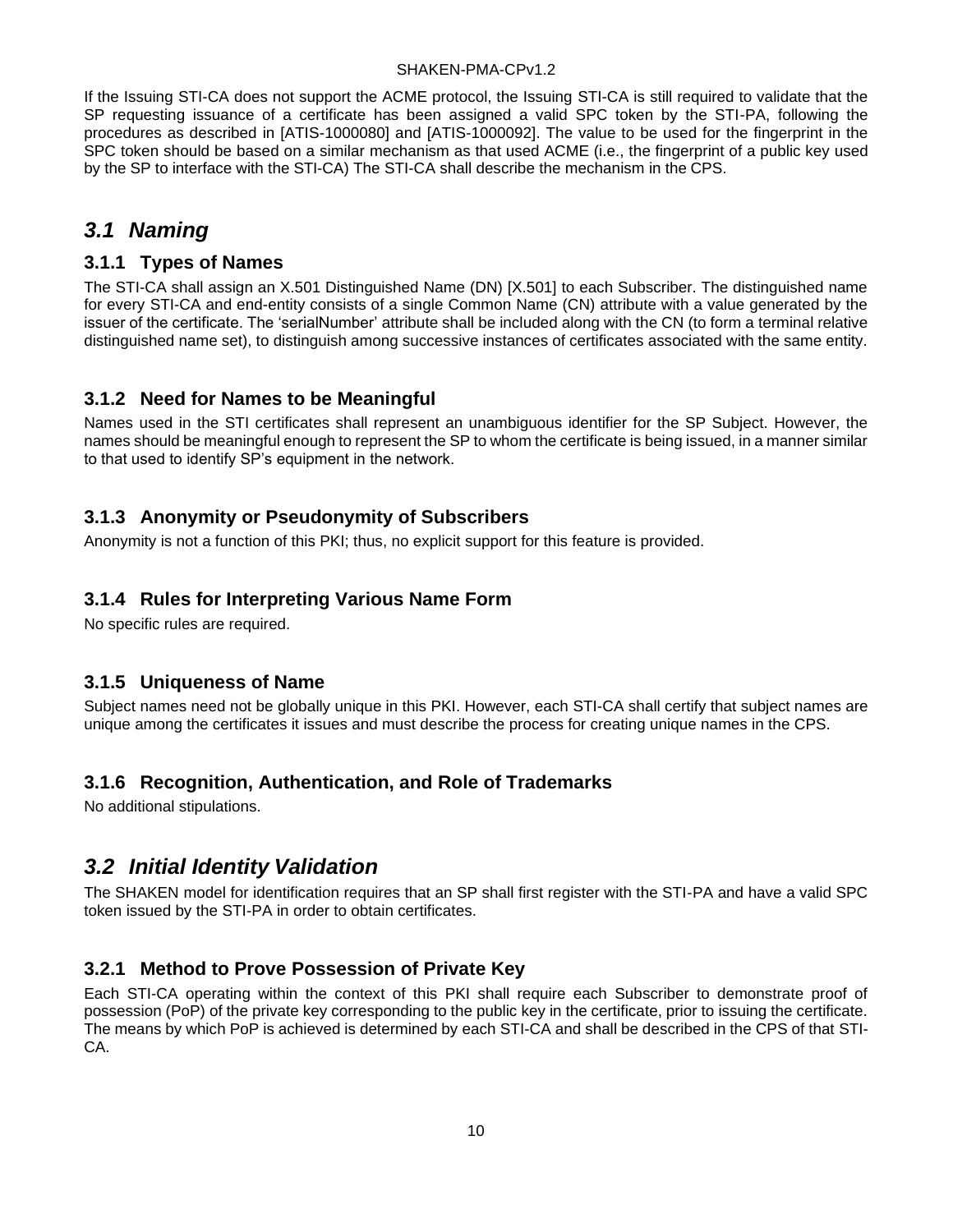If the Issuing STI-CA does not support the ACME protocol, the Issuing STI-CA is still required to validate that the SP requesting issuance of a certificate has been assigned a valid SPC token by the STI-PA, following the procedures as described in [ATIS-1000080] and [ATIS-1000092]. The value to be used for the fingerprint in the SPC token should be based on a similar mechanism as that used ACME (i.e., the fingerprint of a public key used by the SP to interface with the STI-CA) The STI-CA shall describe the mechanism in the CPS.

## <span id="page-15-0"></span>*3.1 Naming*

#### <span id="page-15-1"></span>**3.1.1 Types of Names**

The STI-CA shall assign an X.501 Distinguished Name (DN) [X.501] to each Subscriber. The distinguished name for every STI-CA and end-entity consists of a single Common Name (CN) attribute with a value generated by the issuer of the certificate. The 'serialNumber' attribute shall be included along with the CN (to form a terminal relative distinguished name set), to distinguish among successive instances of certificates associated with the same entity.

#### <span id="page-15-2"></span>**3.1.2 Need for Names to be Meaningful**

Names used in the STI certificates shall represent an unambiguous identifier for the SP Subject. However, the names should be meaningful enough to represent the SP to whom the certificate is being issued, in a manner similar to that used to identify SP's equipment in the network.

#### <span id="page-15-3"></span>**3.1.3 Anonymity or Pseudonymity of Subscribers**

Anonymity is not a function of this PKI; thus, no explicit support for this feature is provided.

#### <span id="page-15-4"></span>**3.1.4 Rules for Interpreting Various Name Form**

No specific rules are required.

#### <span id="page-15-5"></span>**3.1.5 Uniqueness of Name**

Subject names need not be globally unique in this PKI. However, each STI-CA shall certify that subject names are unique among the certificates it issues and must describe the process for creating unique names in the CPS.

### <span id="page-15-6"></span>**3.1.6 Recognition, Authentication, and Role of Trademarks**

No additional stipulations.

## <span id="page-15-7"></span>*3.2 Initial Identity Validation*

The SHAKEN model for identification requires that an SP shall first register with the STI-PA and have a valid SPC token issued by the STI-PA in order to obtain certificates.

#### <span id="page-15-8"></span>**3.2.1 Method to Prove Possession of Private Key**

Each STI-CA operating within the context of this PKI shall require each Subscriber to demonstrate proof of possession (PoP) of the private key corresponding to the public key in the certificate, prior to issuing the certificate. The means by which PoP is achieved is determined by each STI-CA and shall be described in the CPS of that STI-CA.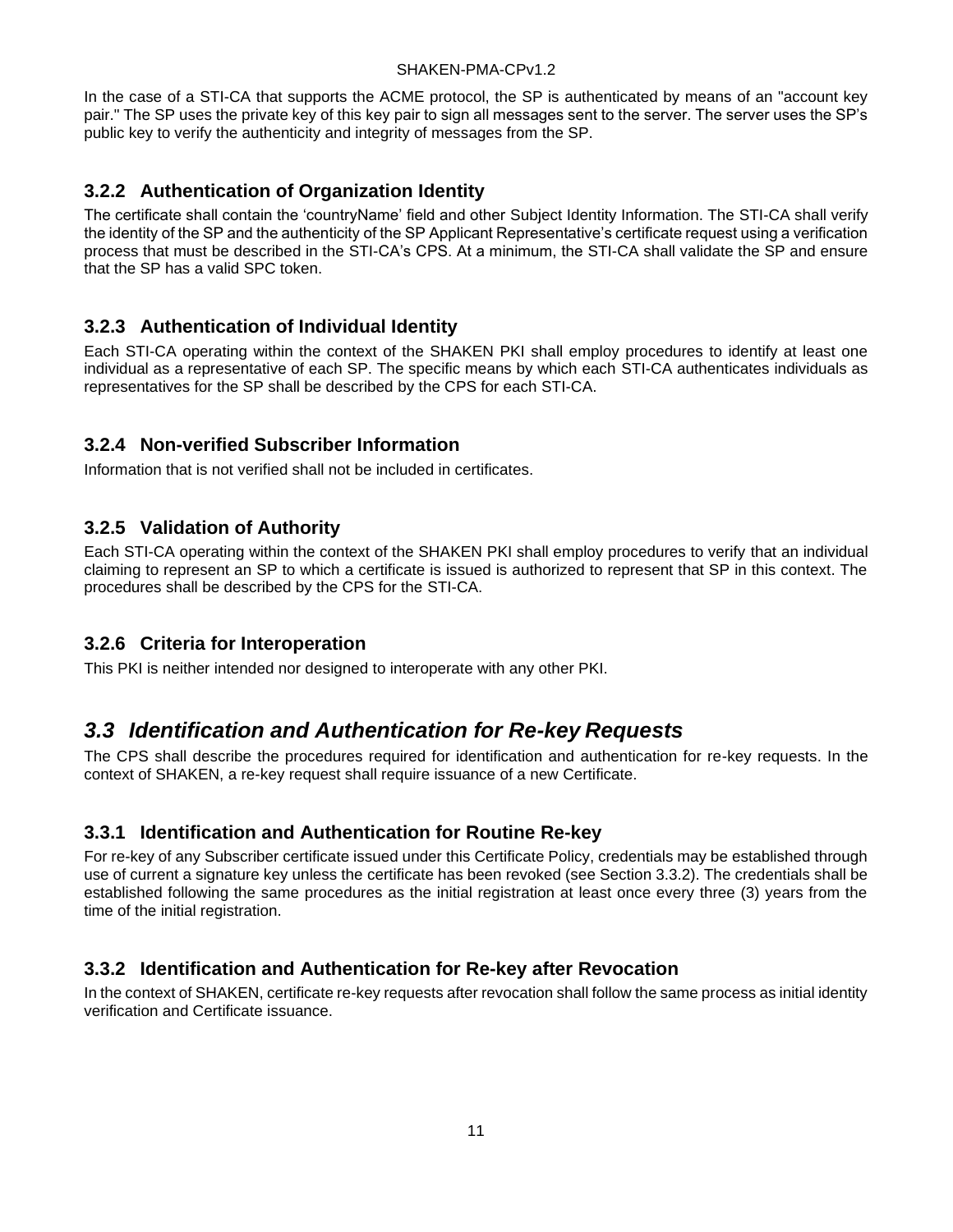In the case of a STI-CA that supports the ACME protocol, the SP is authenticated by means of an "account key pair." The SP uses the private key of this key pair to sign all messages sent to the server. The server uses the SP's public key to verify the authenticity and integrity of messages from the SP.

#### <span id="page-16-0"></span>**3.2.2 Authentication of Organization Identity**

The certificate shall contain the 'countryName' field and other Subject Identity Information. The STI-CA shall verify the identity of the SP and the authenticity of the SP Applicant Representative's certificate request using a verification process that must be described in the STI-CA's CPS. At a minimum, the STI-CA shall validate the SP and ensure that the SP has a valid SPC token.

#### <span id="page-16-1"></span>**3.2.3 Authentication of Individual Identity**

Each STI-CA operating within the context of the SHAKEN PKI shall employ procedures to identify at least one individual as a representative of each SP. The specific means by which each STI-CA authenticates individuals as representatives for the SP shall be described by the CPS for each STI-CA.

#### <span id="page-16-2"></span>**3.2.4 Non-verified Subscriber Information**

Information that is not verified shall not be included in certificates.

#### <span id="page-16-3"></span>**3.2.5 Validation of Authority**

Each STI-CA operating within the context of the SHAKEN PKI shall employ procedures to verify that an individual claiming to represent an SP to which a certificate is issued is authorized to represent that SP in this context. The procedures shall be described by the CPS for the STI-CA.

#### <span id="page-16-4"></span>**3.2.6 Criteria for Interoperation**

This PKI is neither intended nor designed to interoperate with any other PKI.

## <span id="page-16-5"></span>*3.3 Identification and Authentication for Re-key Requests*

The CPS shall describe the procedures required for identification and authentication for re-key requests. In the context of SHAKEN, a re-key request shall require issuance of a new Certificate.

### <span id="page-16-6"></span>**3.3.1 Identification and Authentication for Routine Re-key**

For re-key of any Subscriber certificate issued under this Certificate Policy, credentials may be established through use of current a signature key unless the certificate has been revoked (see Section 3.3.2). The credentials shall be established following the same procedures as the initial registration at least once every three (3) years from the time of the initial registration.

### <span id="page-16-7"></span>**3.3.2 Identification and Authentication for Re-key after Revocation**

In the context of SHAKEN, certificate re-key requests after revocation shall follow the same process as initial identity verification and Certificate issuance.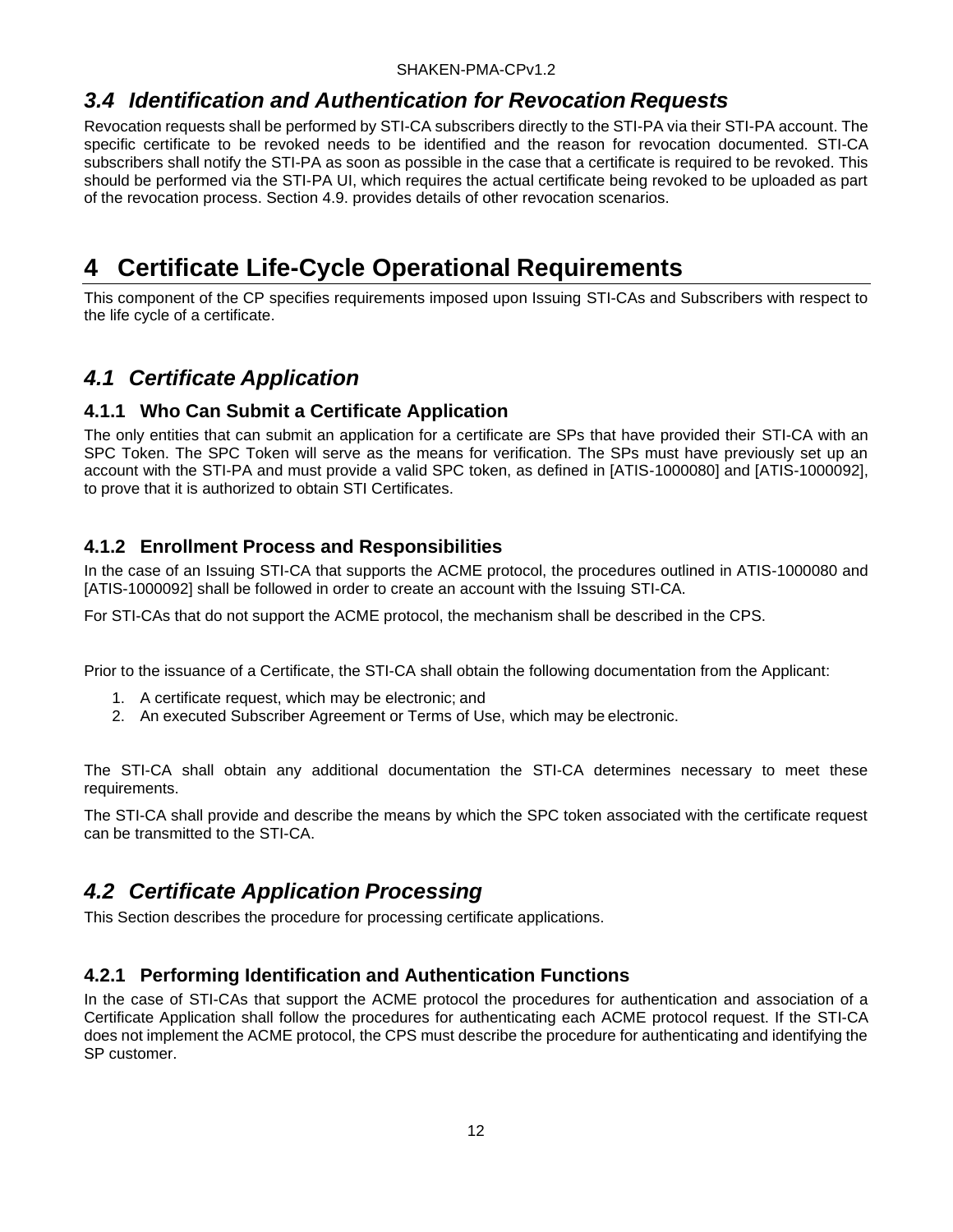## <span id="page-17-0"></span>*3.4 Identification and Authentication for Revocation Requests*

Revocation requests shall be performed by STI-CA subscribers directly to the STI-PA via their STI-PA account. The specific certificate to be revoked needs to be identified and the reason for revocation documented. STI-CA subscribers shall notify the STI-PA as soon as possible in the case that a certificate is required to be revoked. This should be performed via the STI-PA UI, which requires the actual certificate being revoked to be uploaded as part of the revocation process. Section 4.9. provides details of other revocation scenarios.

# <span id="page-17-1"></span>**4 Certificate Life-Cycle Operational Requirements**

This component of the CP specifies requirements imposed upon Issuing STI-CAs and Subscribers with respect to the life cycle of a certificate.

## <span id="page-17-2"></span>*4.1 Certificate Application*

#### <span id="page-17-3"></span>**4.1.1 Who Can Submit a Certificate Application**

The only entities that can submit an application for a certificate are SPs that have provided their STI-CA with an SPC Token. The SPC Token will serve as the means for verification. The SPs must have previously set up an account with the STI-PA and must provide a valid SPC token, as defined in [ATIS-1000080] and [ATIS-1000092], to prove that it is authorized to obtain STI Certificates.

#### <span id="page-17-4"></span>**4.1.2 Enrollment Process and Responsibilities**

In the case of an Issuing STI-CA that supports the ACME protocol, the procedures outlined in ATIS-1000080 and [ATIS-1000092] shall be followed in order to create an account with the Issuing STI-CA.

For STI-CAs that do not support the ACME protocol, the mechanism shall be described in the CPS.

Prior to the issuance of a Certificate, the STI-CA shall obtain the following documentation from the Applicant:

- 1. A certificate request, which may be electronic; and
- 2. An executed Subscriber Agreement or Terms of Use, which may be electronic.

The STI-CA shall obtain any additional documentation the STI-CA determines necessary to meet these requirements.

The STI-CA shall provide and describe the means by which the SPC token associated with the certificate request can be transmitted to the STI-CA.

## <span id="page-17-5"></span>*4.2 Certificate Application Processing*

This Section describes the procedure for processing certificate applications.

#### <span id="page-17-6"></span>**4.2.1 Performing Identification and Authentication Functions**

In the case of STI-CAs that support the ACME protocol the procedures for authentication and association of a Certificate Application shall follow the procedures for authenticating each ACME protocol request. If the STI-CA does not implement the ACME protocol, the CPS must describe the procedure for authenticating and identifying the SP customer.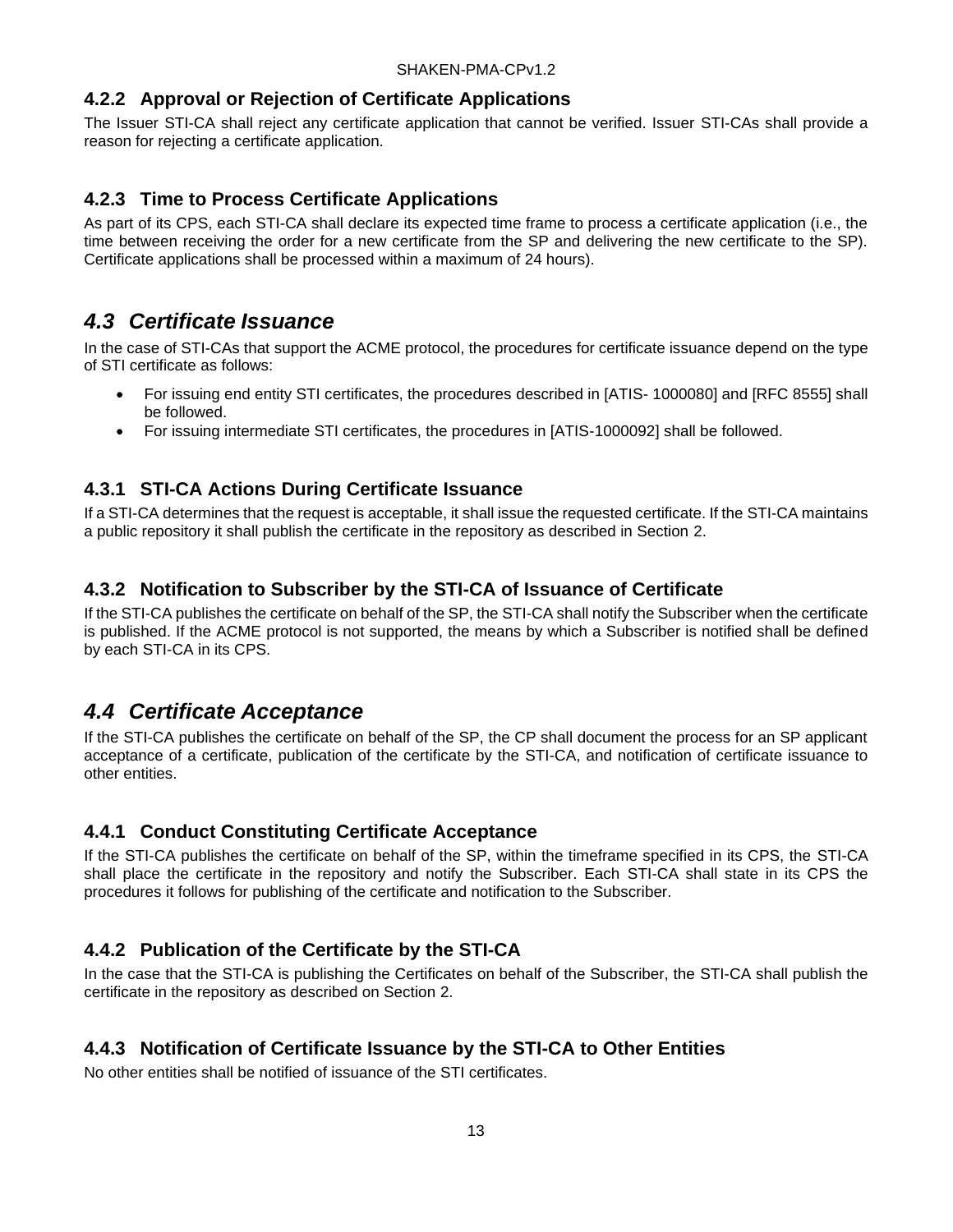#### <span id="page-18-0"></span>**4.2.2 Approval or Rejection of Certificate Applications**

The Issuer STI-CA shall reject any certificate application that cannot be verified. Issuer STI-CAs shall provide a reason for rejecting a certificate application.

#### <span id="page-18-1"></span>**4.2.3 Time to Process Certificate Applications**

As part of its CPS, each STI-CA shall declare its expected time frame to process a certificate application (i.e., the time between receiving the order for a new certificate from the SP and delivering the new certificate to the SP). Certificate applications shall be processed within a maximum of 24 hours).

## <span id="page-18-2"></span>*4.3 Certificate Issuance*

In the case of STI-CAs that support the ACME protocol, the procedures for certificate issuance depend on the type of STI certificate as follows:

- For issuing end entity STI certificates, the procedures described in [ATIS- 1000080] and [RFC 8555] shall be followed.
- For issuing intermediate STI certificates, the procedures in [ATIS-1000092] shall be followed.

#### <span id="page-18-3"></span>**4.3.1 STI-CA Actions During Certificate Issuance**

If a STI-CA determines that the request is acceptable, it shall issue the requested certificate. If the STI-CA maintains a public repository it shall publish the certificate in the repository as described in Section 2.

#### <span id="page-18-4"></span>**4.3.2 Notification to Subscriber by the STI-CA of Issuance of Certificate**

If the STI-CA publishes the certificate on behalf of the SP, the STI-CA shall notify the Subscriber when the certificate is published. If the ACME protocol is not supported, the means by which a Subscriber is notified shall be defined by each STI-CA in its CPS.

## <span id="page-18-5"></span>*4.4 Certificate Acceptance*

If the STI-CA publishes the certificate on behalf of the SP, the CP shall document the process for an SP applicant acceptance of a certificate, publication of the certificate by the STI-CA, and notification of certificate issuance to other entities.

### <span id="page-18-6"></span>**4.4.1 Conduct Constituting Certificate Acceptance**

If the STI-CA publishes the certificate on behalf of the SP, within the timeframe specified in its CPS, the STI-CA shall place the certificate in the repository and notify the Subscriber. Each STI-CA shall state in its CPS the procedures it follows for publishing of the certificate and notification to the Subscriber.

### <span id="page-18-7"></span>**4.4.2 Publication of the Certificate by the STI-CA**

In the case that the STI-CA is publishing the Certificates on behalf of the Subscriber, the STI-CA shall publish the certificate in the repository as described on Section 2.

#### <span id="page-18-8"></span>**4.4.3 Notification of Certificate Issuance by the STI-CA to Other Entities**

No other entities shall be notified of issuance of the STI certificates.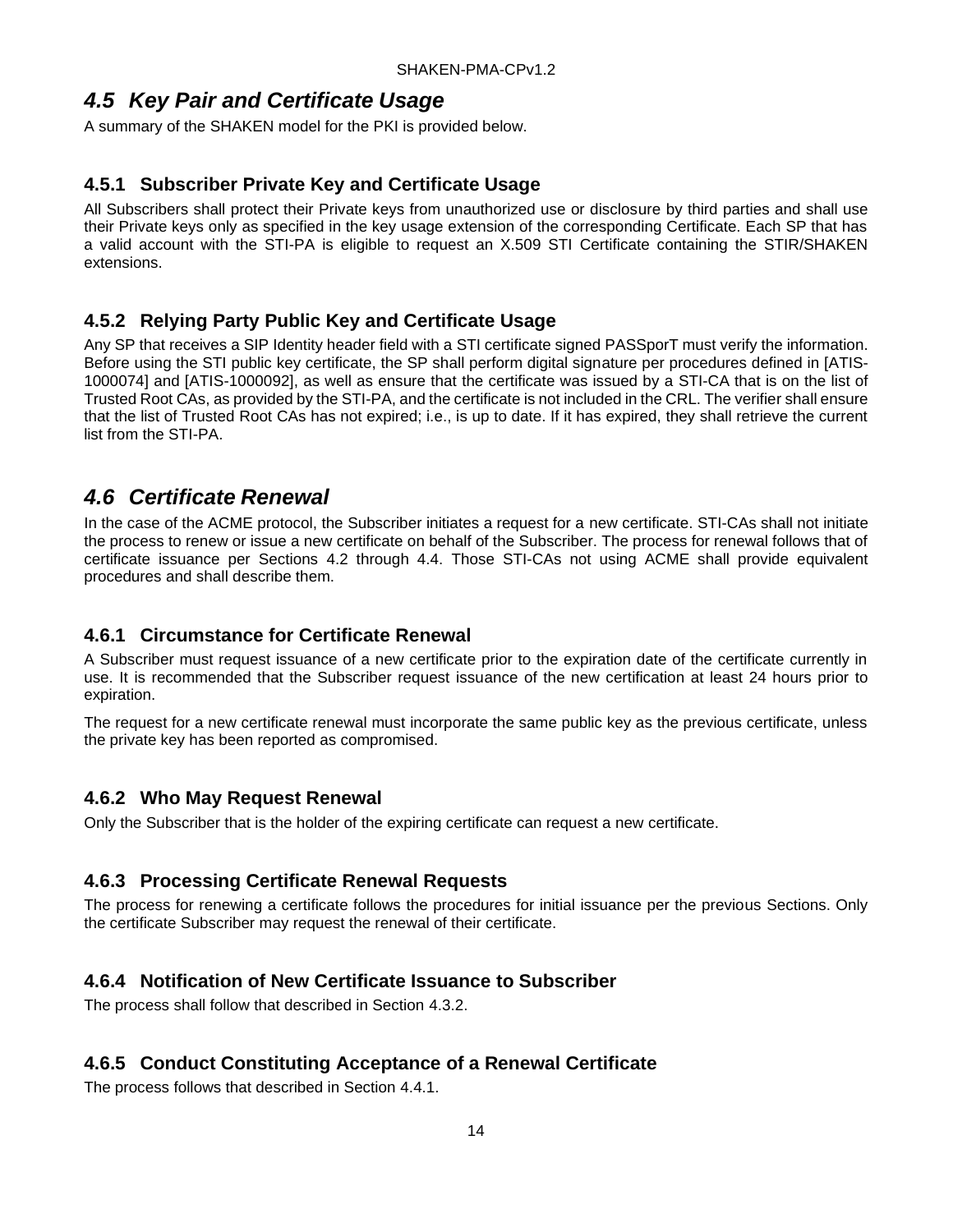## <span id="page-19-0"></span>*4.5 Key Pair and Certificate Usage*

A summary of the SHAKEN model for the PKI is provided below.

#### <span id="page-19-1"></span>**4.5.1 Subscriber Private Key and Certificate Usage**

All Subscribers shall protect their Private keys from unauthorized use or disclosure by third parties and shall use their Private keys only as specified in the key usage extension of the corresponding Certificate. Each SP that has a valid account with the STI-PA is eligible to request an X.509 STI Certificate containing the STIR/SHAKEN extensions.

#### <span id="page-19-2"></span>**4.5.2 Relying Party Public Key and Certificate Usage**

Any SP that receives a SIP Identity header field with a STI certificate signed PASSporT must verify the information. Before using the STI public key certificate, the SP shall perform digital signature per procedures defined in [ATIS-1000074] and [ATIS-1000092], as well as ensure that the certificate was issued by a STI-CA that is on the list of Trusted Root CAs, as provided by the STI-PA, and the certificate is not included in the CRL. The verifier shall ensure that the list of Trusted Root CAs has not expired; i.e., is up to date. If it has expired, they shall retrieve the current list from the STI-PA.

## <span id="page-19-3"></span>*4.6 Certificate Renewal*

In the case of the ACME protocol, the Subscriber initiates a request for a new certificate. STI-CAs shall not initiate the process to renew or issue a new certificate on behalf of the Subscriber. The process for renewal follows that of certificate issuance per Sections 4.2 through 4.4. Those STI-CAs not using ACME shall provide equivalent procedures and shall describe them.

### <span id="page-19-4"></span>**4.6.1 Circumstance for Certificate Renewal**

A Subscriber must request issuance of a new certificate prior to the expiration date of the certificate currently in use. It is recommended that the Subscriber request issuance of the new certification at least 24 hours prior to expiration.

The request for a new certificate renewal must incorporate the same public key as the previous certificate, unless the private key has been reported as compromised.

#### <span id="page-19-5"></span>**4.6.2 Who May Request Renewal**

Only the Subscriber that is the holder of the expiring certificate can request a new certificate.

#### <span id="page-19-6"></span>**4.6.3 Processing Certificate Renewal Requests**

The process for renewing a certificate follows the procedures for initial issuance per the previous Sections. Only the certificate Subscriber may request the renewal of their certificate.

#### <span id="page-19-7"></span>**4.6.4 Notification of New Certificate Issuance to Subscriber**

The process shall follow that described in Section 4.3.2.

### <span id="page-19-8"></span>**4.6.5 Conduct Constituting Acceptance of a Renewal Certificate**

The process follows that described in Section 4.4.1.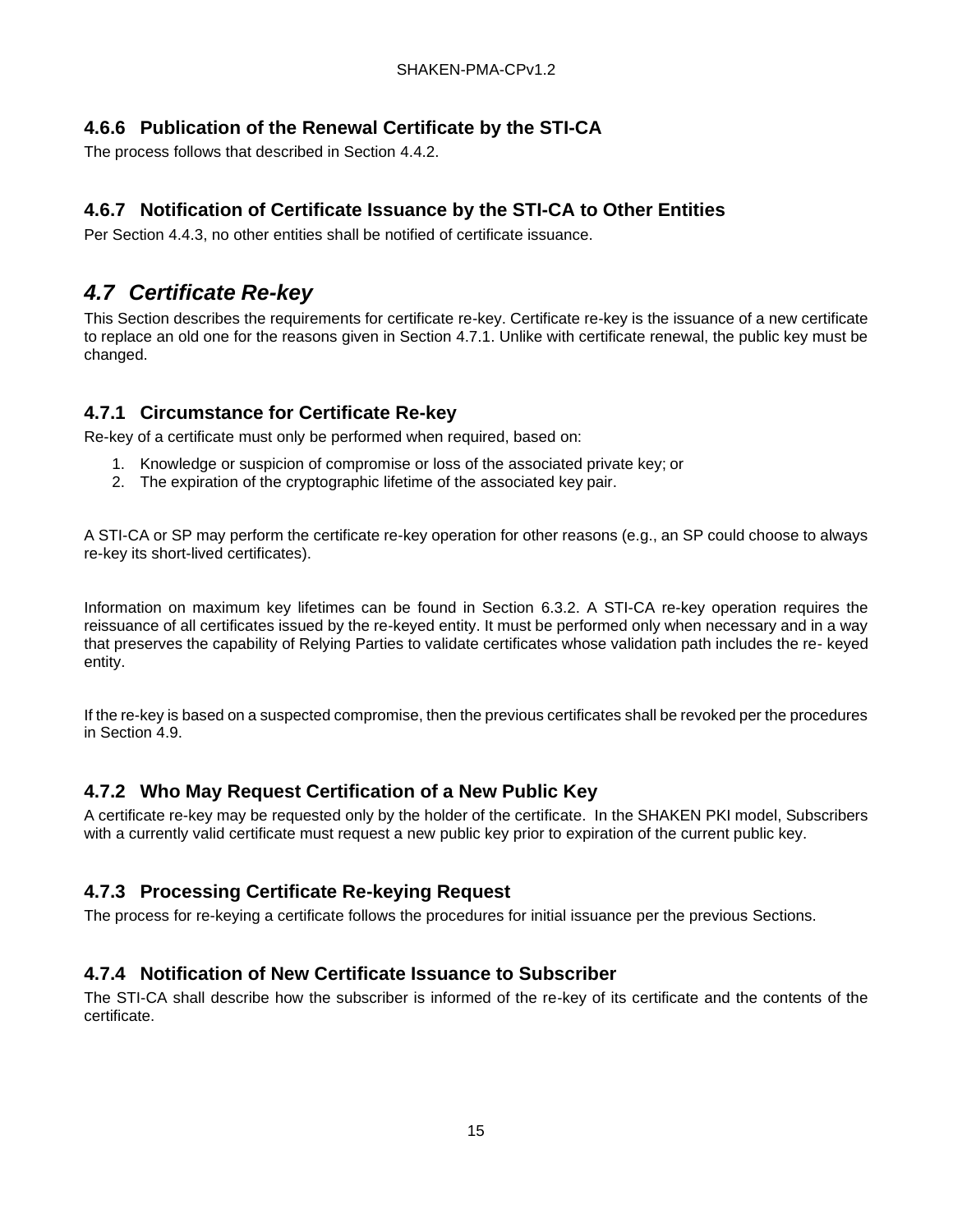### <span id="page-20-0"></span>**4.6.6 Publication of the Renewal Certificate by the STI-CA**

The process follows that described in Section 4.4.2.

### <span id="page-20-1"></span>**4.6.7 Notification of Certificate Issuance by the STI-CA to Other Entities**

Per Section 4.4.3, no other entities shall be notified of certificate issuance.

## <span id="page-20-2"></span>*4.7 Certificate Re-key*

This Section describes the requirements for certificate re-key. Certificate re-key is the issuance of a new certificate to replace an old one for the reasons given in Section 4.7.1. Unlike with certificate renewal, the public key must be changed.

#### <span id="page-20-3"></span>**4.7.1 Circumstance for Certificate Re-key**

Re-key of a certificate must only be performed when required, based on:

- 1. Knowledge or suspicion of compromise or loss of the associated private key; or
- 2. The expiration of the cryptographic lifetime of the associated key pair.

A STI-CA or SP may perform the certificate re-key operation for other reasons (e.g., an SP could choose to always re-key its short-lived certificates).

Information on maximum key lifetimes can be found in Section 6.3.2. A STI-CA re-key operation requires the reissuance of all certificates issued by the re-keyed entity. It must be performed only when necessary and in a way that preserves the capability of Relying Parties to validate certificates whose validation path includes the re- keyed entity.

If the re-key is based on a suspected compromise, then the previous certificates shall be revoked per the procedures in Section 4.9.

### <span id="page-20-4"></span>**4.7.2 Who May Request Certification of a New Public Key**

A certificate re-key may be requested only by the holder of the certificate. In the SHAKEN PKI model, Subscribers with a currently valid certificate must request a new public key prior to expiration of the current public key.

### <span id="page-20-5"></span>**4.7.3 Processing Certificate Re-keying Request**

The process for re-keying a certificate follows the procedures for initial issuance per the previous Sections.

### <span id="page-20-6"></span>**4.7.4 Notification of New Certificate Issuance to Subscriber**

The STI-CA shall describe how the subscriber is informed of the re-key of its certificate and the contents of the certificate.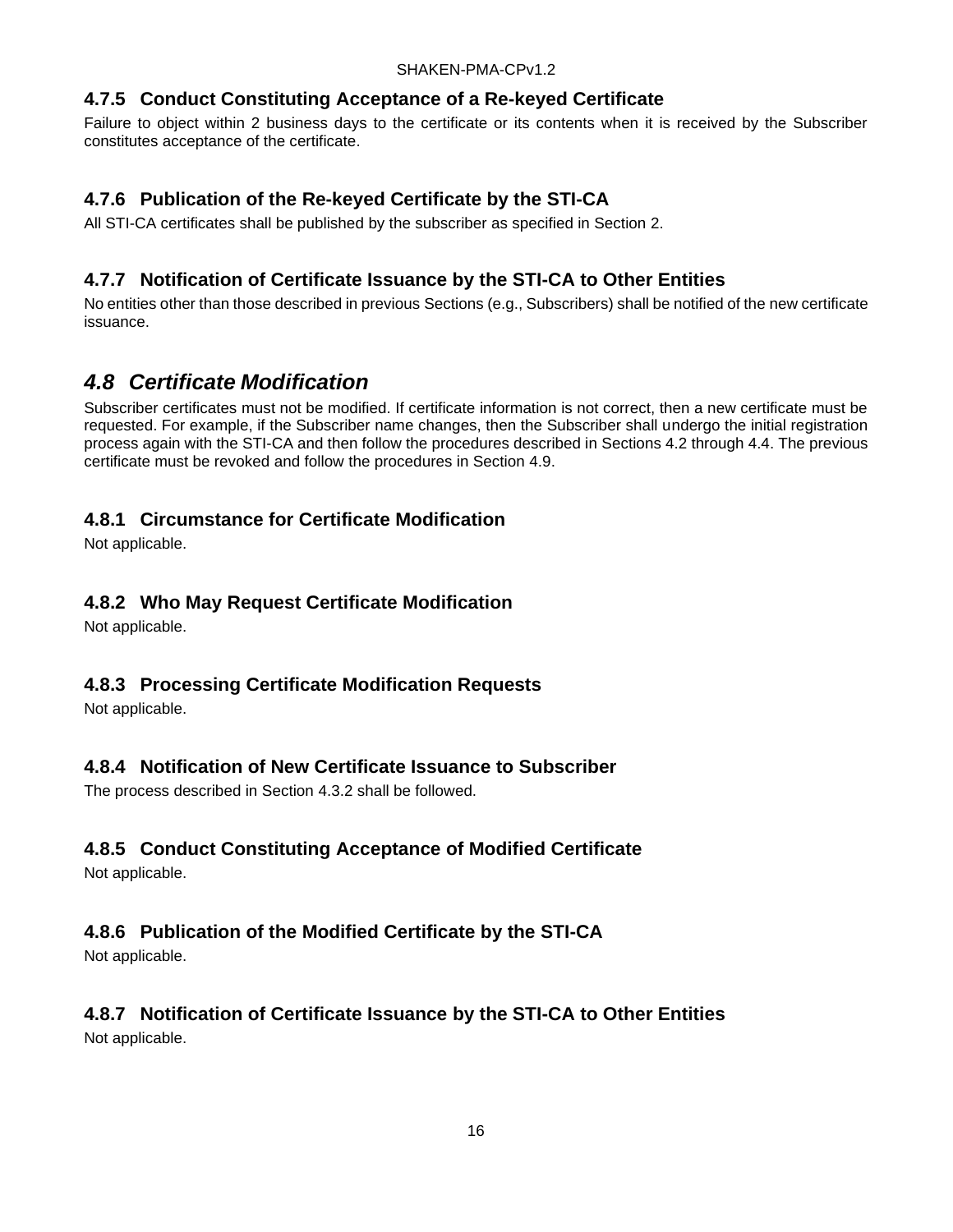### <span id="page-21-0"></span>**4.7.5 Conduct Constituting Acceptance of a Re-keyed Certificate**

Failure to object within 2 business days to the certificate or its contents when it is received by the Subscriber constitutes acceptance of the certificate.

## <span id="page-21-1"></span>**4.7.6 Publication of the Re-keyed Certificate by the STI-CA**

All STI-CA certificates shall be published by the subscriber as specified in Section 2.

### <span id="page-21-2"></span>**4.7.7 Notification of Certificate Issuance by the STI-CA to Other Entities**

No entities other than those described in previous Sections (e.g., Subscribers) shall be notified of the new certificate issuance.

## <span id="page-21-3"></span>*4.8 Certificate Modification*

Subscriber certificates must not be modified. If certificate information is not correct, then a new certificate must be requested. For example, if the Subscriber name changes, then the Subscriber shall undergo the initial registration process again with the STI-CA and then follow the procedures described in Sections 4.2 through 4.4. The previous certificate must be revoked and follow the procedures in Section 4.9.

### <span id="page-21-4"></span>**4.8.1 Circumstance for Certificate Modification**

Not applicable.

### <span id="page-21-5"></span>**4.8.2 Who May Request Certificate Modification**

Not applicable.

### <span id="page-21-6"></span>**4.8.3 Processing Certificate Modification Requests**

Not applicable.

### <span id="page-21-7"></span>**4.8.4 Notification of New Certificate Issuance to Subscriber**

The process described in Section 4.3.2 shall be followed.

## <span id="page-21-8"></span>**4.8.5 Conduct Constituting Acceptance of Modified Certificate**

Not applicable.

## <span id="page-21-9"></span>**4.8.6 Publication of the Modified Certificate by the STI-CA**

Not applicable.

#### <span id="page-21-10"></span>**4.8.7 Notification of Certificate Issuance by the STI-CA to Other Entities** Not applicable.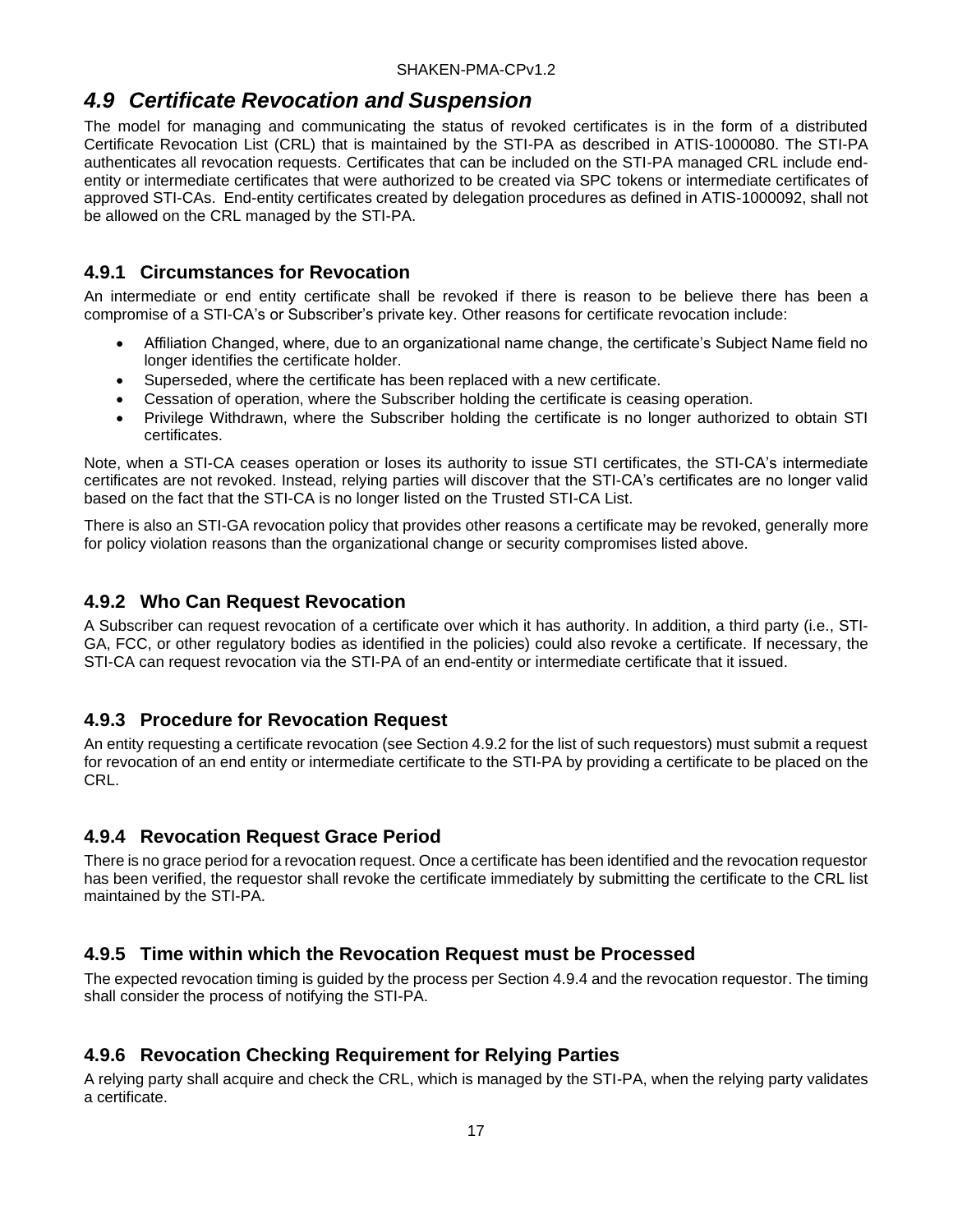## <span id="page-22-0"></span>*4.9 Certificate Revocation and Suspension*

The model for managing and communicating the status of revoked certificates is in the form of a distributed Certificate Revocation List (CRL) that is maintained by the STI-PA as described in ATIS-1000080. The STI-PA authenticates all revocation requests. Certificates that can be included on the STI-PA managed CRL include endentity or intermediate certificates that were authorized to be created via SPC tokens or intermediate certificates of approved STI-CAs. End-entity certificates created by delegation procedures as defined in ATIS-1000092, shall not be allowed on the CRL managed by the STI-PA.

### <span id="page-22-1"></span>**4.9.1 Circumstances for Revocation**

An intermediate or end entity certificate shall be revoked if there is reason to be believe there has been a compromise of a STI-CA's or Subscriber's private key. Other reasons for certificate revocation include:

- Affiliation Changed, where, due to an organizational name change, the certificate's Subject Name field no longer identifies the certificate holder.
- Superseded, where the certificate has been replaced with a new certificate.
- Cessation of operation, where the Subscriber holding the certificate is ceasing operation.
- Privilege Withdrawn, where the Subscriber holding the certificate is no longer authorized to obtain STI certificates.

Note, when a STI-CA ceases operation or loses its authority to issue STI certificates, the STI-CA's intermediate certificates are not revoked. Instead, relying parties will discover that the STI-CA's certificates are no longer valid based on the fact that the STI-CA is no longer listed on the Trusted STI-CA List.

There is also an STI-GA revocation policy that provides other reasons a certificate may be revoked, generally more for policy violation reasons than the organizational change or security compromises listed above.

### <span id="page-22-2"></span>**4.9.2 Who Can Request Revocation**

A Subscriber can request revocation of a certificate over which it has authority. In addition, a third party (i.e., STI-GA, FCC, or other regulatory bodies as identified in the policies) could also revoke a certificate. If necessary, the STI-CA can request revocation via the STI-PA of an end-entity or intermediate certificate that it issued.

#### <span id="page-22-3"></span>**4.9.3 Procedure for Revocation Request**

An entity requesting a certificate revocation (see Section 4.9.2 for the list of such requestors) must submit a request for revocation of an end entity or intermediate certificate to the STI-PA by providing a certificate to be placed on the CRL.

### <span id="page-22-4"></span>**4.9.4 Revocation Request Grace Period**

There is no grace period for a revocation request. Once a certificate has been identified and the revocation requestor has been verified, the requestor shall revoke the certificate immediately by submitting the certificate to the CRL list maintained by the STI-PA.

#### <span id="page-22-5"></span>**4.9.5 Time within which the Revocation Request must be Processed**

The expected revocation timing is guided by the process per Section 4.9.4 and the revocation requestor. The timing shall consider the process of notifying the STI-PA.

### <span id="page-22-6"></span>**4.9.6 Revocation Checking Requirement for Relying Parties**

A relying party shall acquire and check the CRL, which is managed by the STI-PA, when the relying party validates a certificate.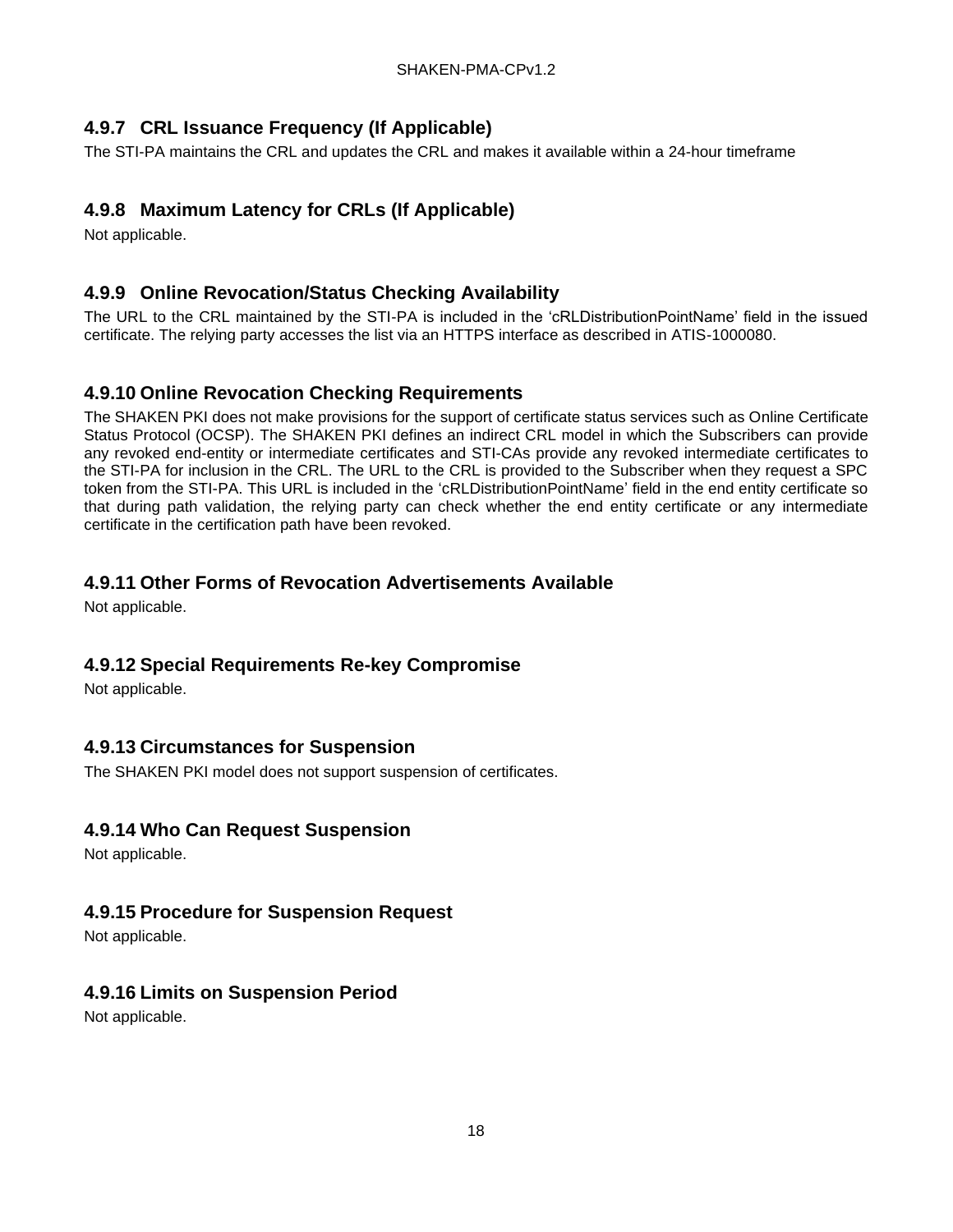## <span id="page-23-0"></span>**4.9.7 CRL Issuance Frequency (If Applicable)**

The STI-PA maintains the CRL and updates the CRL and makes it available within a 24-hour timeframe

### <span id="page-23-1"></span>**4.9.8 Maximum Latency for CRLs (If Applicable)**

Not applicable.

### <span id="page-23-2"></span>**4.9.9 Online Revocation/Status Checking Availability**

The URL to the CRL maintained by the STI-PA is included in the 'cRLDistributionPointName' field in the issued certificate. The relying party accesses the list via an HTTPS interface as described in ATIS-1000080.

### <span id="page-23-3"></span>**4.9.10 Online Revocation Checking Requirements**

The SHAKEN PKI does not make provisions for the support of certificate status services such as Online Certificate Status Protocol (OCSP). The SHAKEN PKI defines an indirect CRL model in which the Subscribers can provide any revoked end-entity or intermediate certificates and STI-CAs provide any revoked intermediate certificates to the STI-PA for inclusion in the CRL. The URL to the CRL is provided to the Subscriber when they request a SPC token from the STI-PA. This URL is included in the 'cRLDistributionPointName' field in the end entity certificate so that during path validation, the relying party can check whether the end entity certificate or any intermediate certificate in the certification path have been revoked.

### <span id="page-23-4"></span>**4.9.11 Other Forms of Revocation Advertisements Available**

Not applicable.

### <span id="page-23-5"></span>**4.9.12 Special Requirements Re-key Compromise**

Not applicable.

### <span id="page-23-6"></span>**4.9.13 Circumstances for Suspension**

The SHAKEN PKI model does not support suspension of certificates.

### <span id="page-23-7"></span>**4.9.14 Who Can Request Suspension**

Not applicable.

### <span id="page-23-8"></span>**4.9.15 Procedure for Suspension Request**

Not applicable.

## <span id="page-23-9"></span>**4.9.16 Limits on Suspension Period**

Not applicable.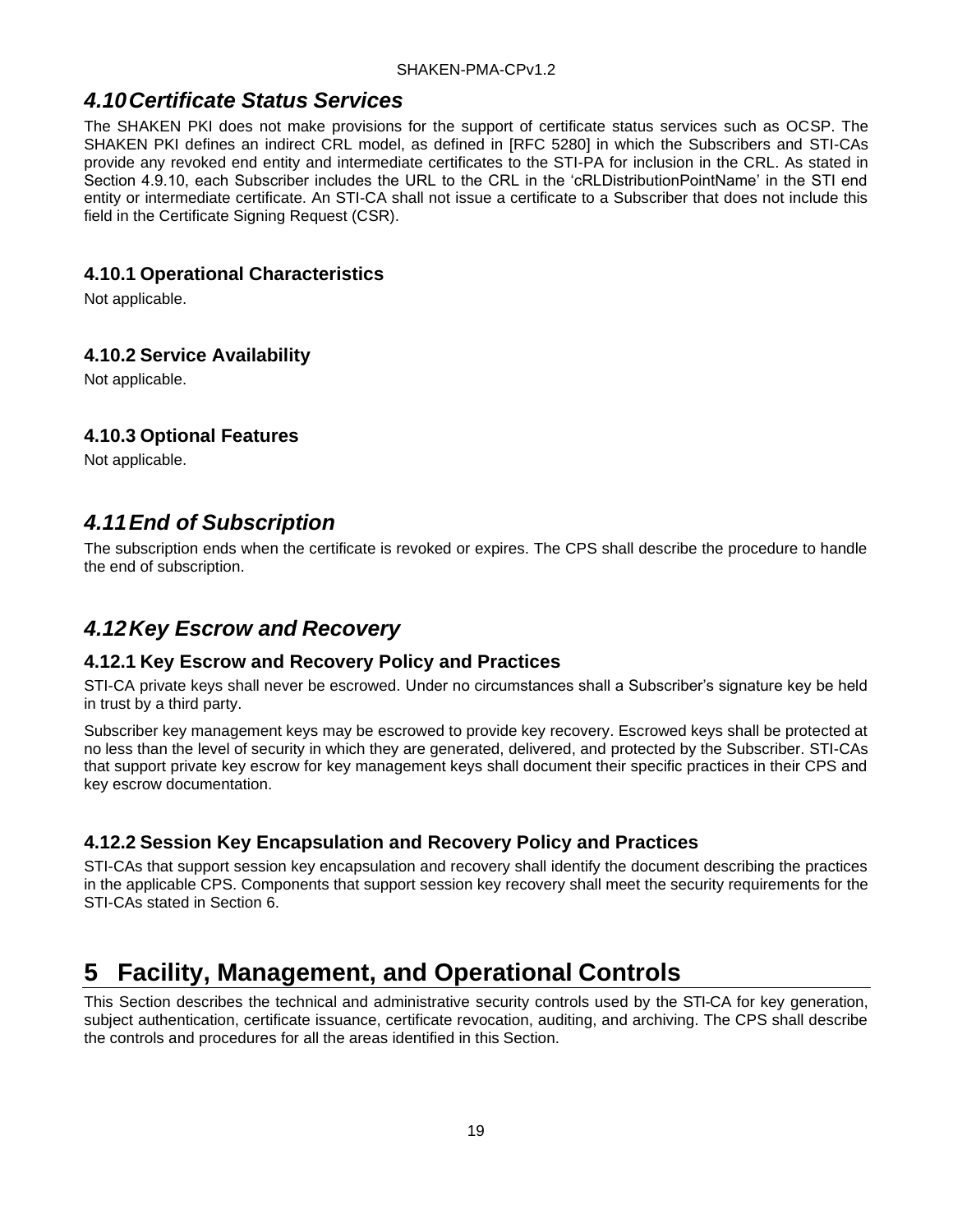## <span id="page-24-0"></span>*4.10Certificate Status Services*

The SHAKEN PKI does not make provisions for the support of certificate status services such as OCSP. The SHAKEN PKI defines an indirect CRL model, as defined in [RFC 5280] in which the Subscribers and STI-CAs provide any revoked end entity and intermediate certificates to the STI-PA for inclusion in the CRL. As stated in Section 4.9.10, each Subscriber includes the URL to the CRL in the 'cRLDistributionPointName' in the STI end entity or intermediate certificate. An STI-CA shall not issue a certificate to a Subscriber that does not include this field in the Certificate Signing Request (CSR).

#### <span id="page-24-1"></span>**4.10.1 Operational Characteristics**

Not applicable.

#### <span id="page-24-2"></span>**4.10.2 Service Availability**

Not applicable.

#### <span id="page-24-3"></span>**4.10.3 Optional Features**

Not applicable.

## <span id="page-24-4"></span>*4.11End of Subscription*

The subscription ends when the certificate is revoked or expires. The CPS shall describe the procedure to handle the end of subscription.

## <span id="page-24-5"></span>*4.12Key Escrow and Recovery*

#### <span id="page-24-6"></span>**4.12.1 Key Escrow and Recovery Policy and Practices**

STI-CA private keys shall never be escrowed. Under no circumstances shall a Subscriber's signature key be held in trust by a third party.

Subscriber key management keys may be escrowed to provide key recovery. Escrowed keys shall be protected at no less than the level of security in which they are generated, delivered, and protected by the Subscriber. STI-CAs that support private key escrow for key management keys shall document their specific practices in their CPS and key escrow documentation.

### <span id="page-24-7"></span>**4.12.2 Session Key Encapsulation and Recovery Policy and Practices**

STI-CAs that support session key encapsulation and recovery shall identify the document describing the practices in the applicable CPS. Components that support session key recovery shall meet the security requirements for the STI-CAs stated in Section 6.

# <span id="page-24-8"></span>**5 Facility, Management, and Operational Controls**

This Section describes the technical and administrative security controls used by the STI-CA for key generation, subject authentication, certificate issuance, certificate revocation, auditing, and archiving. The CPS shall describe the controls and procedures for all the areas identified in this Section.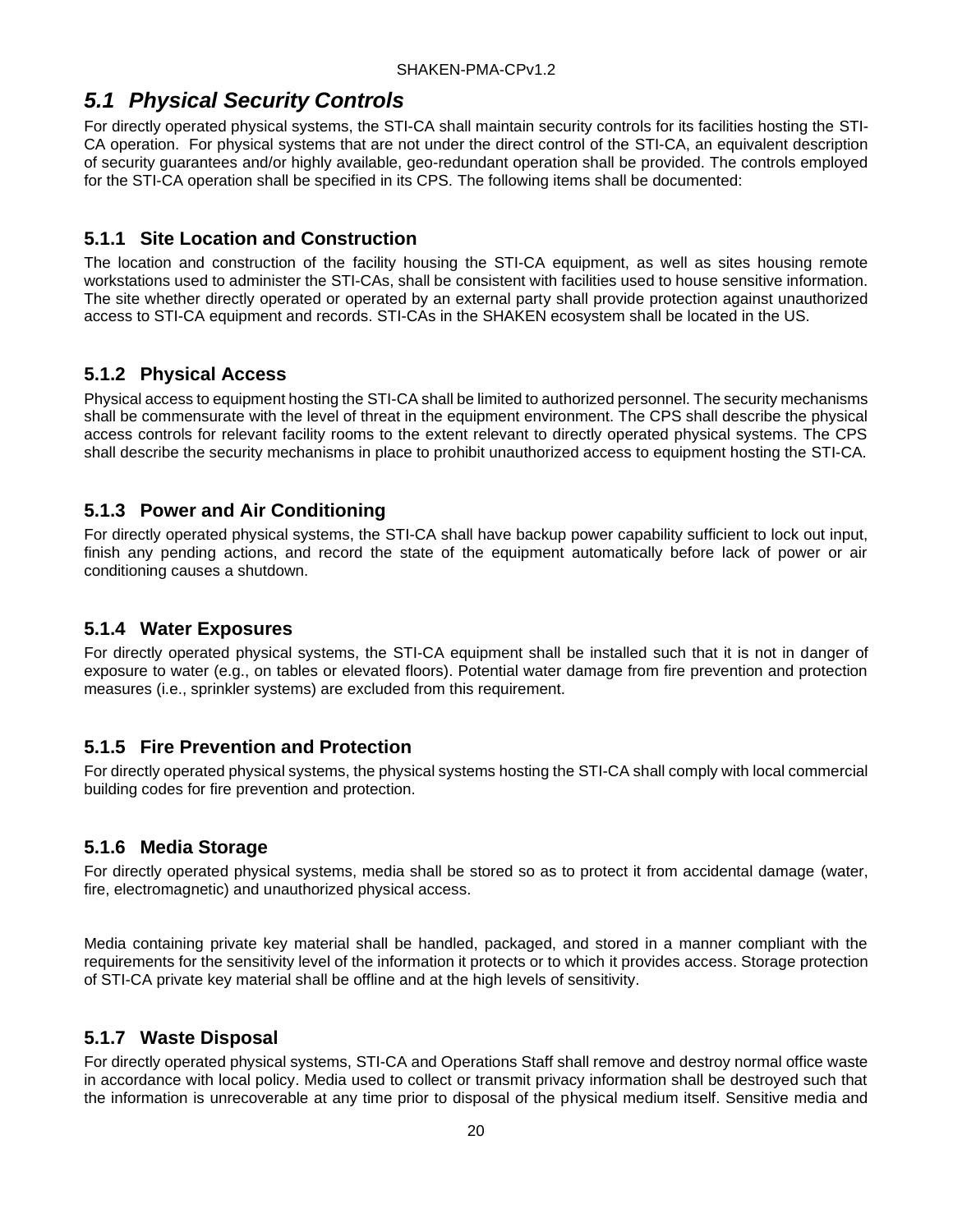## <span id="page-25-0"></span>*5.1 Physical Security Controls*

For directly operated physical systems, the STI-CA shall maintain security controls for its facilities hosting the STI-CA operation. For physical systems that are not under the direct control of the STI-CA, an equivalent description of security guarantees and/or highly available, geo-redundant operation shall be provided. The controls employed for the STI-CA operation shall be specified in its CPS. The following items shall be documented:

### <span id="page-25-1"></span>**5.1.1 Site Location and Construction**

The location and construction of the facility housing the STI-CA equipment, as well as sites housing remote workstations used to administer the STI-CAs, shall be consistent with facilities used to house sensitive information. The site whether directly operated or operated by an external party shall provide protection against unauthorized access to STI-CA equipment and records. STI-CAs in the SHAKEN ecosystem shall be located in the US.

### <span id="page-25-2"></span>**5.1.2 Physical Access**

Physical access to equipment hosting the STI-CA shall be limited to authorized personnel. The security mechanisms shall be commensurate with the level of threat in the equipment environment. The CPS shall describe the physical access controls for relevant facility rooms to the extent relevant to directly operated physical systems. The CPS shall describe the security mechanisms in place to prohibit unauthorized access to equipment hosting the STI-CA.

### <span id="page-25-3"></span>**5.1.3 Power and Air Conditioning**

For directly operated physical systems, the STI-CA shall have backup power capability sufficient to lock out input, finish any pending actions, and record the state of the equipment automatically before lack of power or air conditioning causes a shutdown.

### <span id="page-25-4"></span>**5.1.4 Water Exposures**

For directly operated physical systems, the STI-CA equipment shall be installed such that it is not in danger of exposure to water (e.g., on tables or elevated floors). Potential water damage from fire prevention and protection measures (i.e., sprinkler systems) are excluded from this requirement.

### <span id="page-25-5"></span>**5.1.5 Fire Prevention and Protection**

For directly operated physical systems, the physical systems hosting the STI-CA shall comply with local commercial building codes for fire prevention and protection.

### <span id="page-25-6"></span>**5.1.6 Media Storage**

For directly operated physical systems, media shall be stored so as to protect it from accidental damage (water, fire, electromagnetic) and unauthorized physical access.

Media containing private key material shall be handled, packaged, and stored in a manner compliant with the requirements for the sensitivity level of the information it protects or to which it provides access. Storage protection of STI-CA private key material shall be offline and at the high levels of sensitivity.

### <span id="page-25-7"></span>**5.1.7 Waste Disposal**

For directly operated physical systems, STI-CA and Operations Staff shall remove and destroy normal office waste in accordance with local policy. Media used to collect or transmit privacy information shall be destroyed such that the information is unrecoverable at any time prior to disposal of the physical medium itself. Sensitive media and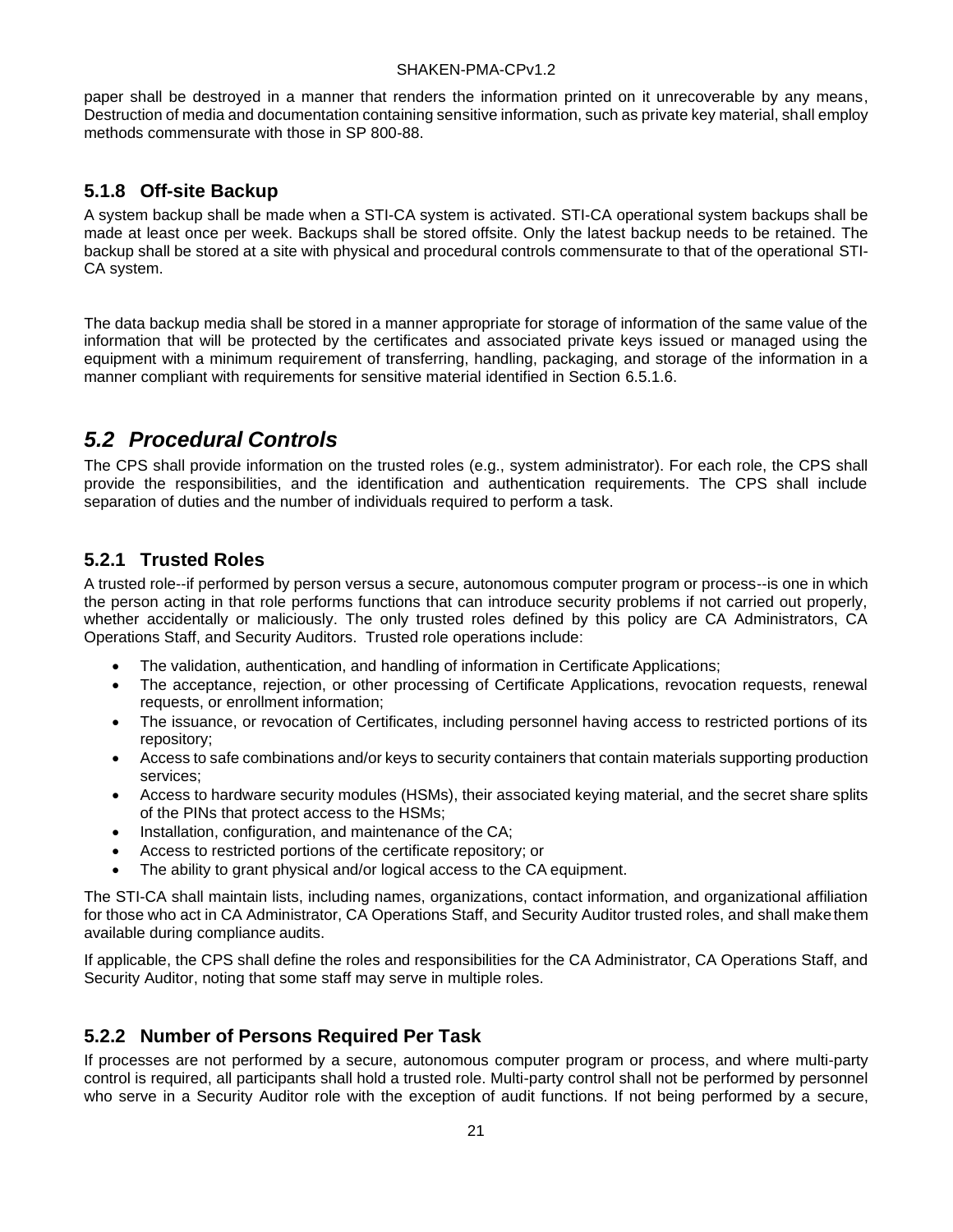paper shall be destroyed in a manner that renders the information printed on it unrecoverable by any means, Destruction of media and documentation containing sensitive information, such as private key material, shall employ methods commensurate with those in SP 800-88.

#### <span id="page-26-0"></span>**5.1.8 Off-site Backup**

A system backup shall be made when a STI-CA system is activated. STI-CA operational system backups shall be made at least once per week. Backups shall be stored offsite. Only the latest backup needs to be retained. The backup shall be stored at a site with physical and procedural controls commensurate to that of the operational STI-CA system.

The data backup media shall be stored in a manner appropriate for storage of information of the same value of the information that will be protected by the certificates and associated private keys issued or managed using the equipment with a minimum requirement of transferring, handling, packaging, and storage of the information in a manner compliant with requirements for sensitive material identified in Section 6.5.1.6.

## <span id="page-26-1"></span>*5.2 Procedural Controls*

The CPS shall provide information on the trusted roles (e.g., system administrator). For each role, the CPS shall provide the responsibilities, and the identification and authentication requirements. The CPS shall include separation of duties and the number of individuals required to perform a task.

### <span id="page-26-2"></span>**5.2.1 Trusted Roles**

A trusted role--if performed by person versus a secure, autonomous computer program or process--is one in which the person acting in that role performs functions that can introduce security problems if not carried out properly, whether accidentally or maliciously. The only trusted roles defined by this policy are CA Administrators, CA Operations Staff, and Security Auditors. Trusted role operations include:

- The validation, authentication, and handling of information in Certificate Applications;
- The acceptance, rejection, or other processing of Certificate Applications, revocation requests, renewal requests, or enrollment information;
- The issuance, or revocation of Certificates, including personnel having access to restricted portions of its repository;
- Access to safe combinations and/or keys to security containers that contain materials supporting production services;
- Access to hardware security modules (HSMs), their associated keying material, and the secret share splits of the PINs that protect access to the HSMs;
- Installation, configuration, and maintenance of the CA;
- Access to restricted portions of the certificate repository; or
- The ability to grant physical and/or logical access to the CA equipment.

The STI-CA shall maintain lists, including names, organizations, contact information, and organizational affiliation for those who act in CA Administrator, CA Operations Staff, and Security Auditor trusted roles, and shall makethem available during compliance audits.

If applicable, the CPS shall define the roles and responsibilities for the CA Administrator, CA Operations Staff, and Security Auditor, noting that some staff may serve in multiple roles.

#### <span id="page-26-3"></span>**5.2.2 Number of Persons Required Per Task**

If processes are not performed by a secure, autonomous computer program or process, and where multi-party control is required, all participants shall hold a trusted role. Multi-party control shall not be performed by personnel who serve in a Security Auditor role with the exception of audit functions. If not being performed by a secure,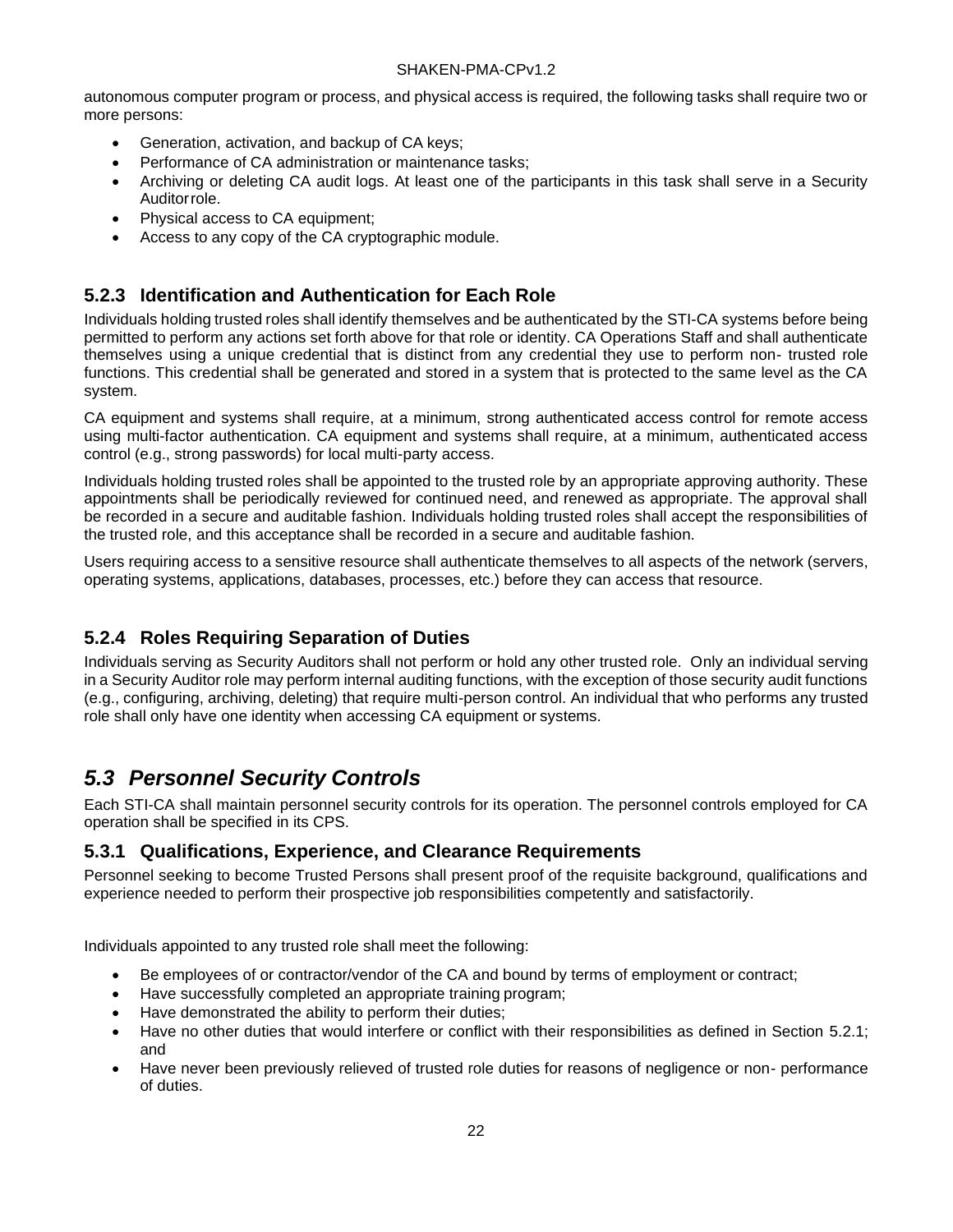autonomous computer program or process, and physical access is required, the following tasks shall require two or more persons:

- Generation, activation, and backup of CA keys;
- Performance of CA administration or maintenance tasks;
- Archiving or deleting CA audit logs. At least one of the participants in this task shall serve in a Security Auditorrole.
- Physical access to CA equipment;
- Access to any copy of the CA cryptographic module.

### <span id="page-27-0"></span>**5.2.3 Identification and Authentication for Each Role**

Individuals holding trusted roles shall identify themselves and be authenticated by the STI-CA systems before being permitted to perform any actions set forth above for that role or identity. CA Operations Staff and shall authenticate themselves using a unique credential that is distinct from any credential they use to perform non- trusted role functions. This credential shall be generated and stored in a system that is protected to the same level as the CA system.

CA equipment and systems shall require, at a minimum, strong authenticated access control for remote access using multi-factor authentication. CA equipment and systems shall require, at a minimum, authenticated access control (e.g., strong passwords) for local multi-party access.

Individuals holding trusted roles shall be appointed to the trusted role by an appropriate approving authority. These appointments shall be periodically reviewed for continued need, and renewed as appropriate. The approval shall be recorded in a secure and auditable fashion. Individuals holding trusted roles shall accept the responsibilities of the trusted role, and this acceptance shall be recorded in a secure and auditable fashion.

Users requiring access to a sensitive resource shall authenticate themselves to all aspects of the network (servers, operating systems, applications, databases, processes, etc.) before they can access that resource.

## <span id="page-27-1"></span>**5.2.4 Roles Requiring Separation of Duties**

Individuals serving as Security Auditors shall not perform or hold any other trusted role. Only an individual serving in a Security Auditor role may perform internal auditing functions, with the exception of those security audit functions (e.g., configuring, archiving, deleting) that require multi-person control. An individual that who performs any trusted role shall only have one identity when accessing CA equipment or systems.

## <span id="page-27-2"></span>*5.3 Personnel Security Controls*

Each STI-CA shall maintain personnel security controls for its operation. The personnel controls employed for CA operation shall be specified in its CPS.

#### <span id="page-27-3"></span>**5.3.1 Qualifications, Experience, and Clearance Requirements**

Personnel seeking to become Trusted Persons shall present proof of the requisite background, qualifications and experience needed to perform their prospective job responsibilities competently and satisfactorily.

Individuals appointed to any trusted role shall meet the following:

- Be employees of or contractor/vendor of the CA and bound by terms of employment or contract;
- Have successfully completed an appropriate training program;
- Have demonstrated the ability to perform their duties;
- Have no other duties that would interfere or conflict with their responsibilities as defined in Section 5.2.1; and
- Have never been previously relieved of trusted role duties for reasons of negligence or non- performance of duties.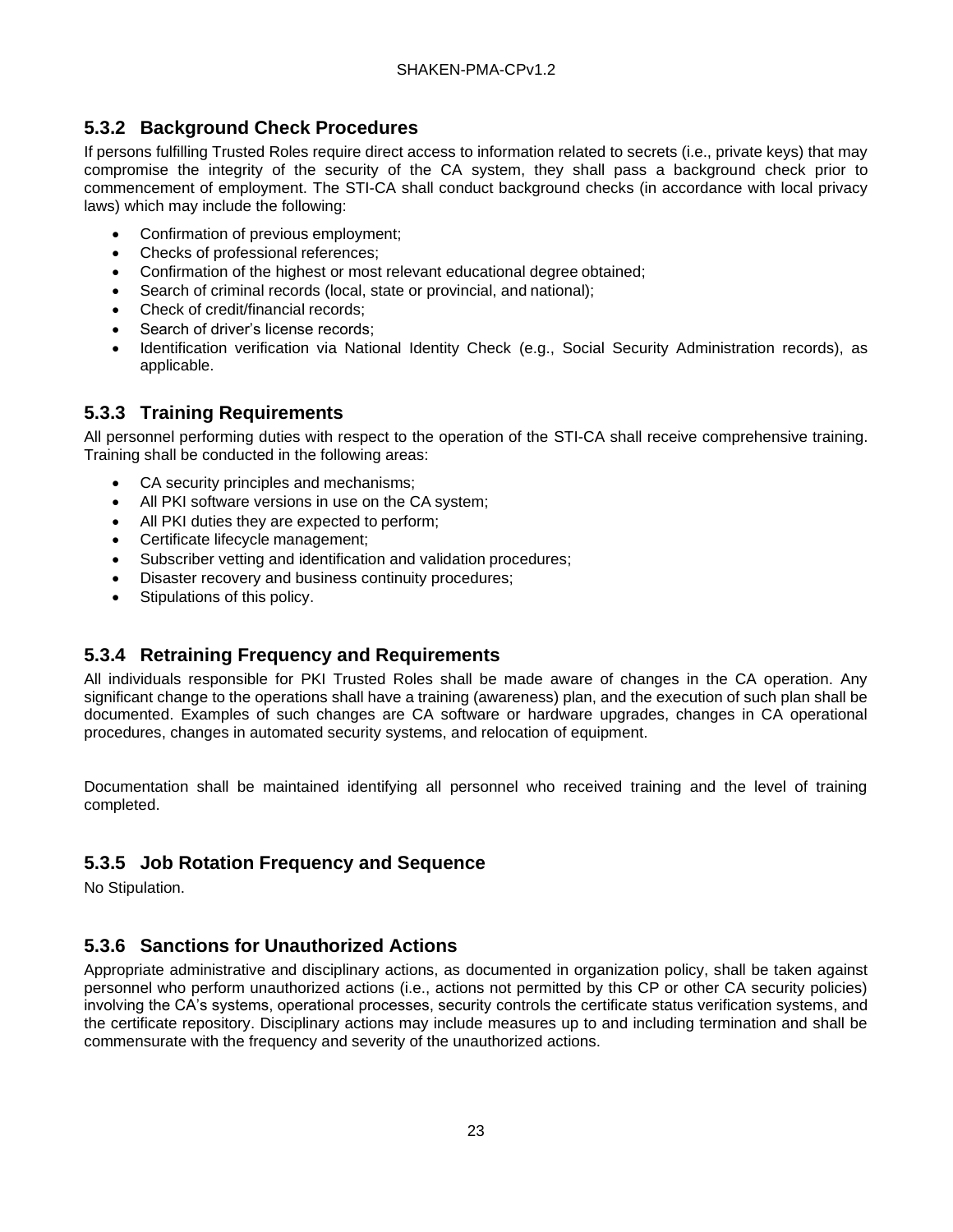### <span id="page-28-0"></span>**5.3.2 Background Check Procedures**

If persons fulfilling Trusted Roles require direct access to information related to secrets (i.e., private keys) that may compromise the integrity of the security of the CA system, they shall pass a background check prior to commencement of employment. The STI-CA shall conduct background checks (in accordance with local privacy laws) which may include the following:

- Confirmation of previous employment;
- Checks of professional references;
- Confirmation of the highest or most relevant educational degree obtained;
- Search of criminal records (local, state or provincial, and national);
- Check of credit/financial records;
- Search of driver's license records:
- Identification verification via National Identity Check (e.g., Social Security Administration records), as applicable.

### <span id="page-28-1"></span>**5.3.3 Training Requirements**

All personnel performing duties with respect to the operation of the STI-CA shall receive comprehensive training. Training shall be conducted in the following areas:

- CA security principles and mechanisms;
- All PKI software versions in use on the CA system;
- All PKI duties they are expected to perform;
- Certificate lifecycle management;
- Subscriber vetting and identification and validation procedures;
- Disaster recovery and business continuity procedures;
- Stipulations of this policy.

### <span id="page-28-2"></span>**5.3.4 Retraining Frequency and Requirements**

All individuals responsible for PKI Trusted Roles shall be made aware of changes in the CA operation. Any significant change to the operations shall have a training (awareness) plan, and the execution of such plan shall be documented. Examples of such changes are CA software or hardware upgrades, changes in CA operational procedures, changes in automated security systems, and relocation of equipment.

Documentation shall be maintained identifying all personnel who received training and the level of training completed.

### <span id="page-28-3"></span>**5.3.5 Job Rotation Frequency and Sequence**

No Stipulation.

### <span id="page-28-4"></span>**5.3.6 Sanctions for Unauthorized Actions**

Appropriate administrative and disciplinary actions, as documented in organization policy, shall be taken against personnel who perform unauthorized actions (i.e., actions not permitted by this CP or other CA security policies) involving the CA's systems, operational processes, security controls the certificate status verification systems, and the certificate repository. Disciplinary actions may include measures up to and including termination and shall be commensurate with the frequency and severity of the unauthorized actions.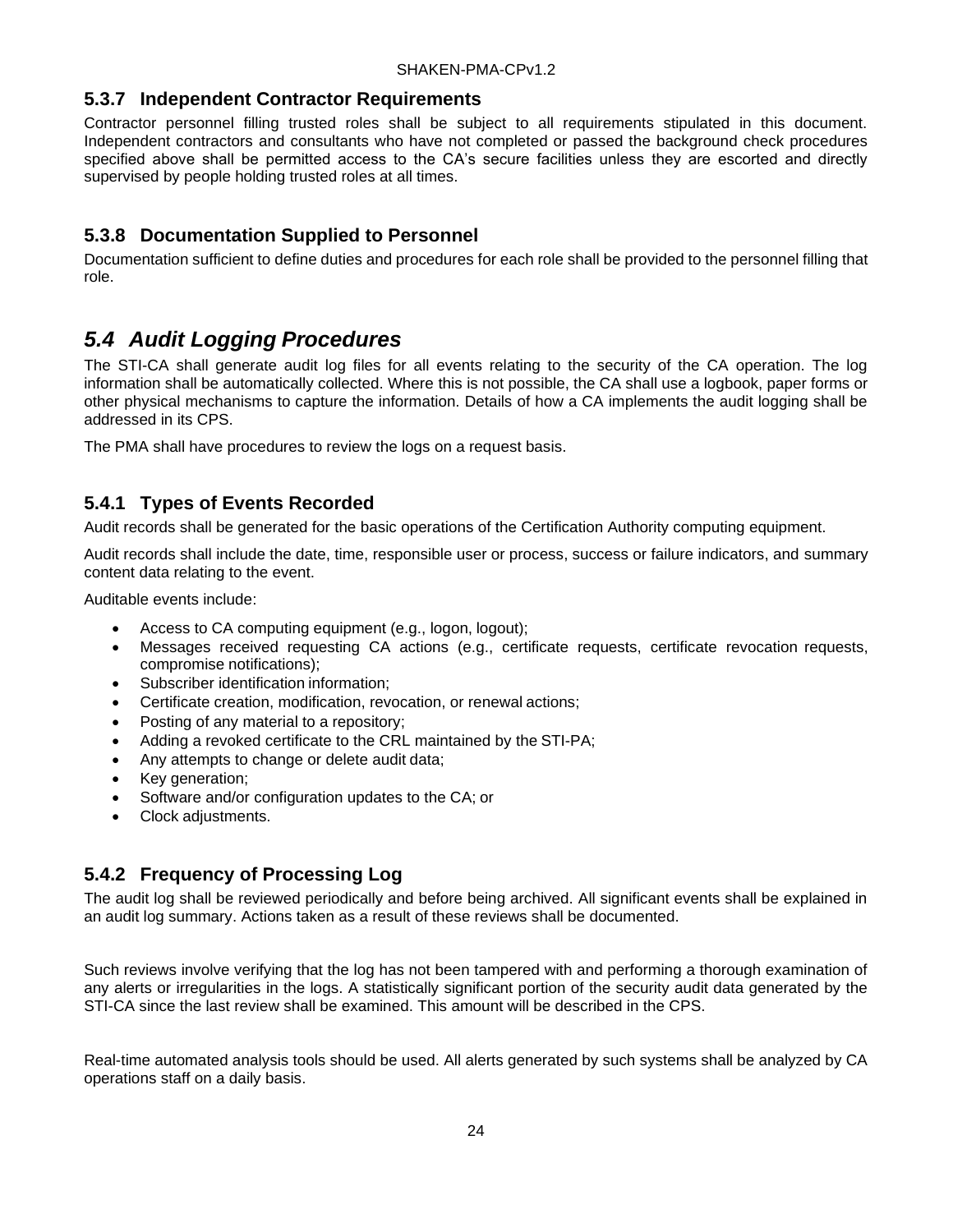#### <span id="page-29-0"></span>**5.3.7 Independent Contractor Requirements**

Contractor personnel filling trusted roles shall be subject to all requirements stipulated in this document. Independent contractors and consultants who have not completed or passed the background check procedures specified above shall be permitted access to the CA's secure facilities unless they are escorted and directly supervised by people holding trusted roles at all times.

#### <span id="page-29-1"></span>**5.3.8 Documentation Supplied to Personnel**

Documentation sufficient to define duties and procedures for each role shall be provided to the personnel filling that role.

## <span id="page-29-2"></span>*5.4 Audit Logging Procedures*

The STI-CA shall generate audit log files for all events relating to the security of the CA operation. The log information shall be automatically collected. Where this is not possible, the CA shall use a logbook, paper forms or other physical mechanisms to capture the information. Details of how a CA implements the audit logging shall be addressed in its CPS.

The PMA shall have procedures to review the logs on a request basis.

### <span id="page-29-3"></span>**5.4.1 Types of Events Recorded**

Audit records shall be generated for the basic operations of the Certification Authority computing equipment.

Audit records shall include the date, time, responsible user or process, success or failure indicators, and summary content data relating to the event.

Auditable events include:

- Access to CA computing equipment (e.g., logon, logout);
- Messages received requesting CA actions (e.g., certificate requests, certificate revocation requests, compromise notifications);
- Subscriber identification information;
- Certificate creation, modification, revocation, or renewal actions;
- Posting of any material to a repository;
- Adding a revoked certificate to the CRL maintained by the STI-PA;
- Any attempts to change or delete audit data;
- Key generation;
- Software and/or configuration updates to the CA; or
- Clock adjustments.

#### <span id="page-29-4"></span>**5.4.2 Frequency of Processing Log**

The audit log shall be reviewed periodically and before being archived. All significant events shall be explained in an audit log summary. Actions taken as a result of these reviews shall be documented.

Such reviews involve verifying that the log has not been tampered with and performing a thorough examination of any alerts or irregularities in the logs. A statistically significant portion of the security audit data generated by the STI-CA since the last review shall be examined. This amount will be described in the CPS.

Real-time automated analysis tools should be used. All alerts generated by such systems shall be analyzed by CA operations staff on a daily basis.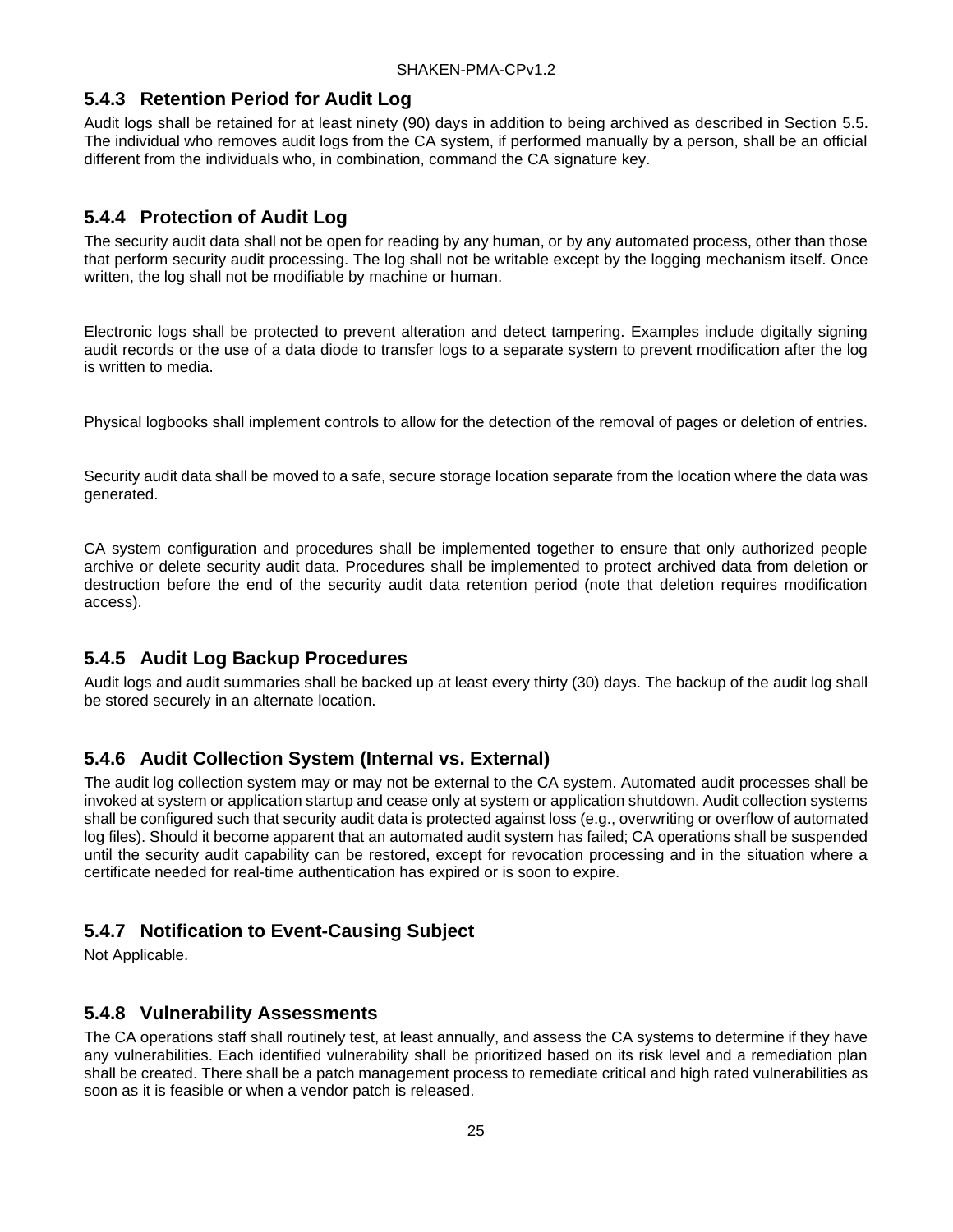#### <span id="page-30-0"></span>**5.4.3 Retention Period for Audit Log**

Audit logs shall be retained for at least ninety (90) days in addition to being archived as described in Section 5.5. The individual who removes audit logs from the CA system, if performed manually by a person, shall be an official different from the individuals who, in combination, command the CA signature key.

### <span id="page-30-1"></span>**5.4.4 Protection of Audit Log**

The security audit data shall not be open for reading by any human, or by any automated process, other than those that perform security audit processing. The log shall not be writable except by the logging mechanism itself. Once written, the log shall not be modifiable by machine or human.

Electronic logs shall be protected to prevent alteration and detect tampering. Examples include digitally signing audit records or the use of a data diode to transfer logs to a separate system to prevent modification after the log is written to media.

Physical logbooks shall implement controls to allow for the detection of the removal of pages or deletion of entries.

Security audit data shall be moved to a safe, secure storage location separate from the location where the data was generated.

CA system configuration and procedures shall be implemented together to ensure that only authorized people archive or delete security audit data. Procedures shall be implemented to protect archived data from deletion or destruction before the end of the security audit data retention period (note that deletion requires modification access).

### <span id="page-30-2"></span>**5.4.5 Audit Log Backup Procedures**

Audit logs and audit summaries shall be backed up at least every thirty (30) days. The backup of the audit log shall be stored securely in an alternate location.

### <span id="page-30-3"></span>**5.4.6 Audit Collection System (Internal vs. External)**

The audit log collection system may or may not be external to the CA system. Automated audit processes shall be invoked at system or application startup and cease only at system or application shutdown. Audit collection systems shall be configured such that security audit data is protected against loss (e.g., overwriting or overflow of automated log files). Should it become apparent that an automated audit system has failed; CA operations shall be suspended until the security audit capability can be restored, except for revocation processing and in the situation where a certificate needed for real-time authentication has expired or is soon to expire.

### <span id="page-30-4"></span>**5.4.7 Notification to Event-Causing Subject**

Not Applicable.

### <span id="page-30-5"></span>**5.4.8 Vulnerability Assessments**

The CA operations staff shall routinely test, at least annually, and assess the CA systems to determine if they have any vulnerabilities. Each identified vulnerability shall be prioritized based on its risk level and a remediation plan shall be created. There shall be a patch management process to remediate critical and high rated vulnerabilities as soon as it is feasible or when a vendor patch is released.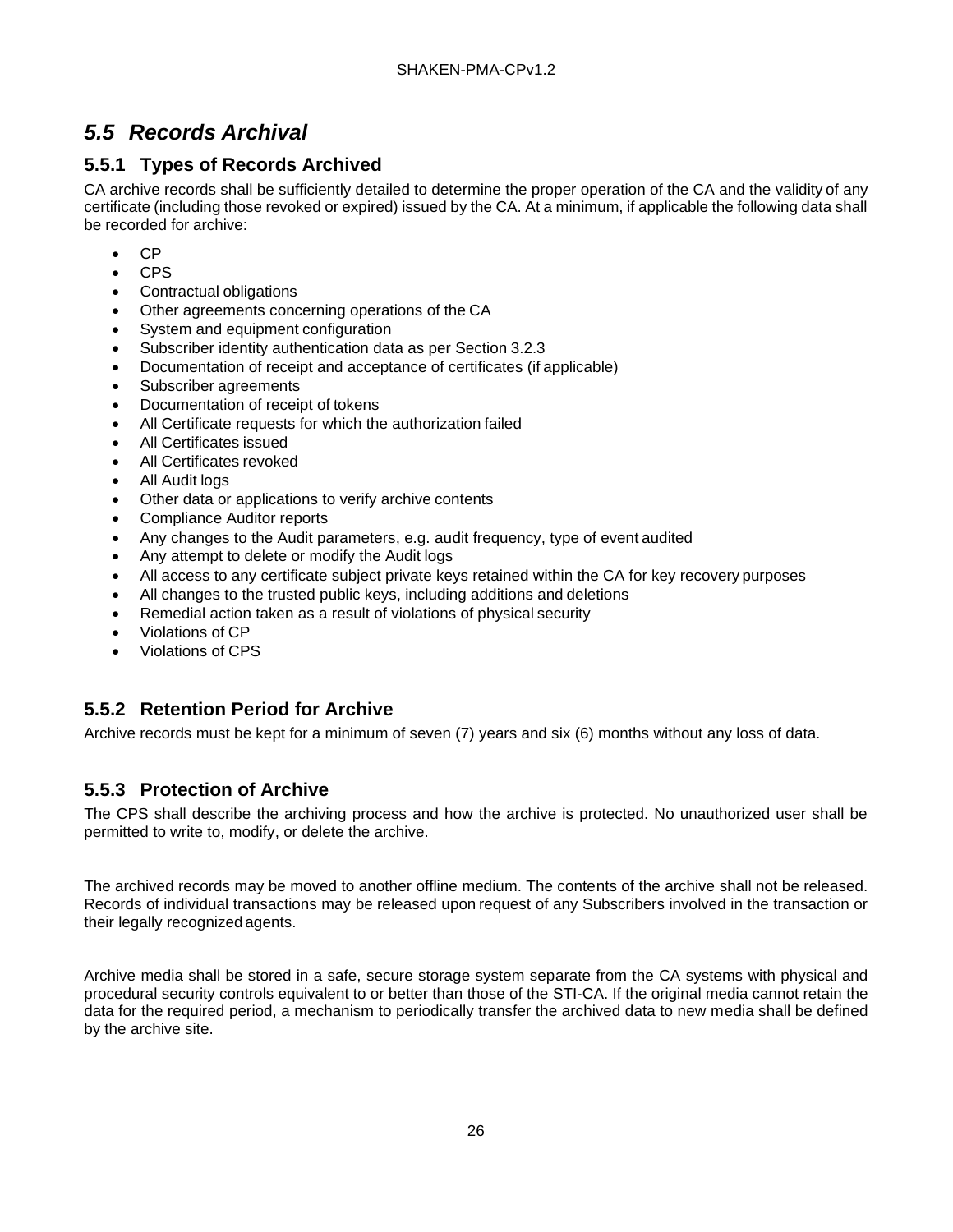## <span id="page-31-0"></span>*5.5 Records Archival*

### <span id="page-31-1"></span>**5.5.1 Types of Records Archived**

CA archive records shall be sufficiently detailed to determine the proper operation of the CA and the validity of any certificate (including those revoked or expired) issued by the CA. At a minimum, if applicable the following data shall be recorded for archive:

- CP
- CPS
- Contractual obligations
- Other agreements concerning operations of the CA
- System and equipment configuration
- Subscriber identity authentication data as per Section 3.2.3
- Documentation of receipt and acceptance of certificates (if applicable)
- Subscriber agreements
- Documentation of receipt of tokens
- All Certificate requests for which the authorization failed
- All Certificates issued
- All Certificates revoked
- All Audit logs
- Other data or applications to verify archive contents
- Compliance Auditor reports
- Any changes to the Audit parameters, e.g. audit frequency, type of event audited
- Any attempt to delete or modify the Audit logs
- All access to any certificate subject private keys retained within the CA for key recovery purposes
- All changes to the trusted public keys, including additions and deletions
- Remedial action taken as a result of violations of physical security
- Violations of CP
- Violations of CPS

### <span id="page-31-2"></span>**5.5.2 Retention Period for Archive**

Archive records must be kept for a minimum of seven (7) years and six (6) months without any loss of data.

### <span id="page-31-3"></span>**5.5.3 Protection of Archive**

The CPS shall describe the archiving process and how the archive is protected. No unauthorized user shall be permitted to write to, modify, or delete the archive.

The archived records may be moved to another offline medium. The contents of the archive shall not be released. Records of individual transactions may be released upon request of any Subscribers involved in the transaction or their legally recognized agents.

Archive media shall be stored in a safe, secure storage system separate from the CA systems with physical and procedural security controls equivalent to or better than those of the STI-CA. If the original media cannot retain the data for the required period, a mechanism to periodically transfer the archived data to new media shall be defined by the archive site.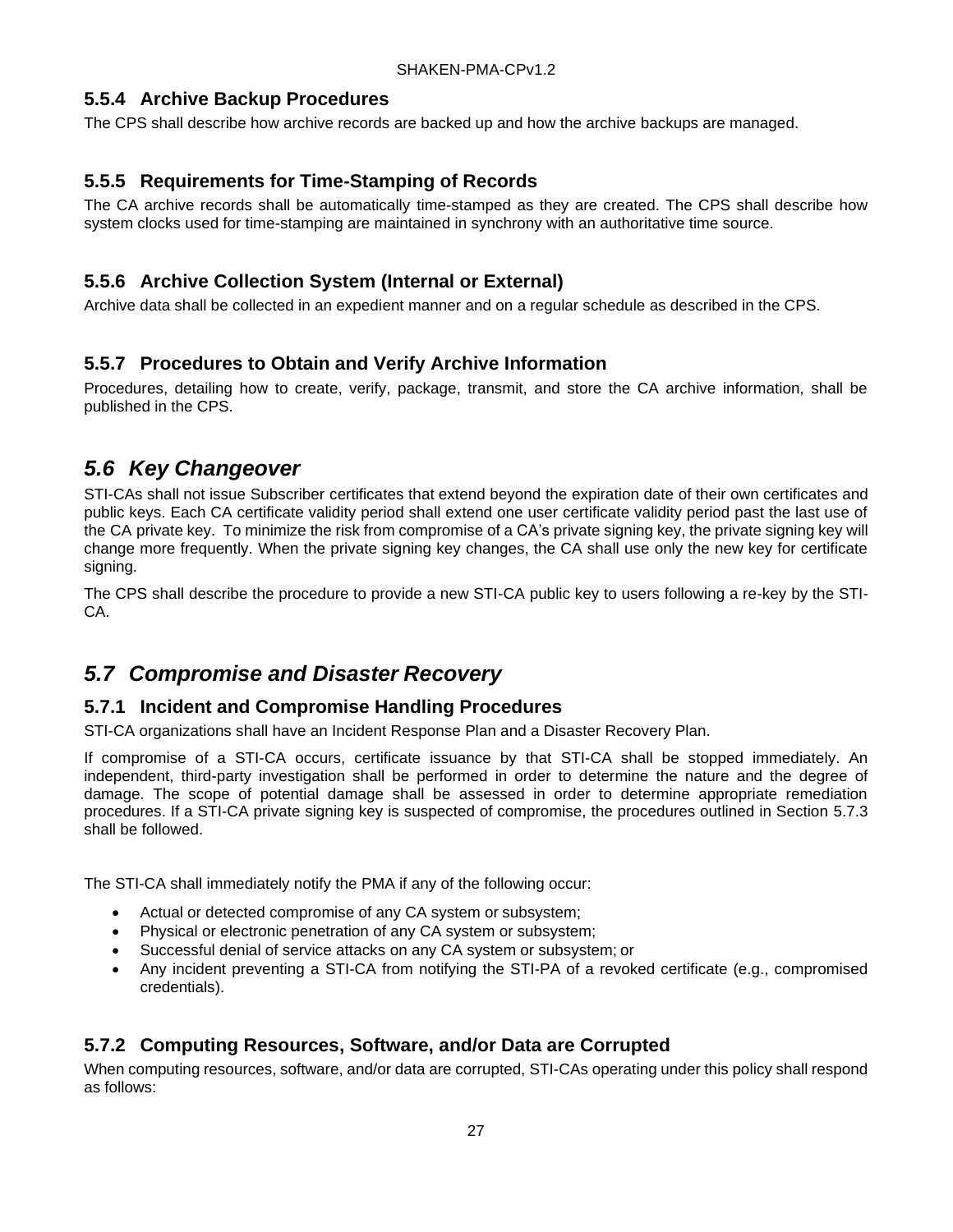#### <span id="page-32-0"></span>**5.5.4 Archive Backup Procedures**

The CPS shall describe how archive records are backed up and how the archive backups are managed.

#### <span id="page-32-1"></span>**5.5.5 Requirements for Time-Stamping of Records**

The CA archive records shall be automatically time-stamped as they are created. The CPS shall describe how system clocks used for time-stamping are maintained in synchrony with an authoritative time source.

### <span id="page-32-2"></span>**5.5.6 Archive Collection System (Internal or External)**

Archive data shall be collected in an expedient manner and on a regular schedule as described in the CPS.

#### <span id="page-32-3"></span>**5.5.7 Procedures to Obtain and Verify Archive Information**

Procedures, detailing how to create, verify, package, transmit, and store the CA archive information, shall be published in the CPS.

## <span id="page-32-4"></span>*5.6 Key Changeover*

STI-CAs shall not issue Subscriber certificates that extend beyond the expiration date of their own certificates and public keys. Each CA certificate validity period shall extend one user certificate validity period past the last use of the CA private key. To minimize the risk from compromise of a CA's private signing key, the private signing key will change more frequently. When the private signing key changes, the CA shall use only the new key for certificate signing.

The CPS shall describe the procedure to provide a new STI-CA public key to users following a re-key by the STI-CA.

## <span id="page-32-5"></span>*5.7 Compromise and Disaster Recovery*

#### <span id="page-32-6"></span>**5.7.1 Incident and Compromise Handling Procedures**

STI-CA organizations shall have an Incident Response Plan and a Disaster Recovery Plan.

If compromise of a STI-CA occurs, certificate issuance by that STI-CA shall be stopped immediately. An independent, third-party investigation shall be performed in order to determine the nature and the degree of damage. The scope of potential damage shall be assessed in order to determine appropriate remediation procedures. If a STI-CA private signing key is suspected of compromise, the procedures outlined in Section 5.7.3 shall be followed.

The STI-CA shall immediately notify the PMA if any of the following occur:

- Actual or detected compromise of any CA system or subsystem;
- Physical or electronic penetration of any CA system or subsystem;
- Successful denial of service attacks on any CA system or subsystem; or
- Any incident preventing a STI-CA from notifying the STI-PA of a revoked certificate (e.g., compromised credentials).

### <span id="page-32-7"></span>**5.7.2 Computing Resources, Software, and/or Data are Corrupted**

When computing resources, software, and/or data are corrupted, STI-CAs operating under this policy shall respond as follows: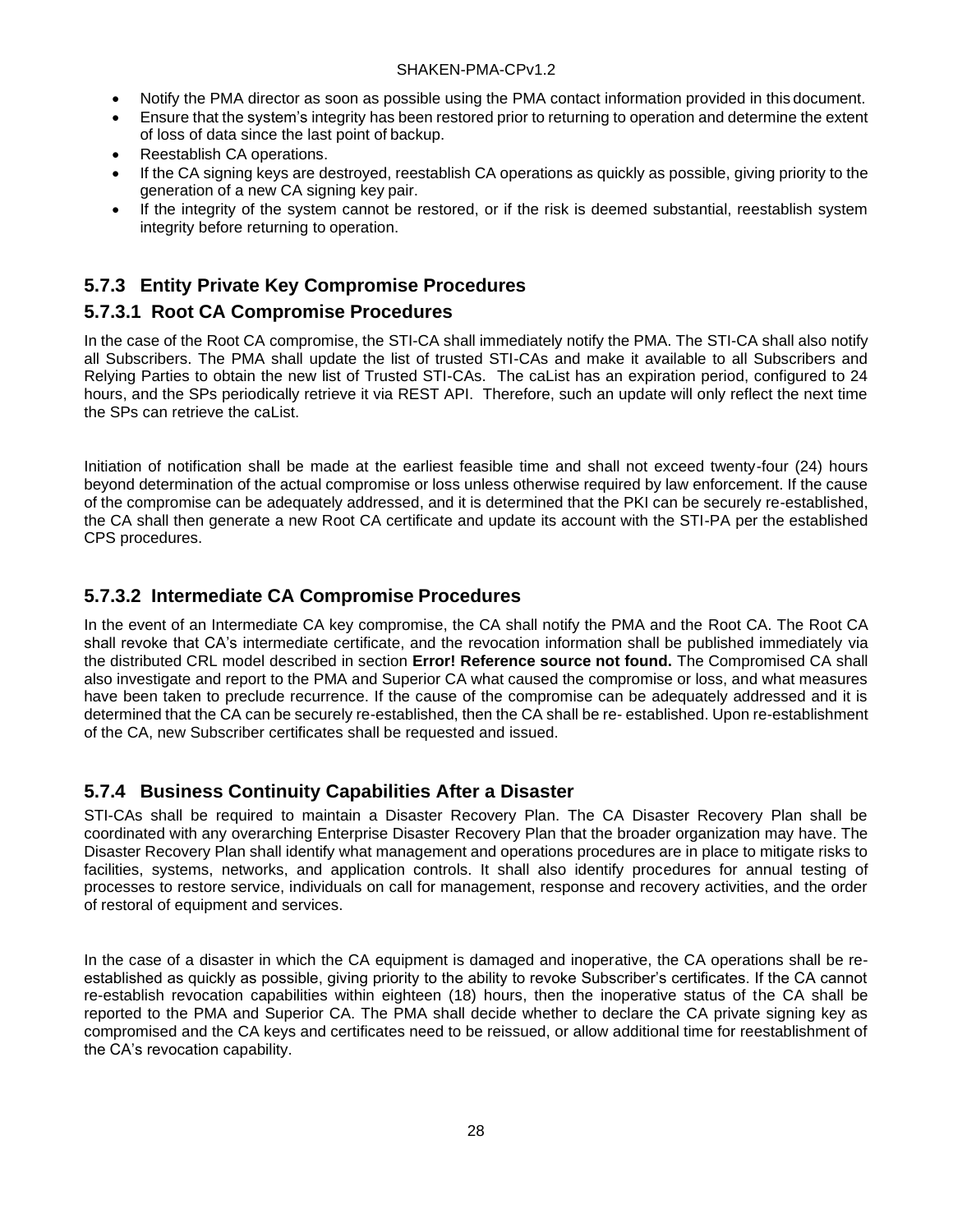- Notify the PMA director as soon as possible using the PMA contact information provided in this document.
- Ensure that the system's integrity has been restored prior to returning to operation and determine the extent of loss of data since the last point of backup.
- Reestablish CA operations.
- If the CA signing keys are destroyed, reestablish CA operations as quickly as possible, giving priority to the generation of a new CA signing key pair.
- If the integrity of the system cannot be restored, or if the risk is deemed substantial, reestablish system integrity before returning to operation.

#### <span id="page-33-0"></span>**5.7.3 Entity Private Key Compromise Procedures**

#### **5.7.3.1 Root CA Compromise Procedures**

In the case of the Root CA compromise, the STI-CA shall immediately notify the PMA. The STI-CA shall also notify all Subscribers. The PMA shall update the list of trusted STI-CAs and make it available to all Subscribers and Relying Parties to obtain the new list of Trusted STI-CAs. The caList has an expiration period, configured to 24 hours, and the SPs periodically retrieve it via REST API. Therefore, such an update will only reflect the next time the SPs can retrieve the caList.

Initiation of notification shall be made at the earliest feasible time and shall not exceed twenty-four (24) hours beyond determination of the actual compromise or loss unless otherwise required by law enforcement. If the cause of the compromise can be adequately addressed, and it is determined that the PKI can be securely re-established, the CA shall then generate a new Root CA certificate and update its account with the STI-PA per the established CPS procedures.

#### **5.7.3.2 Intermediate CA Compromise Procedures**

In the event of an Intermediate CA key compromise, the CA shall notify the PMA and the Root CA. The Root CA shall revoke that CA's intermediate certificate, and the revocation information shall be published immediately via the distributed CRL model described in section **Error! Reference source not found.** The Compromised CA shall also investigate and report to the PMA and Superior CA what caused the compromise or loss, and what measures have been taken to preclude recurrence. If the cause of the compromise can be adequately addressed and it is determined that the CA can be securely re-established, then the CA shall be re- established. Upon re-establishment of the CA, new Subscriber certificates shall be requested and issued.

#### <span id="page-33-1"></span>**5.7.4 Business Continuity Capabilities After a Disaster**

STI-CAs shall be required to maintain a Disaster Recovery Plan. The CA Disaster Recovery Plan shall be coordinated with any overarching Enterprise Disaster Recovery Plan that the broader organization may have. The Disaster Recovery Plan shall identify what management and operations procedures are in place to mitigate risks to facilities, systems, networks, and application controls. It shall also identify procedures for annual testing of processes to restore service, individuals on call for management, response and recovery activities, and the order of restoral of equipment and services.

In the case of a disaster in which the CA equipment is damaged and inoperative, the CA operations shall be reestablished as quickly as possible, giving priority to the ability to revoke Subscriber's certificates. If the CA cannot re-establish revocation capabilities within eighteen (18) hours, then the inoperative status of the CA shall be reported to the PMA and Superior CA. The PMA shall decide whether to declare the CA private signing key as compromised and the CA keys and certificates need to be reissued, or allow additional time for reestablishment of the CA's revocation capability.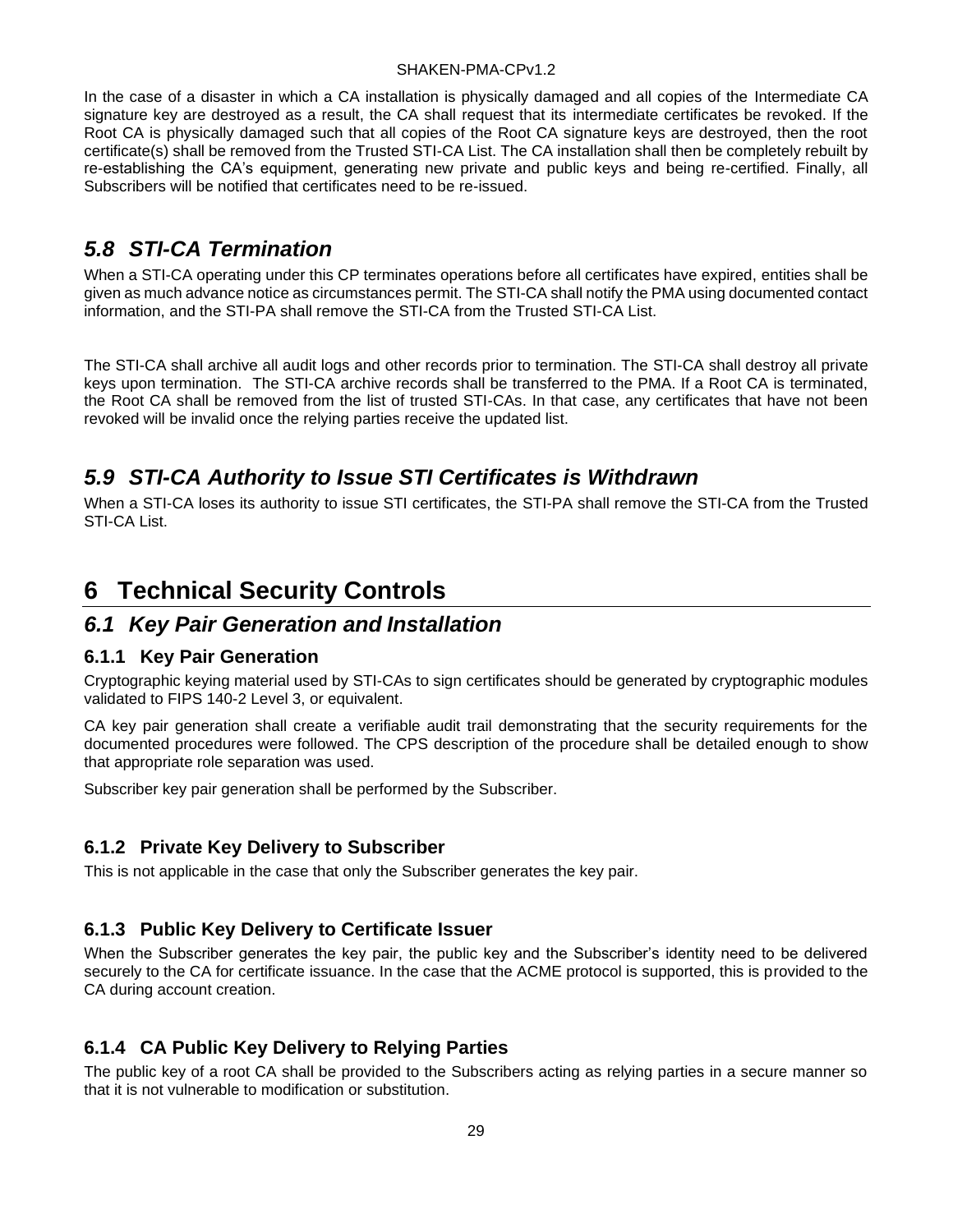In the case of a disaster in which a CA installation is physically damaged and all copies of the Intermediate CA signature key are destroyed as a result, the CA shall request that its intermediate certificates be revoked. If the Root CA is physically damaged such that all copies of the Root CA signature keys are destroyed, then the root certificate(s) shall be removed from the Trusted STI-CA List. The CA installation shall then be completely rebuilt by re-establishing the CA's equipment, generating new private and public keys and being re-certified. Finally, all Subscribers will be notified that certificates need to be re-issued.

## <span id="page-34-0"></span>*5.8 STI-CA Termination*

When a STI-CA operating under this CP terminates operations before all certificates have expired, entities shall be given as much advance notice as circumstances permit. The STI-CA shall notify the PMA using documented contact information, and the STI-PA shall remove the STI-CA from the Trusted STI-CA List.

The STI-CA shall archive all audit logs and other records prior to termination. The STI-CA shall destroy all private keys upon termination. The STI-CA archive records shall be transferred to the PMA. If a Root CA is terminated, the Root CA shall be removed from the list of trusted STI-CAs. In that case, any certificates that have not been revoked will be invalid once the relying parties receive the updated list.

## <span id="page-34-1"></span>*5.9 STI-CA Authority to Issue STI Certificates is Withdrawn*

When a STI-CA loses its authority to issue STI certificates, the STI-PA shall remove the STI-CA from the Trusted STI-CA List.

# <span id="page-34-2"></span>**6 Technical Security Controls**

## <span id="page-34-3"></span>*6.1 Key Pair Generation and Installation*

#### <span id="page-34-4"></span>**6.1.1 Key Pair Generation**

Cryptographic keying material used by STI-CAs to sign certificates should be generated by cryptographic modules validated to FIPS 140-2 Level 3, or equivalent.

CA key pair generation shall create a verifiable audit trail demonstrating that the security requirements for the documented procedures were followed. The CPS description of the procedure shall be detailed enough to show that appropriate role separation was used.

Subscriber key pair generation shall be performed by the Subscriber.

#### <span id="page-34-5"></span>**6.1.2 Private Key Delivery to Subscriber**

This is not applicable in the case that only the Subscriber generates the key pair.

#### <span id="page-34-6"></span>**6.1.3 Public Key Delivery to Certificate Issuer**

When the Subscriber generates the key pair, the public key and the Subscriber's identity need to be delivered securely to the CA for certificate issuance. In the case that the ACME protocol is supported, this is provided to the CA during account creation.

#### <span id="page-34-7"></span>**6.1.4 CA Public Key Delivery to Relying Parties**

The public key of a root CA shall be provided to the Subscribers acting as relying parties in a secure manner so that it is not vulnerable to modification or substitution.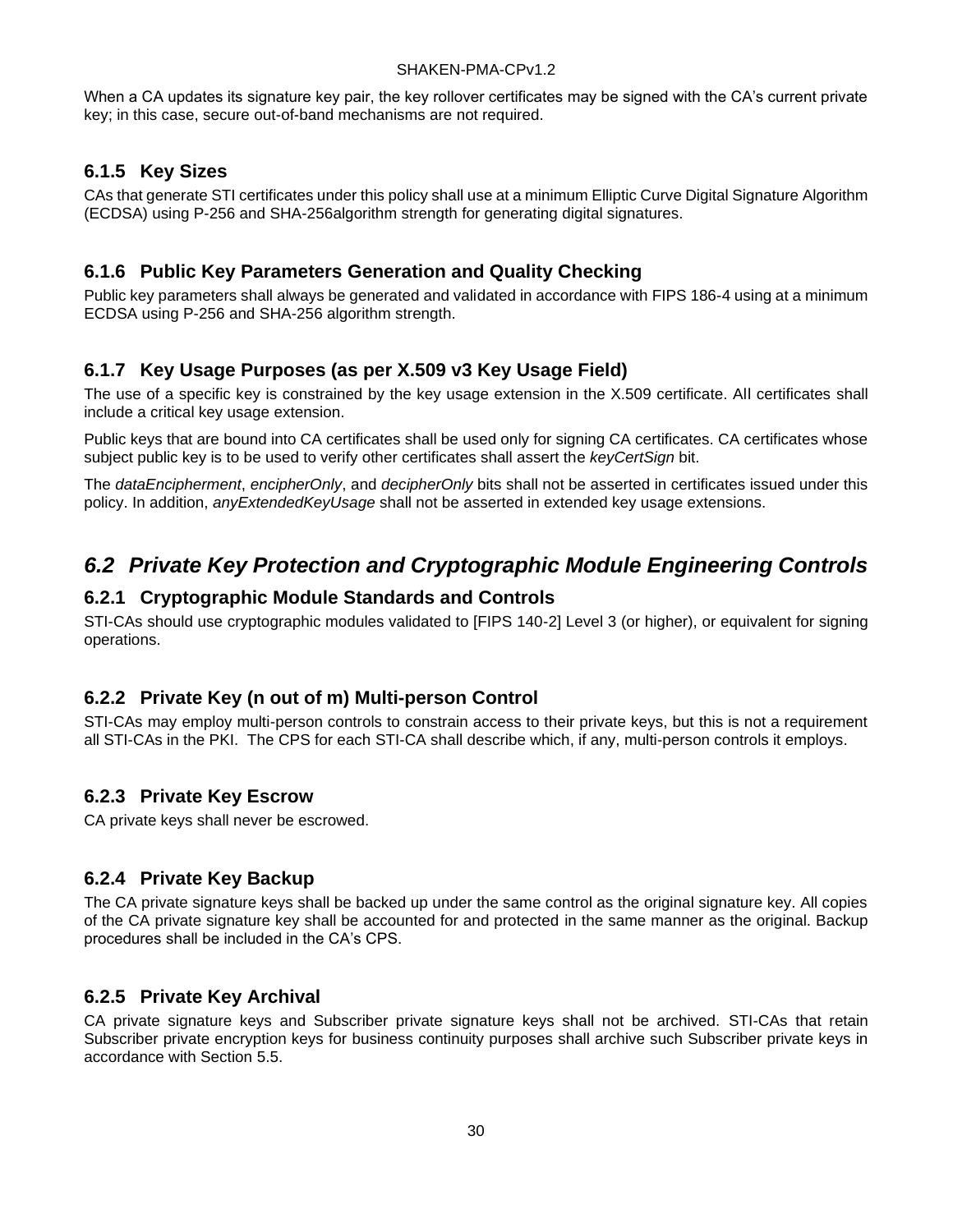When a CA updates its signature key pair, the key rollover certificates may be signed with the CA's current private key; in this case, secure out-of-band mechanisms are not required.

#### <span id="page-35-0"></span>**6.1.5 Key Sizes**

CAs that generate STI certificates under this policy shall use at a minimum Elliptic Curve Digital Signature Algorithm (ECDSA) using P-256 and SHA-256algorithm strength for generating digital signatures.

#### <span id="page-35-1"></span>**6.1.6 Public Key Parameters Generation and Quality Checking**

Public key parameters shall always be generated and validated in accordance with FIPS 186-4 using at a minimum ECDSA using P-256 and SHA-256 algorithm strength.

#### <span id="page-35-2"></span>**6.1.7 Key Usage Purposes (as per X.509 v3 Key Usage Field)**

The use of a specific key is constrained by the key usage extension in the X.509 certificate. All certificates shall include a critical key usage extension.

Public kevs that are bound into CA certificates shall be used only for signing CA certificates. CA certificates whose subject public key is to be used to verify other certificates shall assert the *keyCertSign* bit.

The *dataEncipherment*, *encipherOnly*, and *decipherOnly* bits shall not be asserted in certificates issued under this policy. In addition, *anyExtendedKeyUsage* shall not be asserted in extended key usage extensions.

## <span id="page-35-3"></span>*6.2 Private Key Protection and Cryptographic Module Engineering Controls*

#### <span id="page-35-4"></span>**6.2.1 Cryptographic Module Standards and Controls**

STI-CAs should use cryptographic modules validated to [FIPS 140-2] Level 3 (or higher), or equivalent for signing operations.

#### <span id="page-35-5"></span>**6.2.2 Private Key (n out of m) Multi-person Control**

STI-CAs may employ multi-person controls to constrain access to their private keys, but this is not a requirement all STI-CAs in the PKI. The CPS for each STI-CA shall describe which, if any, multi-person controls it employs.

#### <span id="page-35-6"></span>**6.2.3 Private Key Escrow**

CA private keys shall never be escrowed.

#### <span id="page-35-7"></span>**6.2.4 Private Key Backup**

The CA private signature keys shall be backed up under the same control as the original signature key. All copies of the CA private signature key shall be accounted for and protected in the same manner as the original. Backup procedures shall be included in the CA's CPS.

#### <span id="page-35-8"></span>**6.2.5 Private Key Archival**

CA private signature keys and Subscriber private signature keys shall not be archived. STI-CAs that retain Subscriber private encryption keys for business continuity purposes shall archive such Subscriber private keys in accordance with Section 5.5.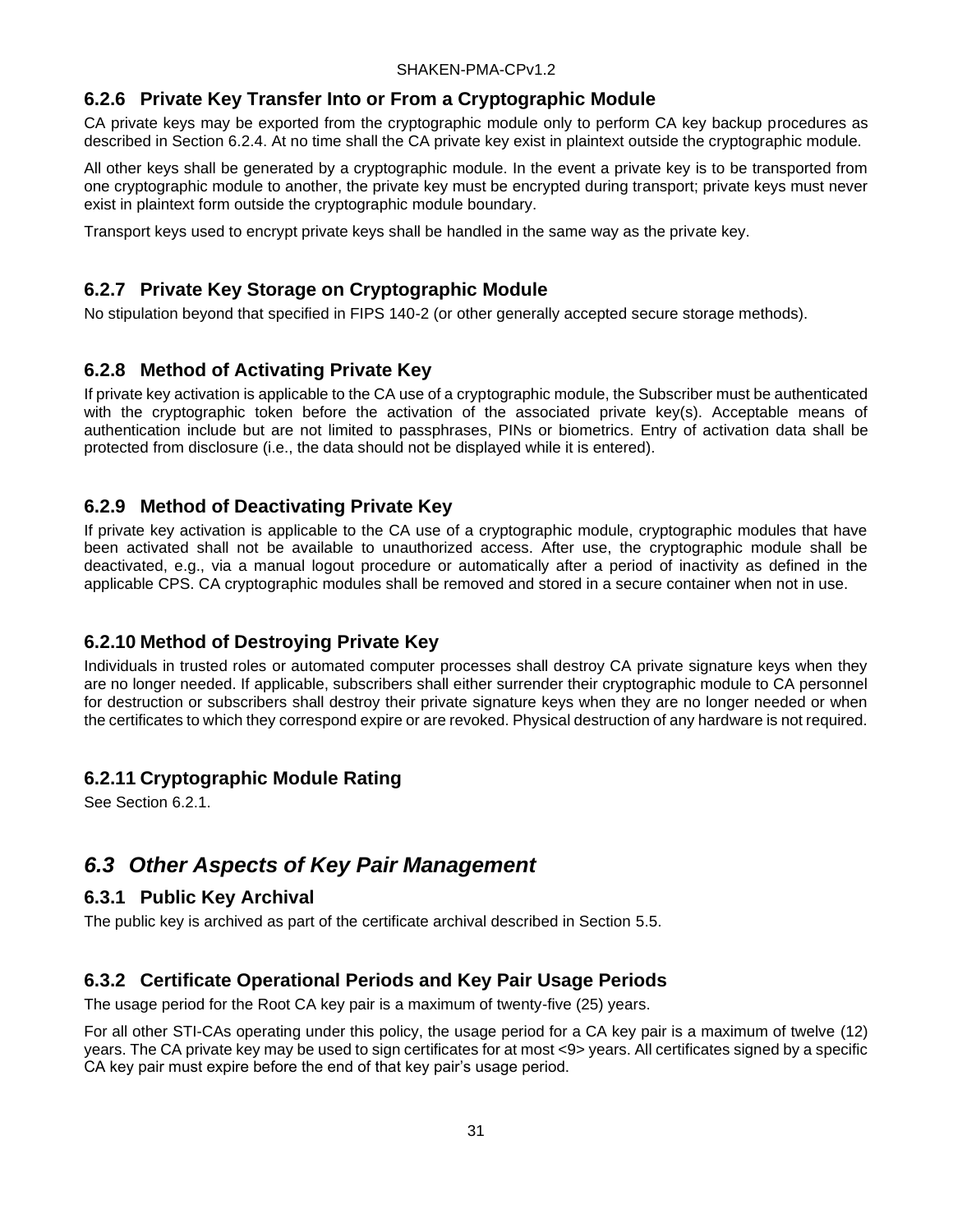### <span id="page-36-0"></span>**6.2.6 Private Key Transfer Into or From a Cryptographic Module**

CA private keys may be exported from the cryptographic module only to perform CA key backup procedures as described in Section 6.2.4. At no time shall the CA private key exist in plaintext outside the cryptographic module.

All other keys shall be generated by a cryptographic module. In the event a private key is to be transported from one cryptographic module to another, the private key must be encrypted during transport; private keys must never exist in plaintext form outside the cryptographic module boundary.

Transport keys used to encrypt private keys shall be handled in the same way as the private key.

### <span id="page-36-1"></span>**6.2.7 Private Key Storage on Cryptographic Module**

No stipulation beyond that specified in FIPS 140-2 (or other generally accepted secure storage methods).

### <span id="page-36-2"></span>**6.2.8 Method of Activating Private Key**

If private key activation is applicable to the CA use of a cryptographic module, the Subscriber must be authenticated with the cryptographic token before the activation of the associated private key(s). Acceptable means of authentication include but are not limited to passphrases, PINs or biometrics. Entry of activation data shall be protected from disclosure (i.e., the data should not be displayed while it is entered).

#### <span id="page-36-3"></span>**6.2.9 Method of Deactivating Private Key**

If private key activation is applicable to the CA use of a cryptographic module, cryptographic modules that have been activated shall not be available to unauthorized access. After use, the cryptographic module shall be deactivated, e.g., via a manual logout procedure or automatically after a period of inactivity as defined in the applicable CPS. CA cryptographic modules shall be removed and stored in a secure container when not in use.

### <span id="page-36-4"></span>**6.2.10 Method of Destroying Private Key**

Individuals in trusted roles or automated computer processes shall destroy CA private signature keys when they are no longer needed. If applicable, subscribers shall either surrender their cryptographic module to CA personnel for destruction or subscribers shall destroy their private signature keys when they are no longer needed or when the certificates to which they correspond expire or are revoked. Physical destruction of any hardware is not required.

### <span id="page-36-5"></span>**6.2.11 Cryptographic Module Rating**

See Section 6.2.1.

## <span id="page-36-6"></span>*6.3 Other Aspects of Key Pair Management*

#### <span id="page-36-7"></span>**6.3.1 Public Key Archival**

The public key is archived as part of the certificate archival described in Section 5.5.

### <span id="page-36-8"></span>**6.3.2 Certificate Operational Periods and Key Pair Usage Periods**

The usage period for the Root CA key pair is a maximum of twenty-five (25) years.

For all other STI-CAs operating under this policy, the usage period for a CA key pair is a maximum of twelve (12) years. The CA private key may be used to sign certificates for at most <9> years. All certificates signed by a specific CA key pair must expire before the end of that key pair's usage period.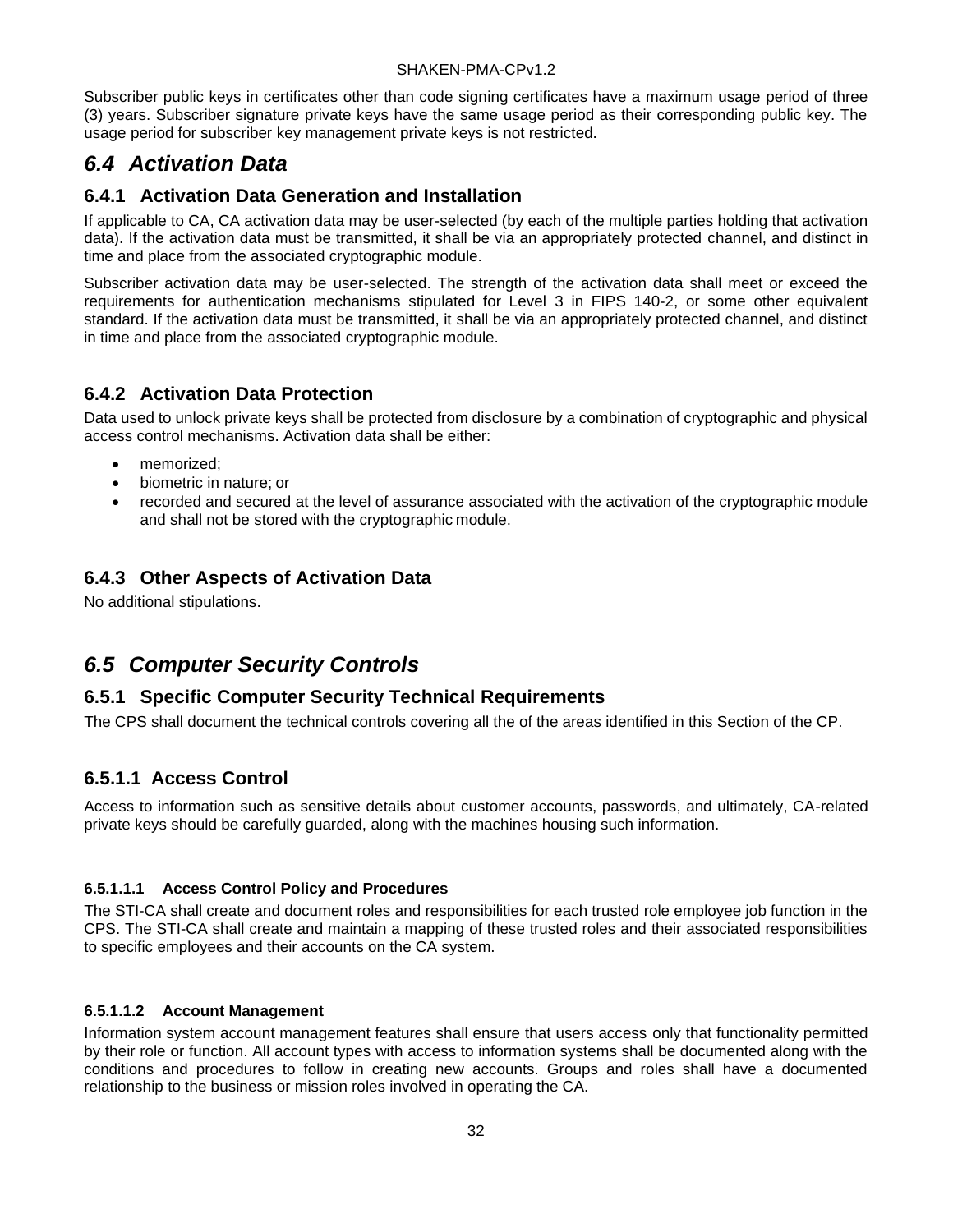Subscriber public keys in certificates other than code signing certificates have a maximum usage period of three (3) years. Subscriber signature private keys have the same usage period as their corresponding public key. The usage period for subscriber key management private keys is not restricted.

## <span id="page-37-0"></span>*6.4 Activation Data*

#### <span id="page-37-1"></span>**6.4.1 Activation Data Generation and Installation**

If applicable to CA, CA activation data may be user-selected (by each of the multiple parties holding that activation data). If the activation data must be transmitted, it shall be via an appropriately protected channel, and distinct in time and place from the associated cryptographic module.

Subscriber activation data may be user-selected. The strength of the activation data shall meet or exceed the requirements for authentication mechanisms stipulated for Level 3 in FIPS 140-2, or some other equivalent standard. If the activation data must be transmitted, it shall be via an appropriately protected channel, and distinct in time and place from the associated cryptographic module.

#### <span id="page-37-2"></span>**6.4.2 Activation Data Protection**

Data used to unlock private keys shall be protected from disclosure by a combination of cryptographic and physical access control mechanisms. Activation data shall be either:

- memorized;
- biometric in nature; or
- recorded and secured at the level of assurance associated with the activation of the cryptographic module and shall not be stored with the cryptographic module.

### <span id="page-37-3"></span>**6.4.3 Other Aspects of Activation Data**

No additional stipulations.

## <span id="page-37-4"></span>*6.5 Computer Security Controls*

#### <span id="page-37-5"></span>**6.5.1 Specific Computer Security Technical Requirements**

The CPS shall document the technical controls covering all the of the areas identified in this Section of the CP.

### **6.5.1.1 Access Control**

Access to information such as sensitive details about customer accounts, passwords, and ultimately, CA-related private keys should be carefully guarded, along with the machines housing such information.

#### **6.5.1.1.1 Access Control Policy and Procedures**

The STI-CA shall create and document roles and responsibilities for each trusted role employee job function in the CPS. The STI-CA shall create and maintain a mapping of these trusted roles and their associated responsibilities to specific employees and their accounts on the CA system.

#### **6.5.1.1.2 Account Management**

Information system account management features shall ensure that users access only that functionality permitted by their role or function. All account types with access to information systems shall be documented along with the conditions and procedures to follow in creating new accounts. Groups and roles shall have a documented relationship to the business or mission roles involved in operating the CA.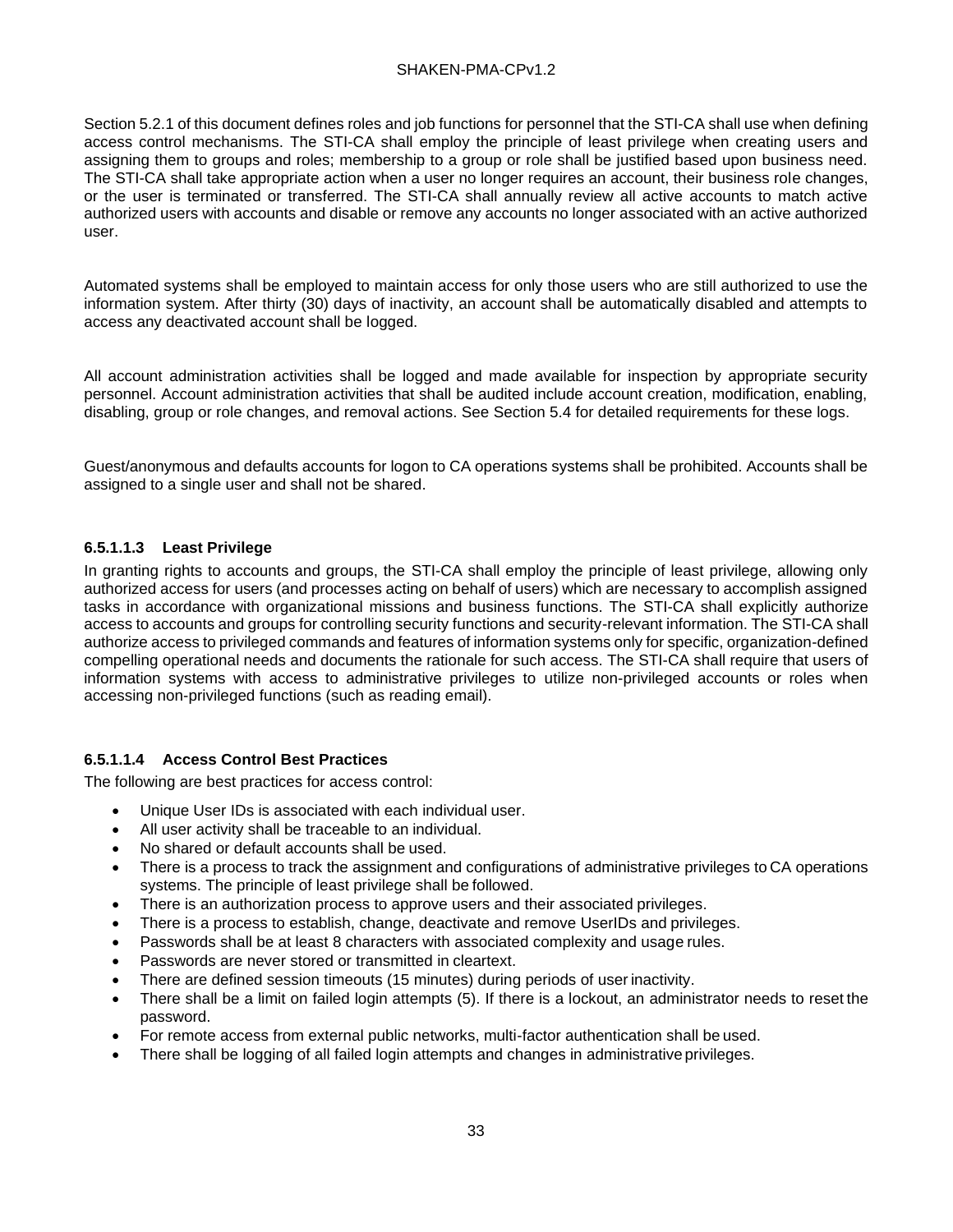Section 5.2.1 of this document defines roles and job functions for personnel that the STI-CA shall use when defining access control mechanisms. The STI-CA shall employ the principle of least privilege when creating users and assigning them to groups and roles; membership to a group or role shall be justified based upon business need. The STI-CA shall take appropriate action when a user no longer requires an account, their business role changes, or the user is terminated or transferred. The STI-CA shall annually review all active accounts to match active authorized users with accounts and disable or remove any accounts no longer associated with an active authorized user.

Automated systems shall be employed to maintain access for only those users who are still authorized to use the information system. After thirty (30) days of inactivity, an account shall be automatically disabled and attempts to access any deactivated account shall be logged.

All account administration activities shall be logged and made available for inspection by appropriate security personnel. Account administration activities that shall be audited include account creation, modification, enabling, disabling, group or role changes, and removal actions. See Section 5.4 for detailed requirements for these logs.

Guest/anonymous and defaults accounts for logon to CA operations systems shall be prohibited. Accounts shall be assigned to a single user and shall not be shared.

#### **6.5.1.1.3 Least Privilege**

In granting rights to accounts and groups, the STI-CA shall employ the principle of least privilege, allowing only authorized access for users (and processes acting on behalf of users) which are necessary to accomplish assigned tasks in accordance with organizational missions and business functions. The STI-CA shall explicitly authorize access to accounts and groups for controlling security functions and security-relevant information. The STI-CA shall authorize access to privileged commands and features of information systems only for specific, organization-defined compelling operational needs and documents the rationale for such access. The STI-CA shall require that users of information systems with access to administrative privileges to utilize non-privileged accounts or roles when accessing non-privileged functions (such as reading email).

#### **6.5.1.1.4 Access Control Best Practices**

The following are best practices for access control:

- Unique User IDs is associated with each individual user.
- All user activity shall be traceable to an individual.
- No shared or default accounts shall be used.
- There is a process to track the assignment and configurations of administrative privileges to CA operations systems. The principle of least privilege shall be followed.
- There is an authorization process to approve users and their associated privileges.
- There is a process to establish, change, deactivate and remove UserIDs and privileges.
- Passwords shall be at least 8 characters with associated complexity and usage rules.
- Passwords are never stored or transmitted in cleartext.
- There are defined session timeouts (15 minutes) during periods of user inactivity.
- There shall be a limit on failed login attempts (5). If there is a lockout, an administrator needs to reset the password.
- For remote access from external public networks, multi-factor authentication shall be used.
- There shall be logging of all failed login attempts and changes in administrative privileges.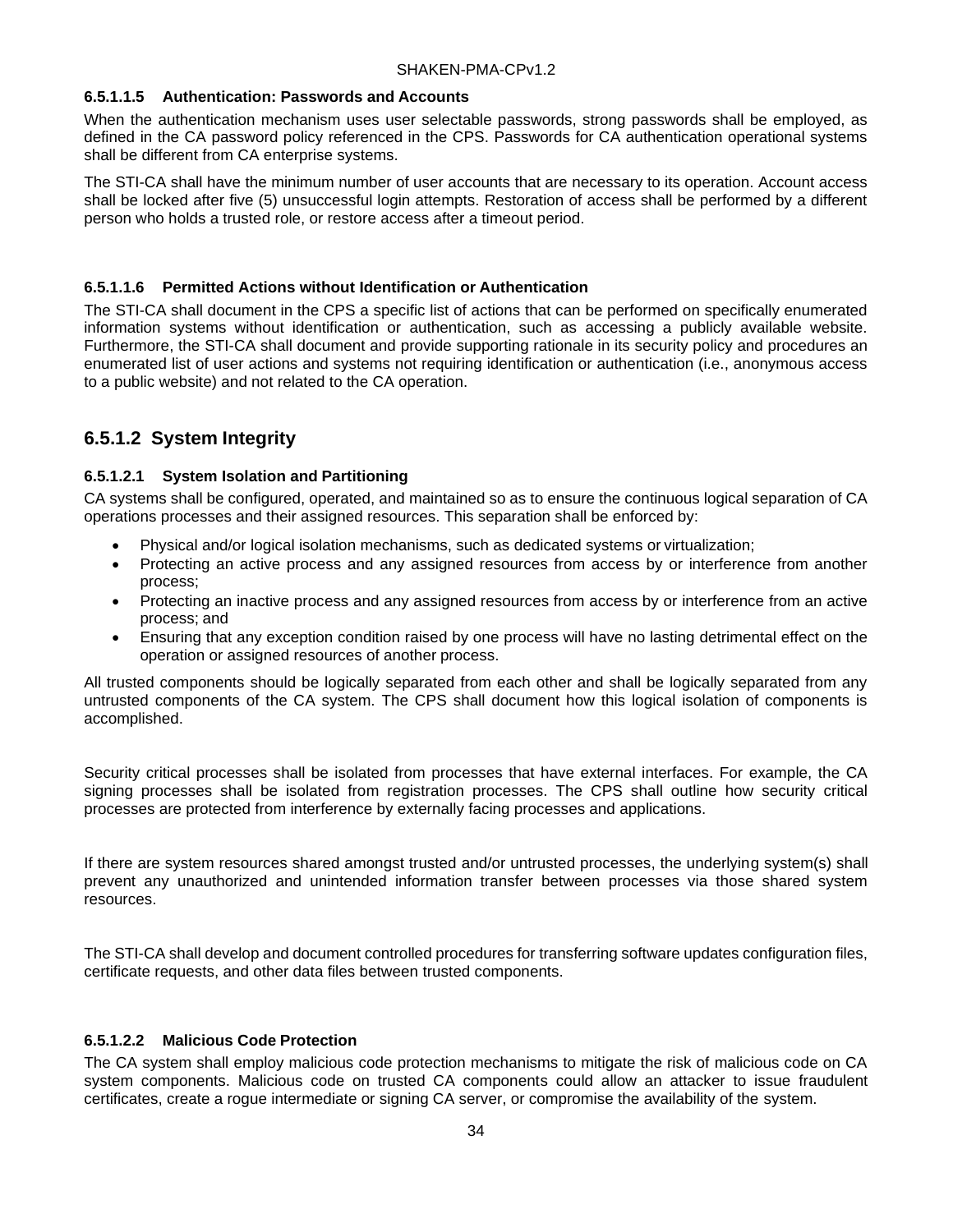#### **6.5.1.1.5 Authentication: Passwords and Accounts**

When the authentication mechanism uses user selectable passwords, strong passwords shall be employed, as defined in the CA password policy referenced in the CPS. Passwords for CA authentication operational systems shall be different from CA enterprise systems.

The STI-CA shall have the minimum number of user accounts that are necessary to its operation. Account access shall be locked after five (5) unsuccessful login attempts. Restoration of access shall be performed by a different person who holds a trusted role, or restore access after a timeout period.

#### **6.5.1.1.6 Permitted Actions without Identification or Authentication**

The STI-CA shall document in the CPS a specific list of actions that can be performed on specifically enumerated information systems without identification or authentication, such as accessing a publicly available website. Furthermore, the STI-CA shall document and provide supporting rationale in its security policy and procedures an enumerated list of user actions and systems not requiring identification or authentication (i.e., anonymous access to a public website) and not related to the CA operation.

### **6.5.1.2 System Integrity**

#### **6.5.1.2.1 System Isolation and Partitioning**

CA systems shall be configured, operated, and maintained so as to ensure the continuous logical separation of CA operations processes and their assigned resources. This separation shall be enforced by:

- Physical and/or logical isolation mechanisms, such as dedicated systems or virtualization;
- Protecting an active process and any assigned resources from access by or interference from another process;
- Protecting an inactive process and any assigned resources from access by or interference from an active process; and
- Ensuring that any exception condition raised by one process will have no lasting detrimental effect on the operation or assigned resources of another process.

All trusted components should be logically separated from each other and shall be logically separated from any untrusted components of the CA system. The CPS shall document how this logical isolation of components is accomplished.

Security critical processes shall be isolated from processes that have external interfaces. For example, the CA signing processes shall be isolated from registration processes. The CPS shall outline how security critical processes are protected from interference by externally facing processes and applications.

If there are system resources shared amongst trusted and/or untrusted processes, the underlying system(s) shall prevent any unauthorized and unintended information transfer between processes via those shared system resources.

The STI-CA shall develop and document controlled procedures for transferring software updates configuration files, certificate requests, and other data files between trusted components.

#### **6.5.1.2.2 Malicious Code Protection**

The CA system shall employ malicious code protection mechanisms to mitigate the risk of malicious code on CA system components. Malicious code on trusted CA components could allow an attacker to issue fraudulent certificates, create a rogue intermediate or signing CA server, or compromise the availability of the system.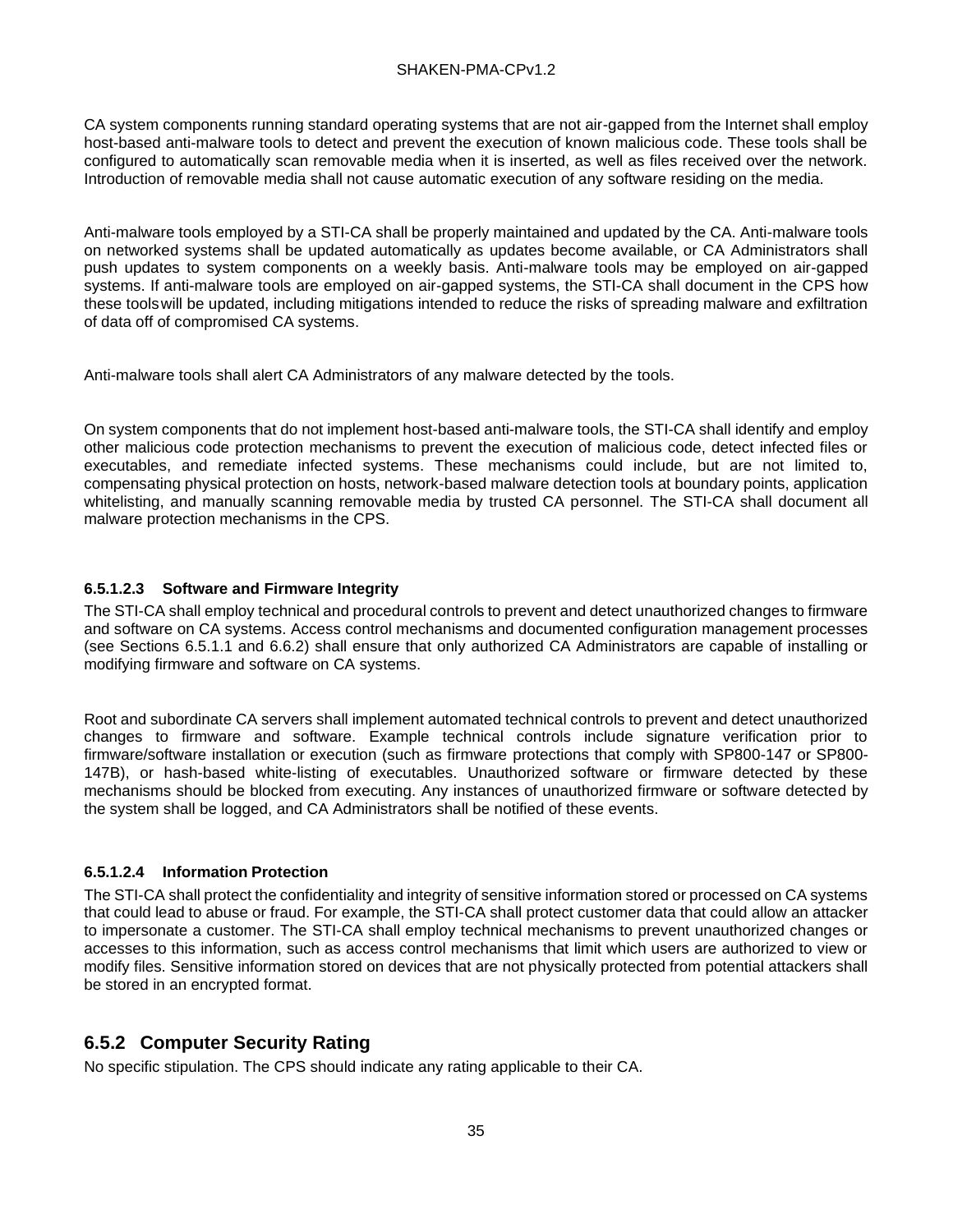CA system components running standard operating systems that are not air-gapped from the Internet shall employ host-based anti-malware tools to detect and prevent the execution of known malicious code. These tools shall be configured to automatically scan removable media when it is inserted, as well as files received over the network. Introduction of removable media shall not cause automatic execution of any software residing on the media.

Anti-malware tools employed by a STI-CA shall be properly maintained and updated by the CA. Anti-malware tools on networked systems shall be updated automatically as updates become available, or CA Administrators shall push updates to system components on a weekly basis. Anti-malware tools may be employed on air-gapped systems. If anti-malware tools are employed on air-gapped systems, the STI-CA shall document in the CPS how these toolswill be updated, including mitigations intended to reduce the risks of spreading malware and exfiltration of data off of compromised CA systems.

Anti-malware tools shall alert CA Administrators of any malware detected by the tools.

On system components that do not implement host-based anti-malware tools, the STI-CA shall identify and employ other malicious code protection mechanisms to prevent the execution of malicious code, detect infected files or executables, and remediate infected systems. These mechanisms could include, but are not limited to, compensating physical protection on hosts, network-based malware detection tools at boundary points, application whitelisting, and manually scanning removable media by trusted CA personnel. The STI-CA shall document all malware protection mechanisms in the CPS.

#### **6.5.1.2.3 Software and Firmware Integrity**

The STI-CA shall employ technical and procedural controls to prevent and detect unauthorized changes to firmware and software on CA systems. Access control mechanisms and documented configuration management processes (see Sections 6.5.1.1 and 6.6.2) shall ensure that only authorized CA Administrators are capable of installing or modifying firmware and software on CA systems.

Root and subordinate CA servers shall implement automated technical controls to prevent and detect unauthorized changes to firmware and software. Example technical controls include signature verification prior to firmware/software installation or execution (such as firmware protections that comply with SP800-147 or SP800- 147B), or hash-based white-listing of executables. Unauthorized software or firmware detected by these mechanisms should be blocked from executing. Any instances of unauthorized firmware or software detected by the system shall be logged, and CA Administrators shall be notified of these events.

#### **6.5.1.2.4 Information Protection**

The STI-CA shall protect the confidentiality and integrity of sensitive information stored or processed on CA systems that could lead to abuse or fraud. For example, the STI-CA shall protect customer data that could allow an attacker to impersonate a customer. The STI-CA shall employ technical mechanisms to prevent unauthorized changes or accesses to this information, such as access control mechanisms that limit which users are authorized to view or modify files. Sensitive information stored on devices that are not physically protected from potential attackers shall be stored in an encrypted format.

### <span id="page-40-0"></span>**6.5.2 Computer Security Rating**

No specific stipulation. The CPS should indicate any rating applicable to their CA.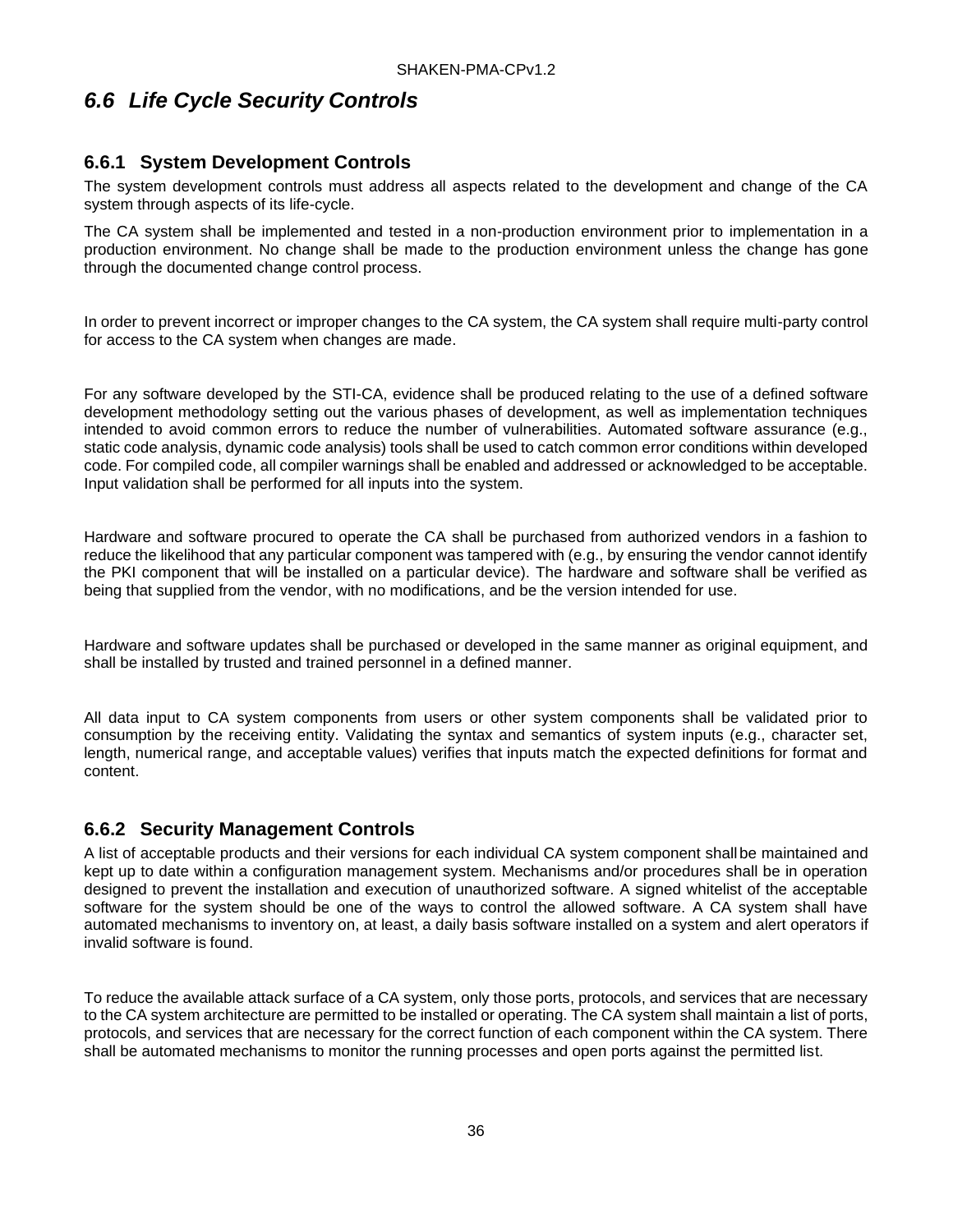## <span id="page-41-0"></span>*6.6 Life Cycle Security Controls*

#### <span id="page-41-1"></span>**6.6.1 System Development Controls**

The system development controls must address all aspects related to the development and change of the CA system through aspects of its life-cycle.

The CA system shall be implemented and tested in a non-production environment prior to implementation in a production environment. No change shall be made to the production environment unless the change has gone through the documented change control process.

In order to prevent incorrect or improper changes to the CA system, the CA system shall require multi-party control for access to the CA system when changes are made.

For any software developed by the STI-CA, evidence shall be produced relating to the use of a defined software development methodology setting out the various phases of development, as well as implementation techniques intended to avoid common errors to reduce the number of vulnerabilities. Automated software assurance (e.g., static code analysis, dynamic code analysis) tools shall be used to catch common error conditions within developed code. For compiled code, all compiler warnings shall be enabled and addressed or acknowledged to be acceptable. Input validation shall be performed for all inputs into the system.

Hardware and software procured to operate the CA shall be purchased from authorized vendors in a fashion to reduce the likelihood that any particular component was tampered with (e.g., by ensuring the vendor cannot identify the PKI component that will be installed on a particular device). The hardware and software shall be verified as being that supplied from the vendor, with no modifications, and be the version intended for use.

Hardware and software updates shall be purchased or developed in the same manner as original equipment, and shall be installed by trusted and trained personnel in a defined manner.

All data input to CA system components from users or other system components shall be validated prior to consumption by the receiving entity. Validating the syntax and semantics of system inputs (e.g., character set, length, numerical range, and acceptable values) verifies that inputs match the expected definitions for format and content.

#### <span id="page-41-2"></span>**6.6.2 Security Management Controls**

A list of acceptable products and their versions for each individual CA system component shallbe maintained and kept up to date within a configuration management system. Mechanisms and/or procedures shall be in operation designed to prevent the installation and execution of unauthorized software. A signed whitelist of the acceptable software for the system should be one of the ways to control the allowed software. A CA system shall have automated mechanisms to inventory on, at least, a daily basis software installed on a system and alert operators if invalid software is found.

To reduce the available attack surface of a CA system, only those ports, protocols, and services that are necessary to the CA system architecture are permitted to be installed or operating. The CA system shall maintain a list of ports, protocols, and services that are necessary for the correct function of each component within the CA system. There shall be automated mechanisms to monitor the running processes and open ports against the permitted list.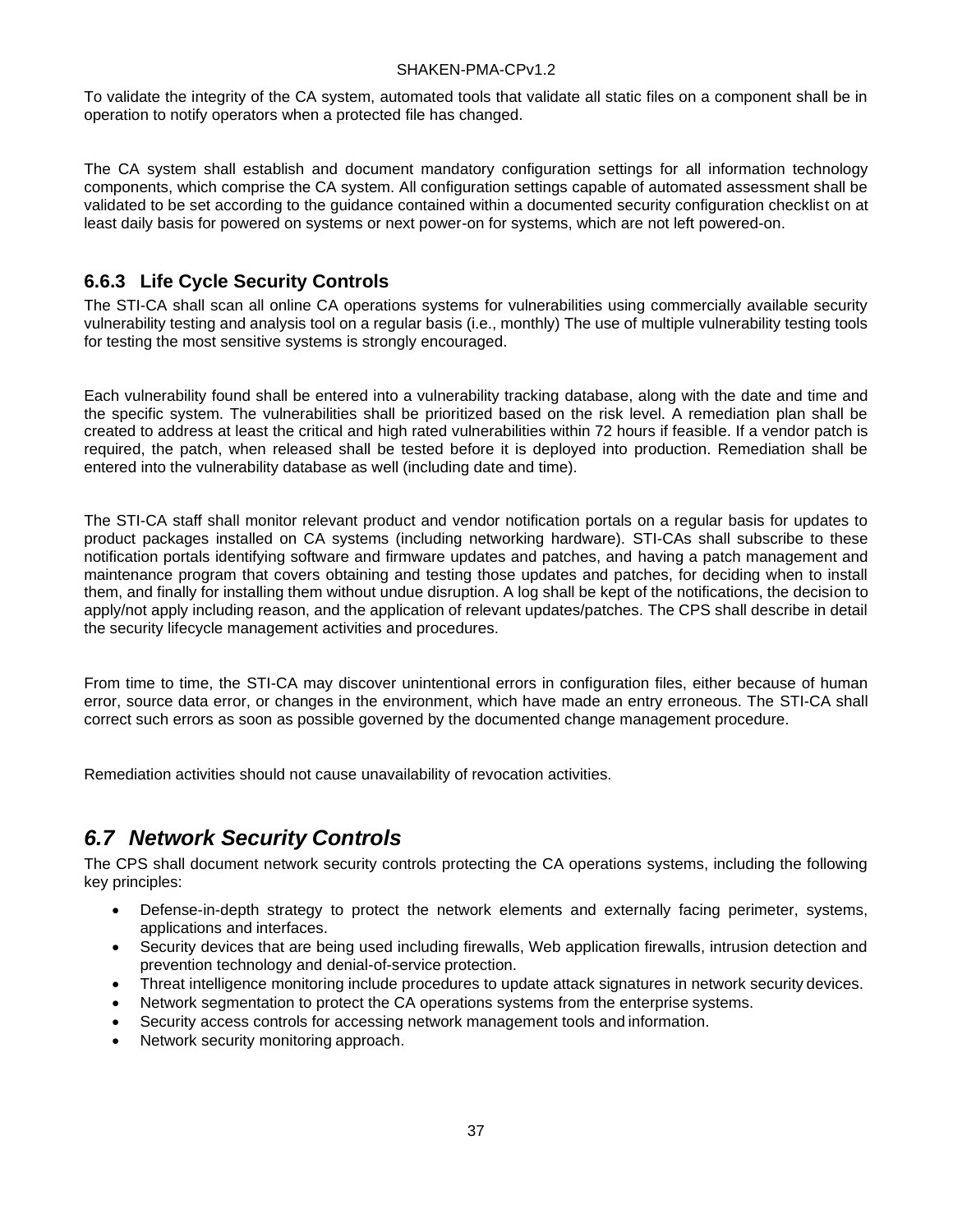To validate the integrity of the CA system, automated tools that validate all static files on a component shall be in operation to notify operators when a protected file has changed.

The CA system shall establish and document mandatory configuration settings for all information technology components, which comprise the CA system. All configuration settings capable of automated assessment shall be validated to be set according to the guidance contained within a documented security configuration checklist on at least daily basis for powered on systems or next power-on for systems, which are not left powered-on.

#### <span id="page-42-0"></span>**6.6.3 Life Cycle Security Controls**

The STI-CA shall scan all online CA operations systems for vulnerabilities using commercially available security vulnerability testing and analysis tool on a regular basis (i.e., monthly) The use of multiple vulnerability testing tools for testing the most sensitive systems is strongly encouraged.

Each vulnerability found shall be entered into a vulnerability tracking database, along with the date and time and the specific system. The vulnerabilities shall be prioritized based on the risk level. A remediation plan shall be created to address at least the critical and high rated vulnerabilities within 72 hours if feasible. If a vendor patch is required, the patch, when released shall be tested before it is deployed into production. Remediation shall be entered into the vulnerability database as well (including date and time).

The STI-CA staff shall monitor relevant product and vendor notification portals on a regular basis for updates to product packages installed on CA systems (including networking hardware). STI-CAs shall subscribe to these notification portals identifying software and firmware updates and patches, and having a patch management and maintenance program that covers obtaining and testing those updates and patches, for deciding when to install them, and finally for installing them without undue disruption. A log shall be kept of the notifications, the decision to apply/not apply including reason, and the application of relevant updates/patches. The CPS shall describe in detail the security lifecycle management activities and procedures.

From time to time, the STI-CA may discover unintentional errors in configuration files, either because of human error, source data error, or changes in the environment, which have made an entry erroneous. The STI-CA shall correct such errors as soon as possible governed by the documented change management procedure.

Remediation activities should not cause unavailability of revocation activities.

## <span id="page-42-1"></span>*6.7 Network Security Controls*

The CPS shall document network security controls protecting the CA operations systems, including the following key principles:

- Defense-in-depth strategy to protect the network elements and externally facing perimeter, systems, applications and interfaces.
- Security devices that are being used including firewalls, Web application firewalls, intrusion detection and prevention technology and denial-of-service protection.
- Threat intelligence monitoring include procedures to update attack signatures in network security devices.
- Network segmentation to protect the CA operations systems from the enterprise systems.
- Security access controls for accessing network management tools and information.
- Network security monitoring approach.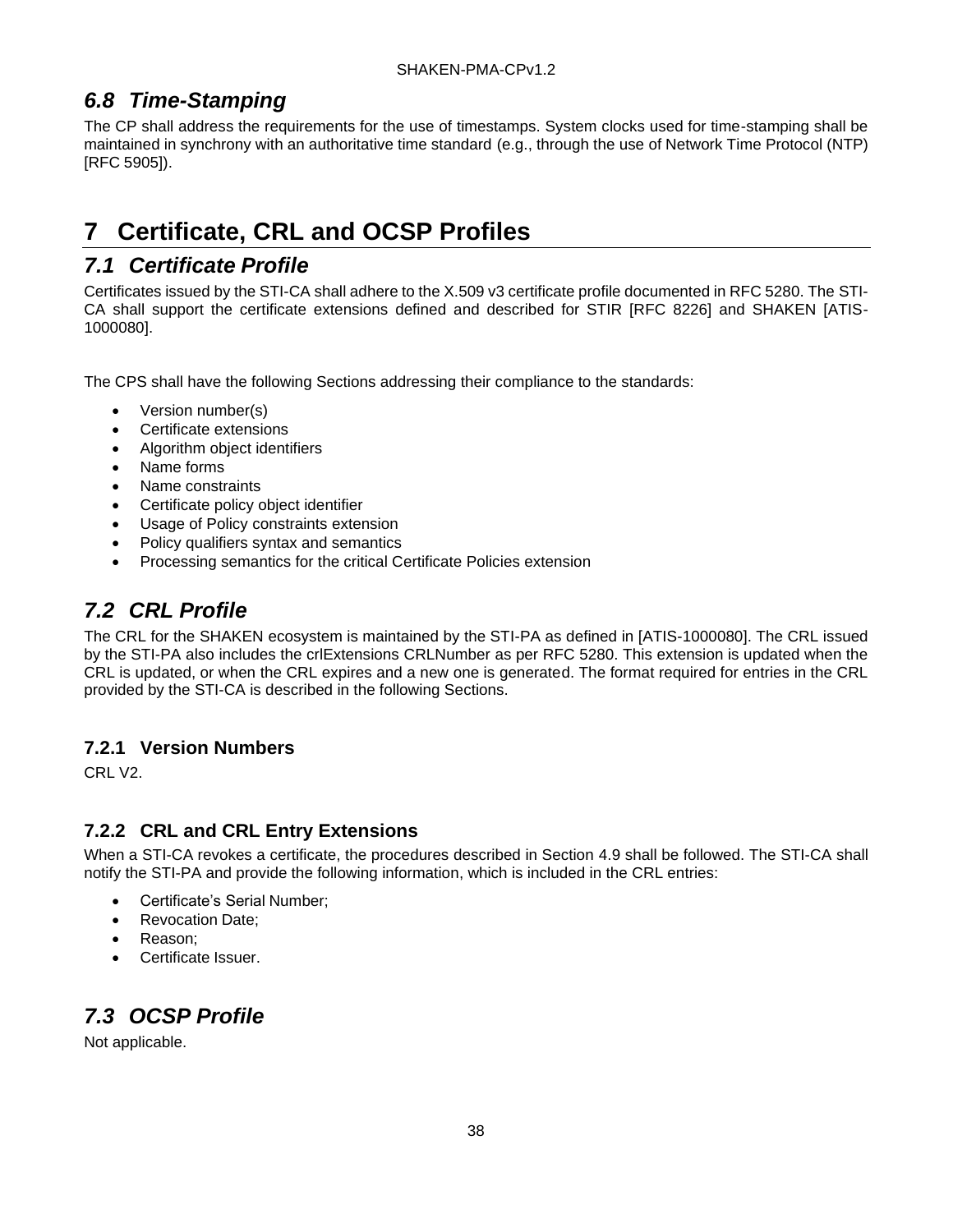## <span id="page-43-0"></span>*6.8 Time-Stamping*

The CP shall address the requirements for the use of timestamps. System clocks used for time-stamping shall be maintained in synchrony with an authoritative time standard (e.g., through the use of Network Time Protocol (NTP) [RFC 5905]).

# <span id="page-43-1"></span>**7 Certificate, CRL and OCSP Profiles**

## <span id="page-43-2"></span>*7.1 Certificate Profile*

Certificates issued by the STI-CA shall adhere to the X.509 v3 certificate profile documented in RFC 5280. The STI-CA shall support the certificate extensions defined and described for STIR [RFC 8226] and SHAKEN [ATIS-1000080].

The CPS shall have the following Sections addressing their compliance to the standards:

- Version number(s)
- Certificate extensions
- Algorithm object identifiers
- Name forms
- Name constraints
- Certificate policy object identifier
- Usage of Policy constraints extension
- Policy qualifiers syntax and semantics
- Processing semantics for the critical Certificate Policies extension

## <span id="page-43-3"></span>*7.2 CRL Profile*

The CRL for the SHAKEN ecosystem is maintained by the STI-PA as defined in [ATIS-1000080]. The CRL issued by the STI-PA also includes the crlExtensions CRLNumber as per RFC 5280. This extension is updated when the CRL is updated, or when the CRL expires and a new one is generated. The format required for entries in the CRL provided by the STI-CA is described in the following Sections.

### <span id="page-43-4"></span>**7.2.1 Version Numbers**

CRL V2.

## <span id="page-43-5"></span>**7.2.2 CRL and CRL Entry Extensions**

When a STI-CA revokes a certificate, the procedures described in Section 4.9 shall be followed. The STI-CA shall notify the STI-PA and provide the following information, which is included in the CRL entries:

- Certificate's Serial Number;
- Revocation Date;
- Reason;
- Certificate Issuer.

# <span id="page-43-6"></span>*7.3 OCSP Profile*

Not applicable.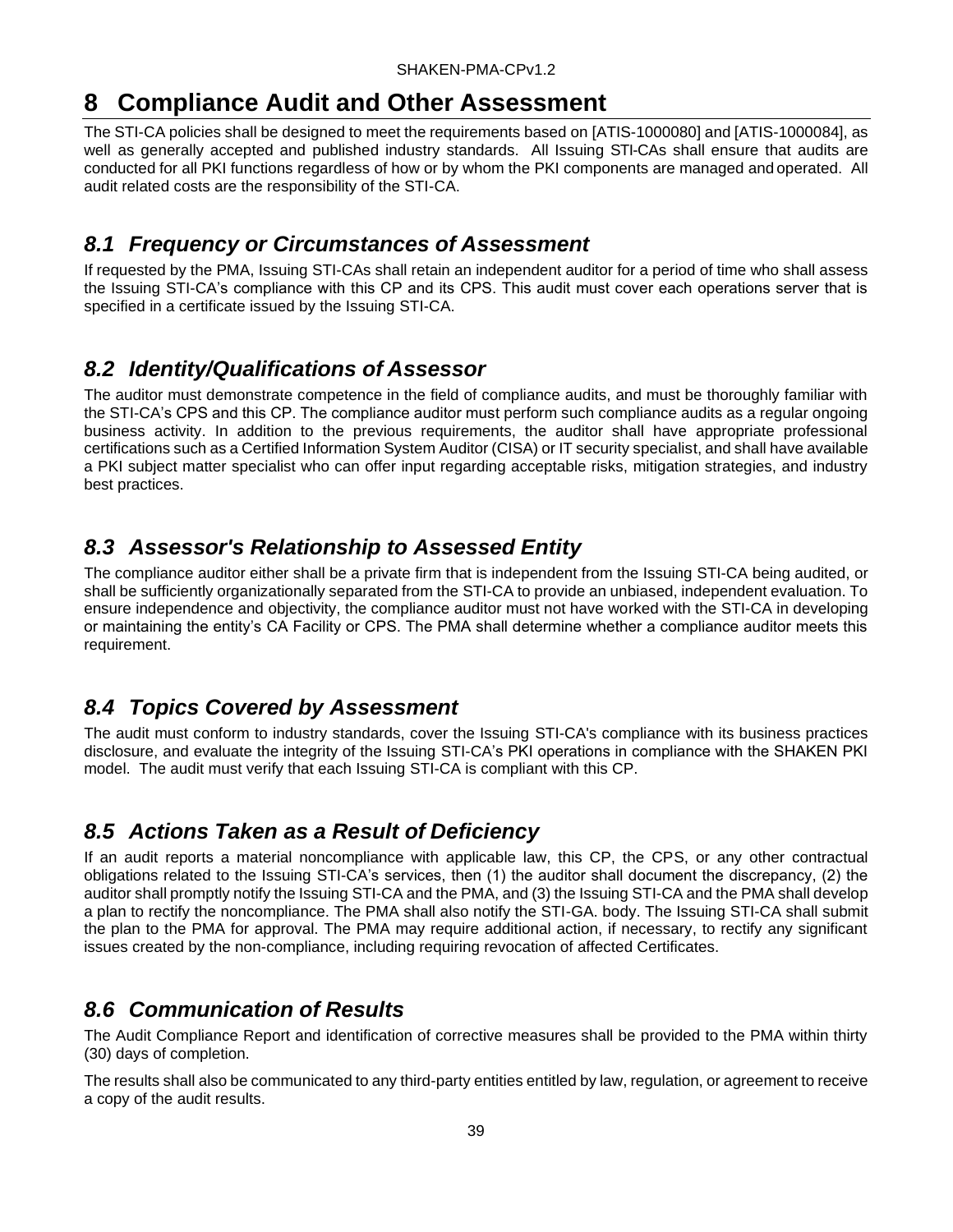# <span id="page-44-0"></span>**8 Compliance Audit and Other Assessment**

The STI-CA policies shall be designed to meet the requirements based on [ATIS-1000080] and [ATIS-1000084], as well as generally accepted and published industry standards. All Issuing STI-CAs shall ensure that audits are conducted for all PKI functions regardless of how or by whom the PKI components are managed and operated. All audit related costs are the responsibility of the STI-CA.

## <span id="page-44-1"></span>*8.1 Frequency or Circumstances of Assessment*

If requested by the PMA, Issuing STI-CAs shall retain an independent auditor for a period of time who shall assess the Issuing STI-CA's compliance with this CP and its CPS. This audit must cover each operations server that is specified in a certificate issued by the Issuing STI-CA.

## <span id="page-44-2"></span>*8.2 Identity/Qualifications of Assessor*

The auditor must demonstrate competence in the field of compliance audits, and must be thoroughly familiar with the STI-CA's CPS and this CP. The compliance auditor must perform such compliance audits as a regular ongoing business activity. In addition to the previous requirements, the auditor shall have appropriate professional certifications such as a Certified Information System Auditor (CISA) or IT security specialist, and shall have available a PKI subject matter specialist who can offer input regarding acceptable risks, mitigation strategies, and industry best practices.

## <span id="page-44-3"></span>*8.3 Assessor's Relationship to Assessed Entity*

The compliance auditor either shall be a private firm that is independent from the Issuing STI-CA being audited, or shall be sufficiently organizationally separated from the STI-CA to provide an unbiased, independent evaluation. To ensure independence and objectivity, the compliance auditor must not have worked with the STI-CA in developing or maintaining the entity's CA Facility or CPS. The PMA shall determine whether a compliance auditor meets this requirement.

## <span id="page-44-4"></span>*8.4 Topics Covered by Assessment*

The audit must conform to industry standards, cover the Issuing STI-CA's compliance with its business practices disclosure, and evaluate the integrity of the Issuing STI-CA's PKI operations in compliance with the SHAKEN PKI model. The audit must verify that each Issuing STI-CA is compliant with this CP.

## <span id="page-44-5"></span>*8.5 Actions Taken as a Result of Deficiency*

If an audit reports a material noncompliance with applicable law, this CP, the CPS, or any other contractual obligations related to the Issuing STI-CA's services, then (1) the auditor shall document the discrepancy, (2) the auditor shall promptly notify the Issuing STI-CA and the PMA, and (3) the Issuing STI-CA and the PMA shall develop a plan to rectify the noncompliance. The PMA shall also notify the STI-GA. body. The Issuing STI-CA shall submit the plan to the PMA for approval. The PMA may require additional action, if necessary, to rectify any significant issues created by the non-compliance, including requiring revocation of affected Certificates.

## <span id="page-44-6"></span>*8.6 Communication of Results*

The Audit Compliance Report and identification of corrective measures shall be provided to the PMA within thirty (30) days of completion.

The results shall also be communicated to any third-party entities entitled by law, regulation, or agreement to receive a copy of the audit results.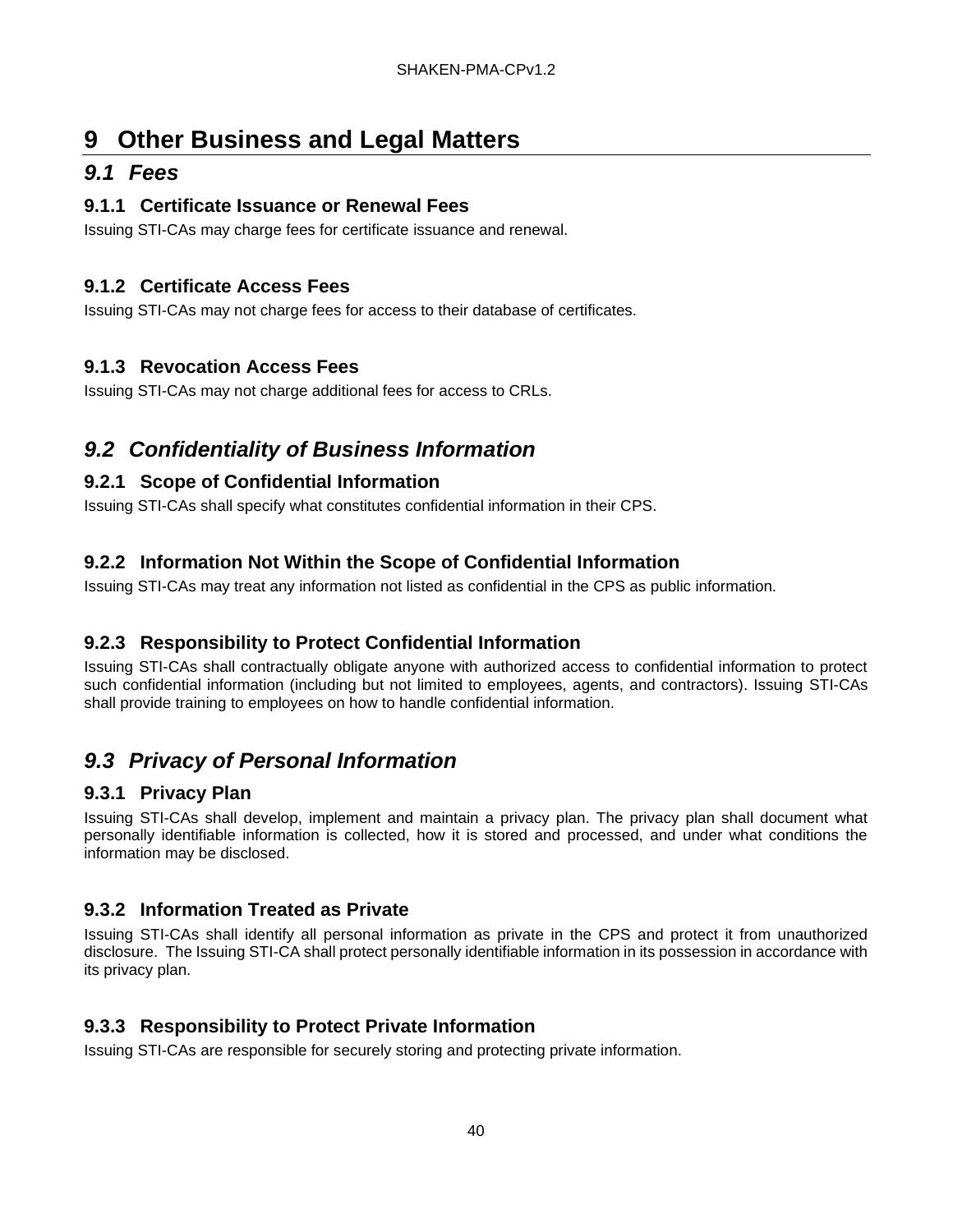# <span id="page-45-0"></span>**9 Other Business and Legal Matters**

## <span id="page-45-1"></span>*9.1 Fees*

#### <span id="page-45-2"></span>**9.1.1 Certificate Issuance or Renewal Fees**

Issuing STI-CAs may charge fees for certificate issuance and renewal.

### <span id="page-45-3"></span>**9.1.2 Certificate Access Fees**

Issuing STI-CAs may not charge fees for access to their database of certificates.

#### <span id="page-45-4"></span>**9.1.3 Revocation Access Fees**

Issuing STI-CAs may not charge additional fees for access to CRLs.

## <span id="page-45-5"></span>*9.2 Confidentiality of Business Information*

### <span id="page-45-6"></span>**9.2.1 Scope of Confidential Information**

Issuing STI-CAs shall specify what constitutes confidential information in their CPS.

### <span id="page-45-7"></span>**9.2.2 Information Not Within the Scope of Confidential Information**

Issuing STI-CAs may treat any information not listed as confidential in the CPS as public information.

### <span id="page-45-8"></span>**9.2.3 Responsibility to Protect Confidential Information**

Issuing STI-CAs shall contractually obligate anyone with authorized access to confidential information to protect such confidential information (including but not limited to employees, agents, and contractors). Issuing STI-CAs shall provide training to employees on how to handle confidential information.

## <span id="page-45-9"></span>*9.3 Privacy of Personal Information*

### <span id="page-45-10"></span>**9.3.1 Privacy Plan**

Issuing STI-CAs shall develop, implement and maintain a privacy plan. The privacy plan shall document what personally identifiable information is collected, how it is stored and processed, and under what conditions the information may be disclosed.

### <span id="page-45-11"></span>**9.3.2 Information Treated as Private**

Issuing STI-CAs shall identify all personal information as private in the CPS and protect it from unauthorized disclosure. The Issuing STI-CA shall protect personally identifiable information in its possession in accordance with its privacy plan.

### <span id="page-45-12"></span>**9.3.3 Responsibility to Protect Private Information**

Issuing STI-CAs are responsible for securely storing and protecting private information.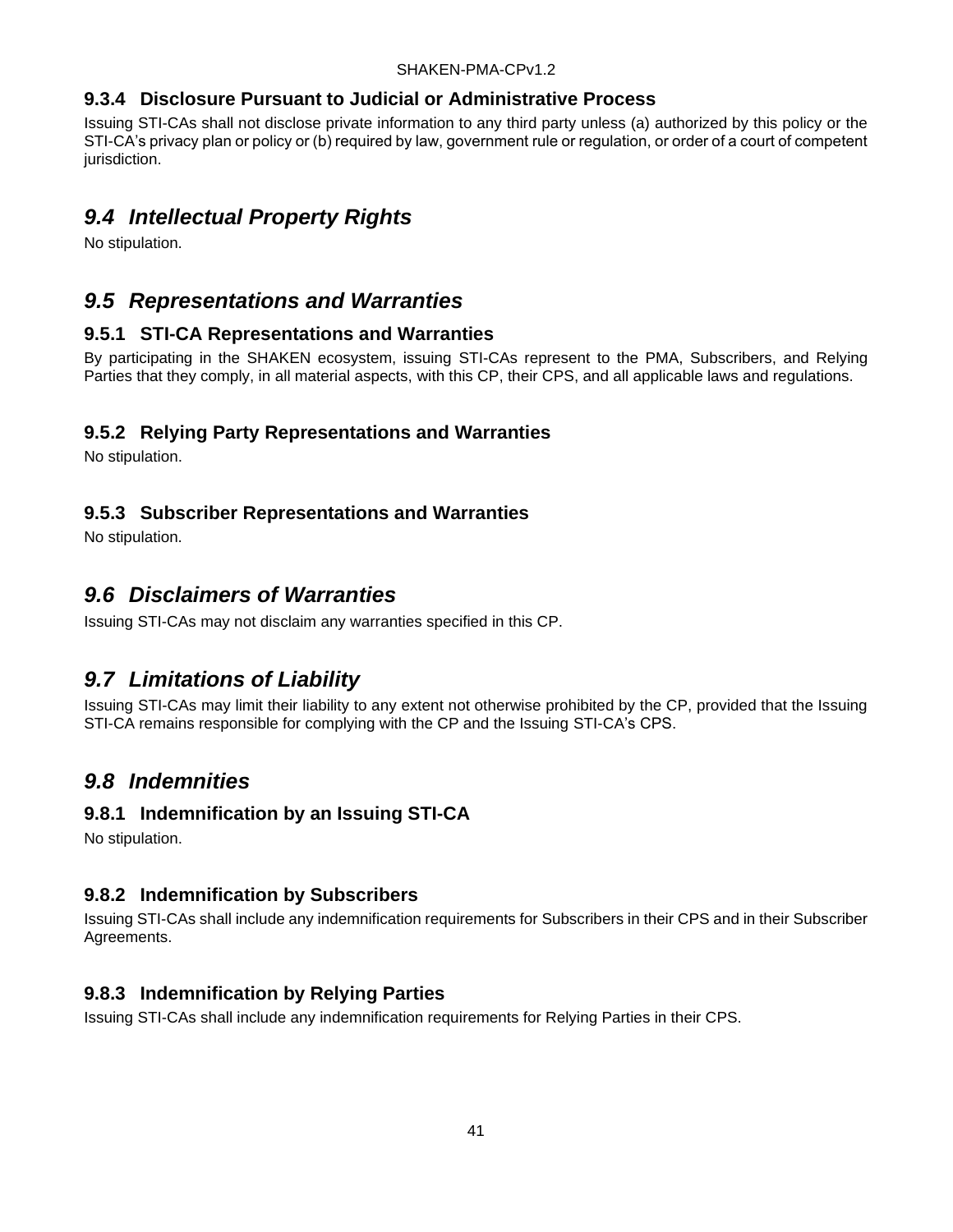#### <span id="page-46-0"></span>**9.3.4 Disclosure Pursuant to Judicial or Administrative Process**

Issuing STI-CAs shall not disclose private information to any third party unless (a) authorized by this policy or the STI-CA's privacy plan or policy or (b) required by law, government rule or regulation, or order of a court of competent jurisdiction.

## <span id="page-46-1"></span>*9.4 Intellectual Property Rights*

No stipulation.

## <span id="page-46-2"></span>*9.5 Representations and Warranties*

#### <span id="page-46-3"></span>**9.5.1 STI-CA Representations and Warranties**

By participating in the SHAKEN ecosystem, issuing STI-CAs represent to the PMA, Subscribers, and Relying Parties that they comply, in all material aspects, with this CP, their CPS, and all applicable laws and regulations.

#### <span id="page-46-4"></span>**9.5.2 Relying Party Representations and Warranties**

No stipulation.

#### <span id="page-46-5"></span>**9.5.3 Subscriber Representations and Warranties**

No stipulation.

## <span id="page-46-6"></span>*9.6 Disclaimers of Warranties*

Issuing STI-CAs may not disclaim any warranties specified in this CP.

## <span id="page-46-7"></span>*9.7 Limitations of Liability*

Issuing STI-CAs may limit their liability to any extent not otherwise prohibited by the CP, provided that the Issuing STI-CA remains responsible for complying with the CP and the Issuing STI-CA's CPS.

## <span id="page-46-8"></span>*9.8 Indemnities*

#### <span id="page-46-9"></span>**9.8.1 Indemnification by an Issuing STI-CA**

No stipulation.

### <span id="page-46-10"></span>**9.8.2 Indemnification by Subscribers**

Issuing STI-CAs shall include any indemnification requirements for Subscribers in their CPS and in their Subscriber Agreements.

### <span id="page-46-11"></span>**9.8.3 Indemnification by Relying Parties**

Issuing STI-CAs shall include any indemnification requirements for Relying Parties in their CPS.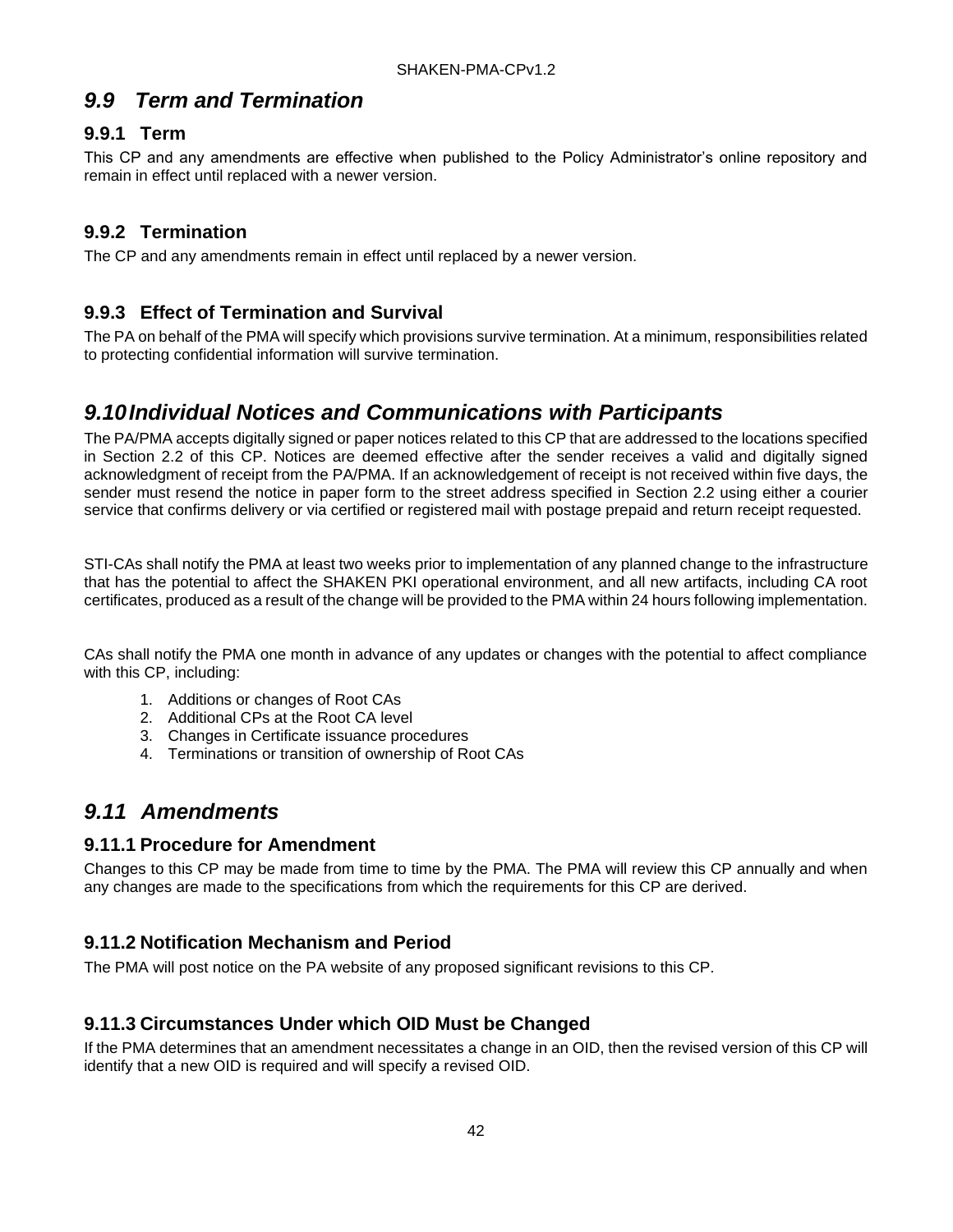## <span id="page-47-0"></span>*9.9 Term and Termination*

#### <span id="page-47-1"></span>**9.9.1 Term**

This CP and any amendments are effective when published to the Policy Administrator's online repository and remain in effect until replaced with a newer version.

#### <span id="page-47-2"></span>**9.9.2 Termination**

The CP and any amendments remain in effect until replaced by a newer version.

#### <span id="page-47-3"></span>**9.9.3 Effect of Termination and Survival**

The PA on behalf of the PMA will specify which provisions survive termination. At a minimum, responsibilities related to protecting confidential information will survive termination.

## <span id="page-47-4"></span>*9.10Individual Notices and Communications with Participants*

The PA/PMA accepts digitally signed or paper notices related to this CP that are addressed to the locations specified in Section 2.2 of this CP. Notices are deemed effective after the sender receives a valid and digitally signed acknowledgment of receipt from the PA/PMA. If an acknowledgement of receipt is not received within five days, the sender must resend the notice in paper form to the street address specified in Section 2.2 using either a courier service that confirms delivery or via certified or registered mail with postage prepaid and return receipt requested.

STI-CAs shall notify the PMA at least two weeks prior to implementation of any planned change to the infrastructure that has the potential to affect the SHAKEN PKI operational environment, and all new artifacts, including CA root certificates, produced as a result of the change will be provided to the PMA within 24 hours following implementation.

CAs shall notify the PMA one month in advance of any updates or changes with the potential to affect compliance with this CP, including:

- 1. Additions or changes of Root CAs
- 2. Additional CPs at the Root CA level
- 3. Changes in Certificate issuance procedures
- 4. Terminations or transition of ownership of Root CAs

## <span id="page-47-5"></span>*9.11 Amendments*

#### <span id="page-47-6"></span>**9.11.1 Procedure for Amendment**

Changes to this CP may be made from time to time by the PMA. The PMA will review this CP annually and when any changes are made to the specifications from which the requirements for this CP are derived.

### <span id="page-47-7"></span>**9.11.2 Notification Mechanism and Period**

The PMA will post notice on the PA website of any proposed significant revisions to this CP.

#### <span id="page-47-8"></span>**9.11.3 Circumstances Under which OID Must be Changed**

If the PMA determines that an amendment necessitates a change in an OID, then the revised version of this CP will identify that a new OID is required and will specify a revised OID.